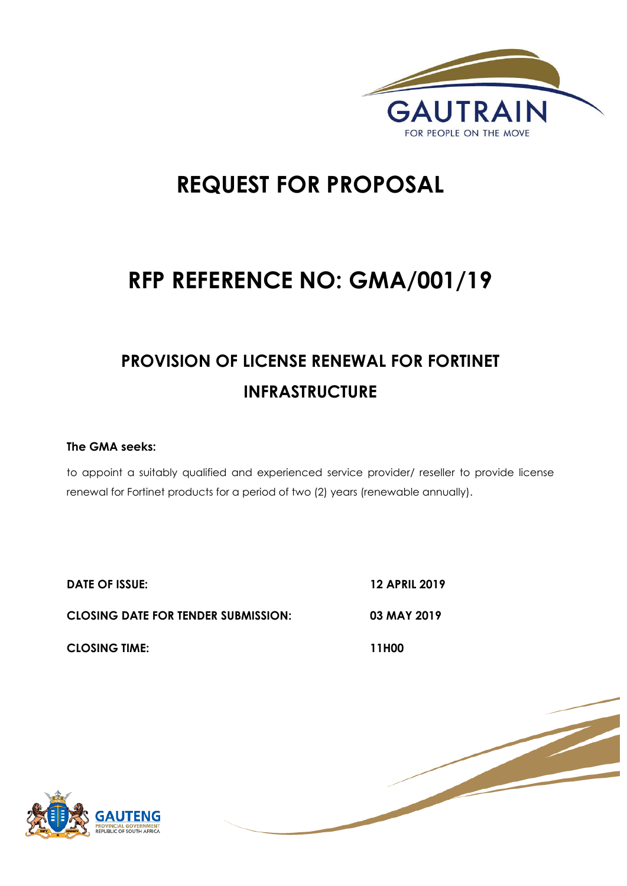

# **REQUEST FOR PROPOSAL**

# **RFP REFERENCE NO: GMA/001/19**

# **PROVISION OF LICENSE RENEWAL FOR FORTINET INFRASTRUCTURE**

## **The GMA seeks:**

to appoint a suitably qualified and experienced service provider/ reseller to provide license renewal for Fortinet products for a period of two (2) years (renewable annually).

**DATE OF ISSUE: 12 APRIL 2019**

**CLOSING DATE FOR TENDER SUBMISSION: 03 MAY 2019**

**CLOSING TIME: 11H00** 



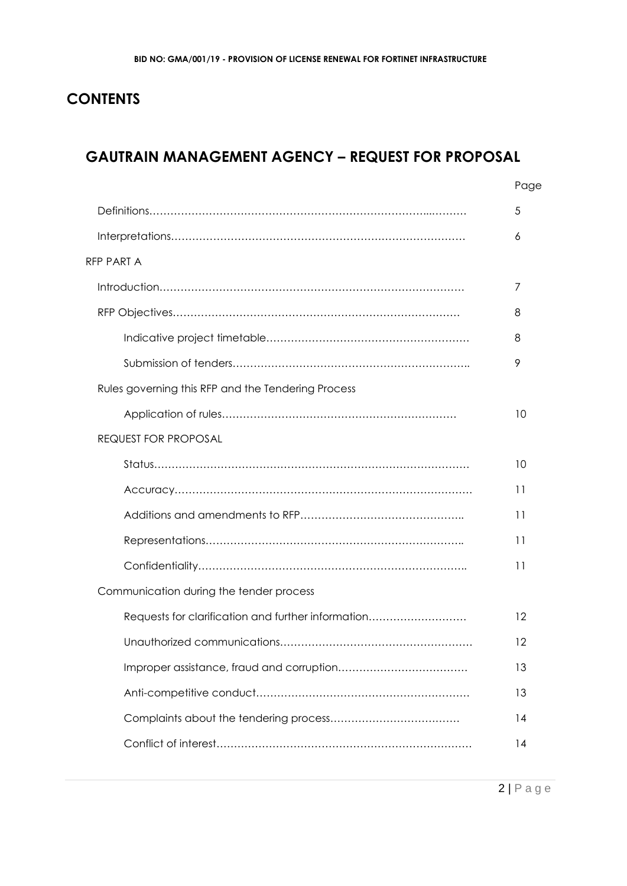## **CONTENTS**

## **GAUTRAIN MANAGEMENT AGENCY – REQUEST FOR PROPOSAL**

|                                                    | Page |
|----------------------------------------------------|------|
|                                                    | 5    |
|                                                    | 6    |
| <b>RFP PART A</b>                                  |      |
|                                                    | 7    |
|                                                    | 8    |
|                                                    | 8    |
|                                                    | 9    |
| Rules governing this RFP and the Tendering Process |      |
|                                                    | 10   |
| <b>REQUEST FOR PROPOSAL</b>                        |      |
|                                                    | 10   |
|                                                    | 11   |
|                                                    | 11   |
|                                                    | 11   |
|                                                    | 11   |
| Communication during the tender process            |      |
| Requests for clarification and further information | 12   |
|                                                    | 12   |
|                                                    | 13   |
|                                                    | 13   |
|                                                    | 14   |
|                                                    | 14   |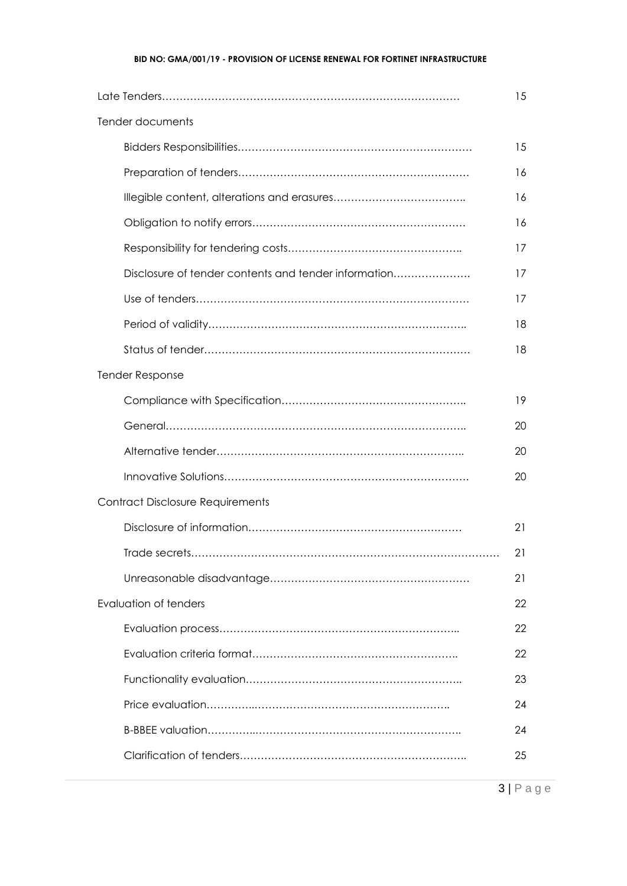#### **BID NO: GMA/001/19 - PROVISION OF LICENSE RENEWAL FOR FORTINET INFRASTRUCTURE**

|                                                      | 15 |  |  |  |
|------------------------------------------------------|----|--|--|--|
| Tender documents                                     |    |  |  |  |
|                                                      | 15 |  |  |  |
|                                                      | 16 |  |  |  |
|                                                      | 16 |  |  |  |
|                                                      | 16 |  |  |  |
|                                                      | 17 |  |  |  |
| Disclosure of tender contents and tender information | 17 |  |  |  |
|                                                      | 17 |  |  |  |
|                                                      | 18 |  |  |  |
|                                                      | 18 |  |  |  |
| <b>Tender Response</b>                               |    |  |  |  |
|                                                      | 19 |  |  |  |
|                                                      | 20 |  |  |  |
|                                                      | 20 |  |  |  |
|                                                      | 20 |  |  |  |
| <b>Contract Disclosure Requirements</b>              |    |  |  |  |
|                                                      | 21 |  |  |  |
|                                                      | 21 |  |  |  |
|                                                      | 21 |  |  |  |
| Evaluation of tenders                                | 22 |  |  |  |
|                                                      | 22 |  |  |  |
|                                                      | 22 |  |  |  |
|                                                      | 23 |  |  |  |
|                                                      | 24 |  |  |  |
|                                                      | 24 |  |  |  |
|                                                      | 25 |  |  |  |

3 | P a g e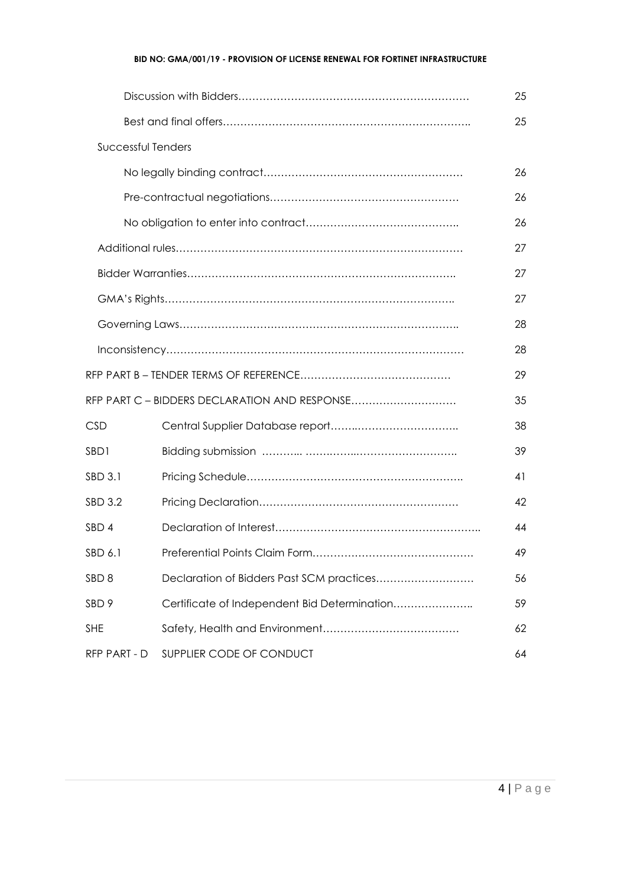#### **BID NO: GMA/001/19 - PROVISION OF LICENSE RENEWAL FOR FORTINET INFRASTRUCTURE**

|                    |                                               | 25 |
|--------------------|-----------------------------------------------|----|
|                    |                                               | 25 |
| Successful Tenders |                                               |    |
|                    |                                               | 26 |
|                    |                                               | 26 |
|                    |                                               | 26 |
|                    |                                               | 27 |
|                    |                                               | 27 |
|                    |                                               | 27 |
|                    |                                               | 28 |
|                    |                                               | 28 |
|                    |                                               | 29 |
|                    | RFP PART C - BIDDERS DECLARATION AND RESPONSE | 35 |
| <b>CSD</b>         |                                               | 38 |
| SBD1               |                                               | 39 |
| SBD 3.1            |                                               | 41 |
| SBD 3.2            |                                               | 42 |
| SBD <sub>4</sub>   |                                               | 44 |
| SBD 6.1            |                                               | 49 |
| SBD <sub>8</sub>   | Declaration of Bidders Past SCM practices     | 56 |
| SBD <sub>9</sub>   | Certificate of Independent Bid Determination  | 59 |
| <b>SHE</b>         |                                               | 62 |
| RFP PART - D       | SUPPLIER CODE OF CONDUCT                      | 64 |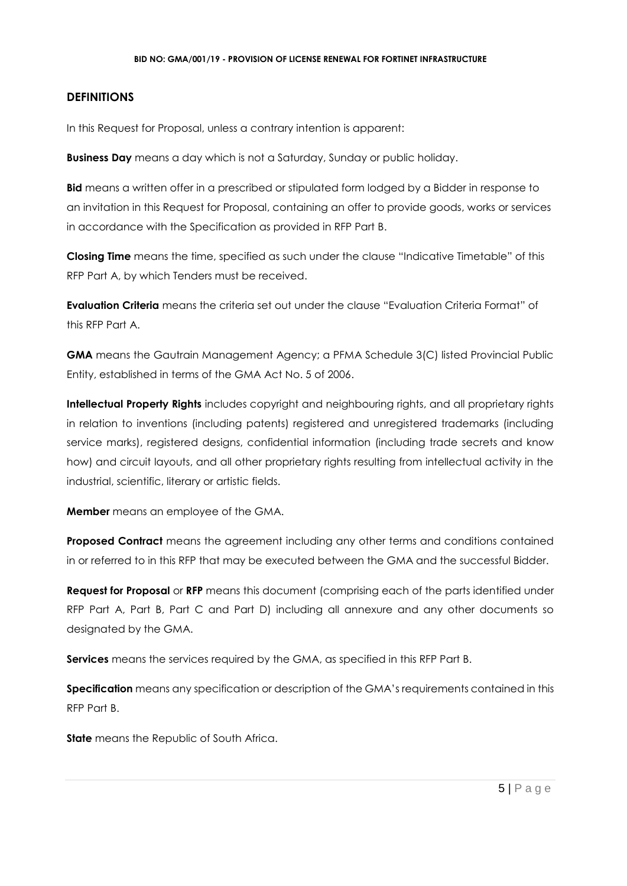## **DEFINITIONS**

In this Request for Proposal, unless a contrary intention is apparent:

**Business Day** means a day which is not a Saturday, Sunday or public holiday.

**Bid** means a written offer in a prescribed or stipulated form lodged by a Bidder in response to an invitation in this Request for Proposal, containing an offer to provide goods, works or services in accordance with the Specification as provided in RFP Part B.

**Closing Time** means the time, specified as such under the clause "Indicative Timetable" of this RFP Part A, by which Tenders must be received.

**Evaluation Criteria** means the criteria set out under the clause "Evaluation Criteria Format" of this RFP Part A.

**GMA** means the Gautrain Management Agency; a PFMA Schedule 3(C) listed Provincial Public Entity, established in terms of the GMA Act No. 5 of 2006.

**Intellectual Property Rights** includes copyright and neighbouring rights, and all proprietary rights in relation to inventions (including patents) registered and unregistered trademarks (including service marks), registered designs, confidential information (including trade secrets and know how) and circuit layouts, and all other proprietary rights resulting from intellectual activity in the industrial, scientific, literary or artistic fields.

**Member** means an employee of the GMA.

**Proposed Contract** means the agreement including any other terms and conditions contained in or referred to in this RFP that may be executed between the GMA and the successful Bidder.

**Request for Proposal** or **RFP** means this document (comprising each of the parts identified under RFP Part A, Part B, Part C and Part D) including all annexure and any other documents so designated by the GMA.

**Services** means the services required by the GMA, as specified in this RFP Part B.

**Specification** means any specification or description of the GMA's requirements contained in this RFP Part B.

**State** means the Republic of South Africa.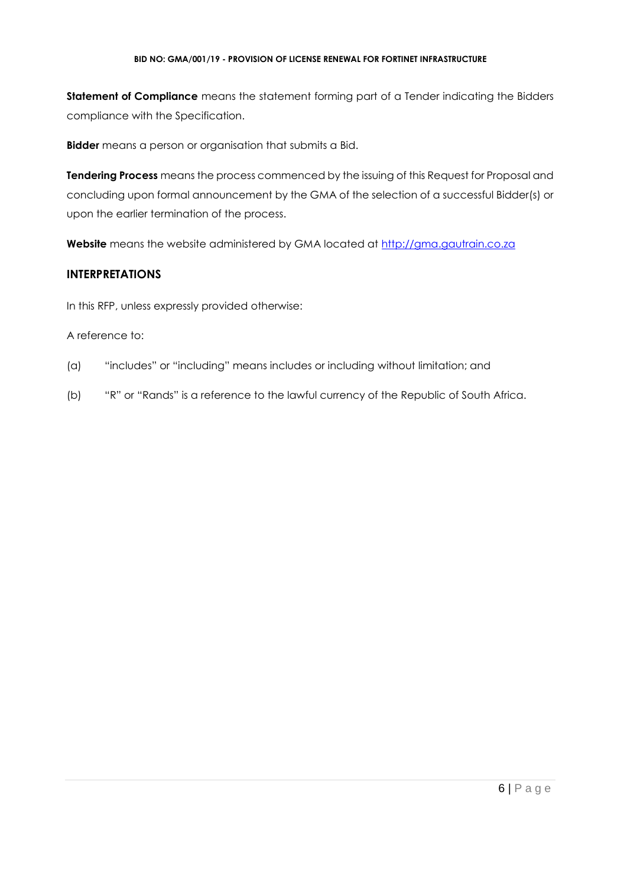#### **BID NO: GMA/001/19 - PROVISION OF LICENSE RENEWAL FOR FORTINET INFRASTRUCTURE**

**Statement of Compliance** means the statement forming part of a Tender indicating the Bidders compliance with the Specification.

**Bidder** means a person or organisation that submits a Bid.

**Tendering Process** means the process commenced by the issuing of this Request for Proposal and concluding upon formal announcement by the GMA of the selection of a successful Bidder(s) or upon the earlier termination of the process.

**Website** means the website administered by GMA located at [http://gma.gautrain.co.za](http://gma.gautrain.co.za/)

## **INTERPRETATIONS**

In this RFP, unless expressly provided otherwise:

## A reference to:

- (a) "includes" or "including" means includes or including without limitation; and
- (b) "R" or "Rands" is a reference to the lawful currency of the Republic of South Africa.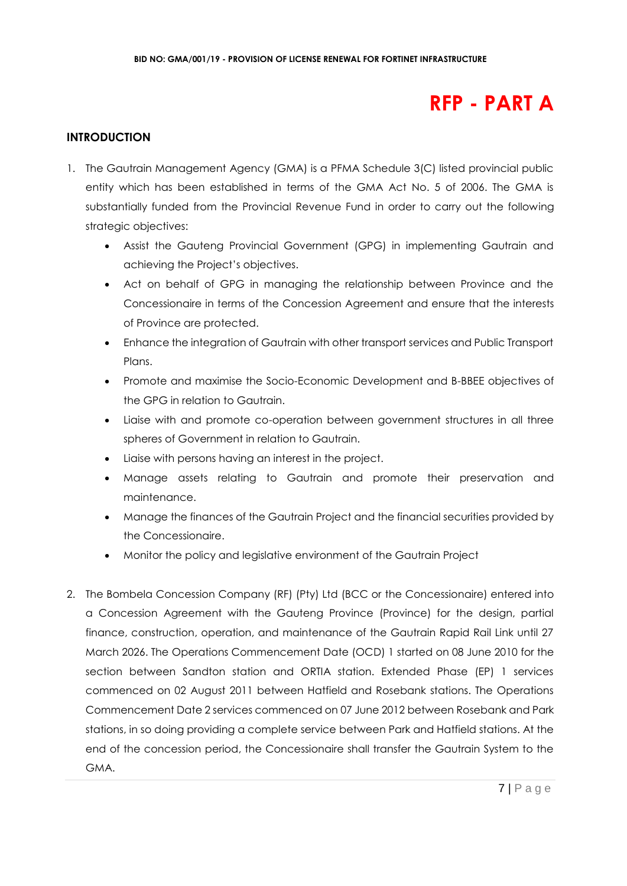## **RFP - PART A**

## **INTRODUCTION**

- 1. The Gautrain Management Agency (GMA) is a PFMA Schedule 3(C) listed provincial public entity which has been established in terms of the GMA Act No. 5 of 2006. The GMA is substantially funded from the Provincial Revenue Fund in order to carry out the following strategic objectives:
	- Assist the Gauteng Provincial Government (GPG) in implementing Gautrain and achieving the Project's objectives.
	- Act on behalf of GPG in managing the relationship between Province and the Concessionaire in terms of the Concession Agreement and ensure that the interests of Province are protected.
	- Enhance the integration of Gautrain with other transport services and Public Transport Plans.
	- Promote and maximise the Socio-Economic Development and B-BBEE objectives of the GPG in relation to Gautrain.
	- Liaise with and promote co-operation between government structures in all three spheres of Government in relation to Gautrain.
	- Liaise with persons having an interest in the project.
	- Manage assets relating to Gautrain and promote their preservation and maintenance.
	- Manage the finances of the Gautrain Project and the financial securities provided by the Concessionaire.
	- Monitor the policy and legislative environment of the Gautrain Project
- 2. The Bombela Concession Company (RF) (Pty) Ltd (BCC or the Concessionaire) entered into a Concession Agreement with the Gauteng Province (Province) for the design, partial finance, construction, operation, and maintenance of the Gautrain Rapid Rail Link until 27 March 2026. The Operations Commencement Date (OCD) 1 started on 08 June 2010 for the section between Sandton station and ORTIA station. Extended Phase (EP) 1 services commenced on 02 August 2011 between Hatfield and Rosebank stations. The Operations Commencement Date 2 services commenced on 07 June 2012 between Rosebank and Park stations, in so doing providing a complete service between Park and Hatfield stations. At the end of the concession period, the Concessionaire shall transfer the Gautrain System to the GMA.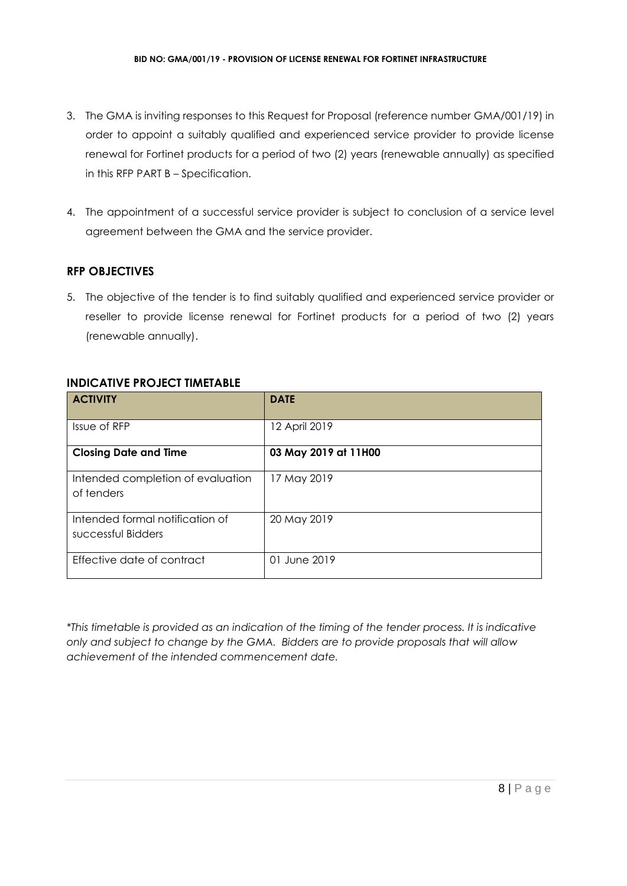- 3. The GMA is inviting responses to this Request for Proposal (reference number GMA/001/19) in order to appoint a suitably qualified and experienced service provider to provide license renewal for Fortinet products for a period of two (2) years (renewable annually) as specified in this RFP PART B – Specification.
- 4. The appointment of a successful service provider is subject to conclusion of a service level agreement between the GMA and the service provider.

## **RFP OBJECTIVES**

5. The objective of the tender is to find suitably qualified and experienced service provider or reseller to provide license renewal for Fortinet products for a period of two (2) years (renewable annually).

## **INDICATIVE PROJECT TIMETABLE**

| <b>ACTIVITY</b>                                       | <b>DATE</b>          |
|-------------------------------------------------------|----------------------|
| Issue of RFP                                          | 12 April 2019        |
| <b>Closing Date and Time</b>                          | 03 May 2019 at 11H00 |
| Intended completion of evaluation<br>of tenders       | 17 May 2019          |
| Intended formal notification of<br>successful Bidders | 20 May 2019          |
| Effective date of contract                            | 01 June 2019         |

*\*This timetable is provided as an indication of the timing of the tender process. It is indicative only and subject to change by the GMA. Bidders are to provide proposals that will allow achievement of the intended commencement date.*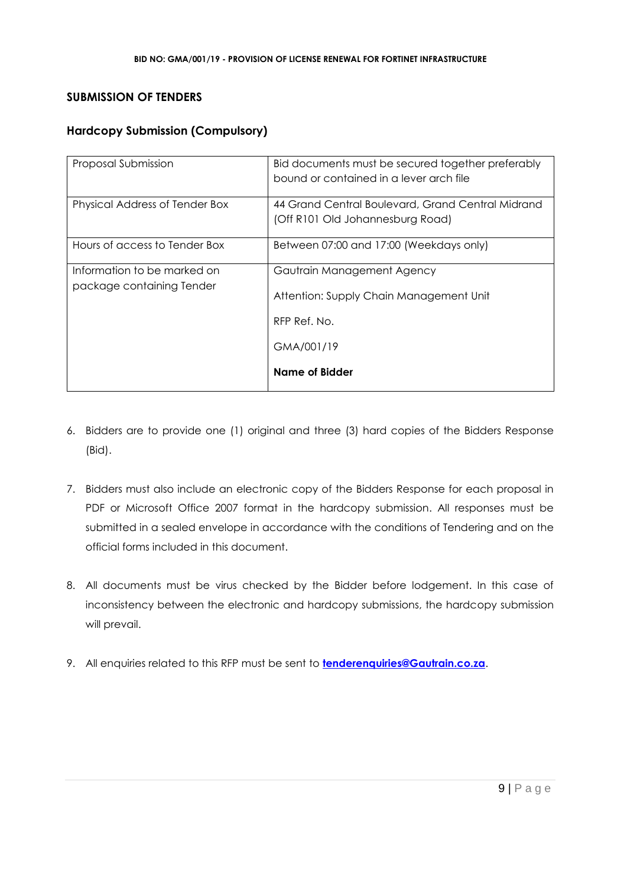## **SUBMISSION OF TENDERS**

## **Hardcopy Submission (Compulsory)**

| Proposal Submission                                      | Bid documents must be secured together preferably<br>bound or contained in a lever arch file                          |
|----------------------------------------------------------|-----------------------------------------------------------------------------------------------------------------------|
| Physical Address of Tender Box                           | 44 Grand Central Boulevard, Grand Central Midrand<br>(Off R101 Old Johannesburg Road)                                 |
| Hours of access to Tender Box                            | Between 07:00 and 17:00 (Weekdays only)                                                                               |
| Information to be marked on<br>package containing Tender | Gautrain Management Agency<br>Attention: Supply Chain Management Unit<br>RFP Ref. No.<br>GMA/001/19<br>Name of Bidder |

- 6. Bidders are to provide one (1) original and three (3) hard copies of the Bidders Response (Bid).
- 7. Bidders must also include an electronic copy of the Bidders Response for each proposal in PDF or Microsoft Office 2007 format in the hardcopy submission. All responses must be submitted in a sealed envelope in accordance with the conditions of Tendering and on the official forms included in this document.
- 8. All documents must be virus checked by the Bidder before lodgement. In this case of inconsistency between the electronic and hardcopy submissions, the hardcopy submission will prevail.
- 9. All enquiries related to this RFP must be sent to **[tenderenquiries@Gautrain.co.za](mailto:tenderenquiries@Gautrain.co.za)**.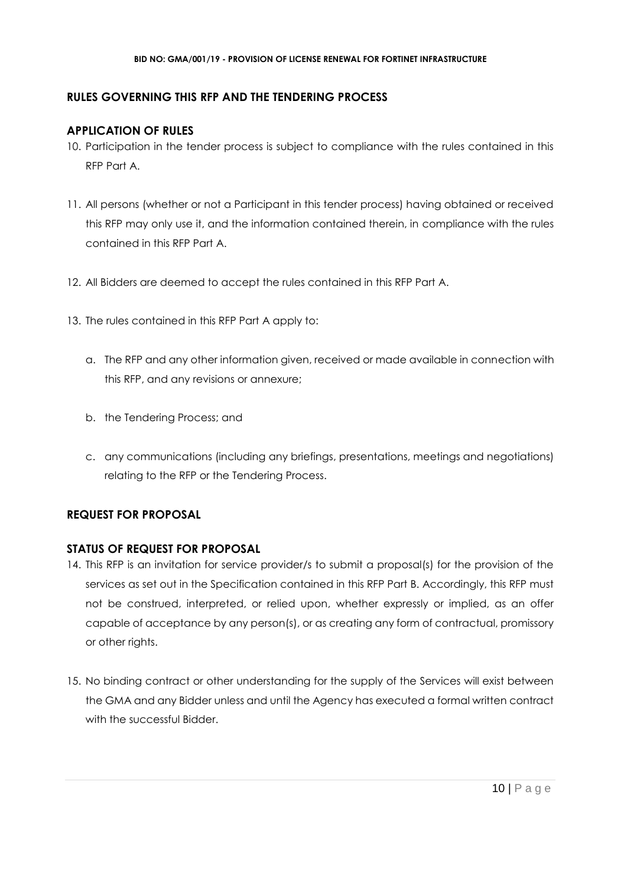## **RULES GOVERNING THIS RFP AND THE TENDERING PROCESS**

## **APPLICATION OF RULES**

- 10. Participation in the tender process is subject to compliance with the rules contained in this RFP Part A.
- 11. All persons (whether or not a Participant in this tender process) having obtained or received this RFP may only use it, and the information contained therein, in compliance with the rules contained in this RFP Part A.
- 12. All Bidders are deemed to accept the rules contained in this RFP Part A.
- 13. The rules contained in this RFP Part A apply to:
	- a. The RFP and any other information given, received or made available in connection with this RFP, and any revisions or annexure;
	- b. the Tendering Process; and
	- c. any communications (including any briefings, presentations, meetings and negotiations) relating to the RFP or the Tendering Process.

## **REQUEST FOR PROPOSAL**

## **STATUS OF REQUEST FOR PROPOSAL**

- 14. This RFP is an invitation for service provider/s to submit a proposal(s) for the provision of the services as set out in the Specification contained in this RFP Part B. Accordingly, this RFP must not be construed, interpreted, or relied upon, whether expressly or implied, as an offer capable of acceptance by any person(s), or as creating any form of contractual, promissory or other rights.
- 15. No binding contract or other understanding for the supply of the Services will exist between the GMA and any Bidder unless and until the Agency has executed a formal written contract with the successful Bidder.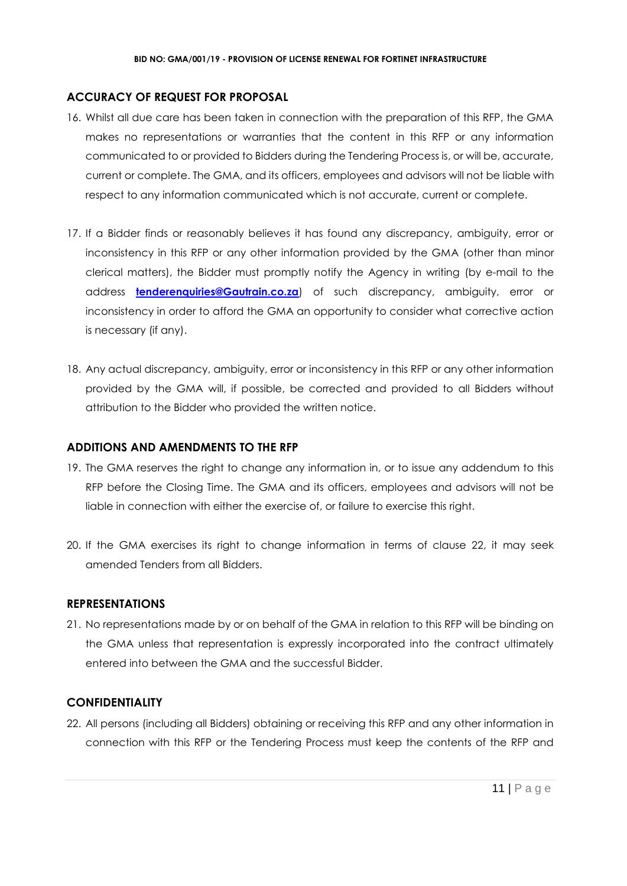## **ACCURACY OF REQUEST FOR PROPOSAL**

- 16. Whilst all due care has been taken in connection with the preparation of this RFP, the GMA makes no representations or warranties that the content in this RFP or any information communicated to or provided to Bidders during the Tendering Process is, or will be, accurate, current or complete. The GMA, and its officers, employees and advisors will not be liable with respect to any information communicated which is not accurate, current or complete.
- 17. If a Bidder finds or reasonably believes it has found any discrepancy, ambiguity, error or inconsistency in this RFP or any other information provided by the GMA (other than minor clerical matters), the Bidder must promptly notify the Agency in writing (by e-mail to the address **[tenderenquiries@Gautrain.co.za](mailto:tenderenquiries@gautrainpo.co.za)**) of such discrepancy, ambiguity, error or inconsistency in order to afford the GMA an opportunity to consider what corrective action is necessary (if any).
- 18. Any actual discrepancy, ambiguity, error or inconsistency in this RFP or any other information provided by the GMA will, if possible, be corrected and provided to all Bidders without attribution to the Bidder who provided the written notice.

#### **ADDITIONS AND AMENDMENTS TO THE RFP**

- 19. The GMA reserves the right to change any information in, or to issue any addendum to this RFP before the Closing Time. The GMA and its officers, employees and advisors will not be liable in connection with either the exercise of, or failure to exercise this right.
- 20. If the GMA exercises its right to change information in terms of clause 22, it may seek amended Tenders from all Bidders.

#### **REPRESENTATIONS**

21. No representations made by or on behalf of the GMA in relation to this RFP will be binding on the GMA unless that representation is expressly incorporated into the contract ultimately entered into between the GMA and the successful Bidder.

## **CONFIDENTIALITY**

22. All persons (including all Bidders) obtaining or receiving this RFP and any other information in connection with this RFP or the Tendering Process must keep the contents of the RFP and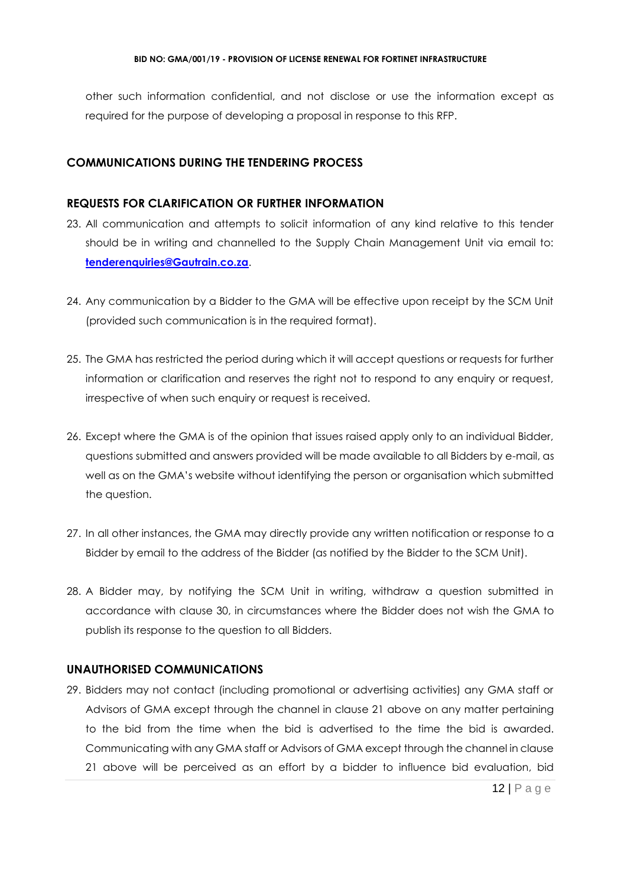other such information confidential, and not disclose or use the information except as required for the purpose of developing a proposal in response to this RFP.

## **COMMUNICATIONS DURING THE TENDERING PROCESS**

## **REQUESTS FOR CLARIFICATION OR FURTHER INFORMATION**

- 23. All communication and attempts to solicit information of any kind relative to this tender should be in writing and channelled to the Supply Chain Management Unit via email to: **[tenderenquiries@Gautrain.co.za](mailto:tenderenquiries@gautrainpo.co.za)**.
- 24. Any communication by a Bidder to the GMA will be effective upon receipt by the SCM Unit (provided such communication is in the required format).
- 25. The GMA has restricted the period during which it will accept questions or requests for further information or clarification and reserves the right not to respond to any enquiry or request, irrespective of when such enquiry or request is received.
- 26. Except where the GMA is of the opinion that issues raised apply only to an individual Bidder, questions submitted and answers provided will be made available to all Bidders by e-mail, as well as on the GMA's website without identifying the person or organisation which submitted the question.
- 27. In all other instances, the GMA may directly provide any written notification or response to a Bidder by email to the address of the Bidder (as notified by the Bidder to the SCM Unit).
- 28. A Bidder may, by notifying the SCM Unit in writing, withdraw a question submitted in accordance with clause 30, in circumstances where the Bidder does not wish the GMA to publish its response to the question to all Bidders.

## **UNAUTHORISED COMMUNICATIONS**

29. Bidders may not contact (including promotional or advertising activities) any GMA staff or Advisors of GMA except through the channel in clause 21 above on any matter pertaining to the bid from the time when the bid is advertised to the time the bid is awarded. Communicating with any GMA staff or Advisors of GMA except through the channel in clause 21 above will be perceived as an effort by a bidder to influence bid evaluation, bid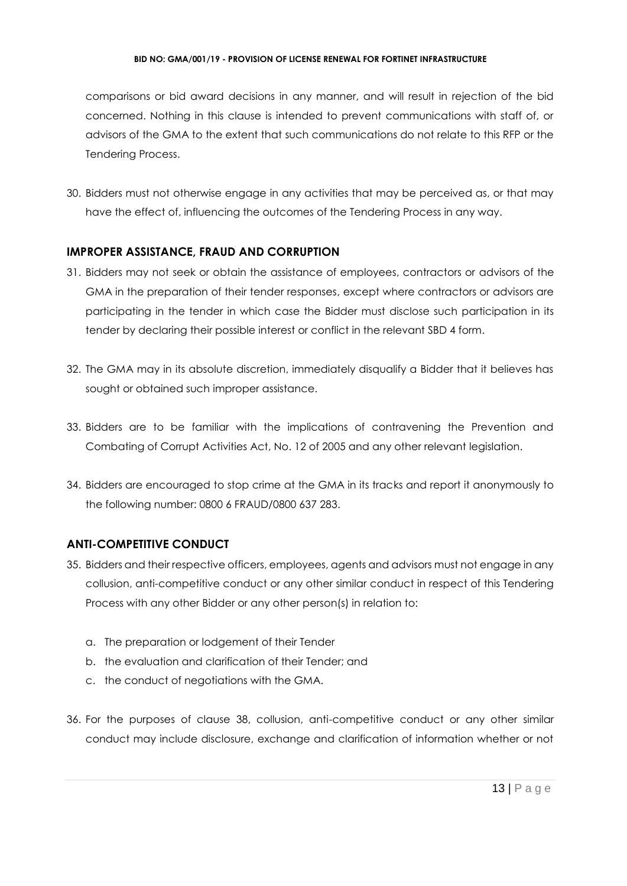#### **BID NO: GMA/001/19 - PROVISION OF LICENSE RENEWAL FOR FORTINET INFRASTRUCTURE**

comparisons or bid award decisions in any manner, and will result in rejection of the bid concerned. Nothing in this clause is intended to prevent communications with staff of, or advisors of the GMA to the extent that such communications do not relate to this RFP or the Tendering Process.

30. Bidders must not otherwise engage in any activities that may be perceived as, or that may have the effect of, influencing the outcomes of the Tendering Process in any way.

## **IMPROPER ASSISTANCE, FRAUD AND CORRUPTION**

- 31. Bidders may not seek or obtain the assistance of employees, contractors or advisors of the GMA in the preparation of their tender responses, except where contractors or advisors are participating in the tender in which case the Bidder must disclose such participation in its tender by declaring their possible interest or conflict in the relevant SBD 4 form.
- 32. The GMA may in its absolute discretion, immediately disqualify a Bidder that it believes has sought or obtained such improper assistance.
- 33. Bidders are to be familiar with the implications of contravening the Prevention and Combating of Corrupt Activities Act, No. 12 of 2005 and any other relevant legislation.
- 34. Bidders are encouraged to stop crime at the GMA in its tracks and report it anonymously to the following number: 0800 6 FRAUD/0800 637 283.

## **ANTI-COMPETITIVE CONDUCT**

- 35. Bidders and their respective officers, employees, agents and advisors must not engage in any collusion, anti-competitive conduct or any other similar conduct in respect of this Tendering Process with any other Bidder or any other person(s) in relation to:
	- a. The preparation or lodgement of their Tender
	- b. the evaluation and clarification of their Tender; and
	- c. the conduct of negotiations with the GMA.
- 36. For the purposes of clause 38, collusion, anti-competitive conduct or any other similar conduct may include disclosure, exchange and clarification of information whether or not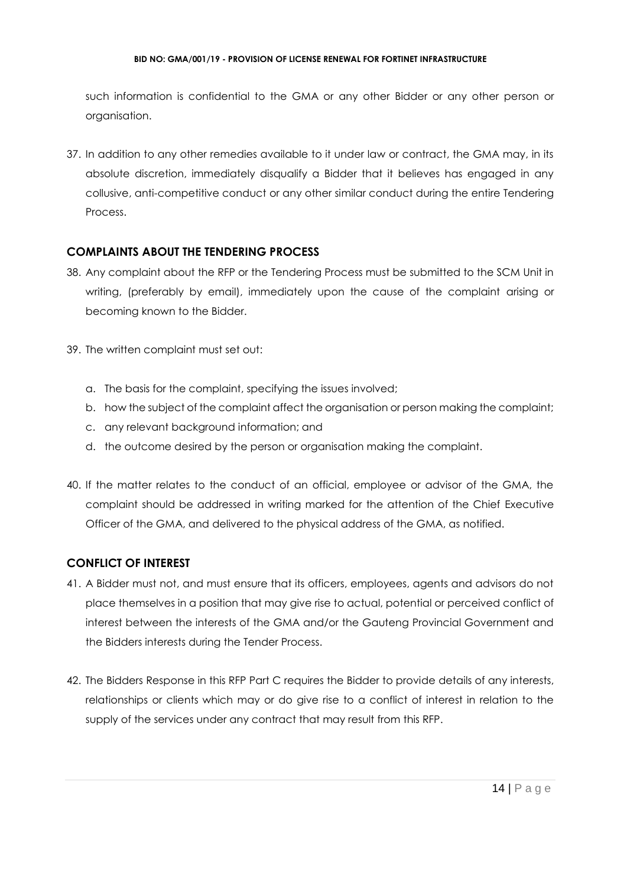such information is confidential to the GMA or any other Bidder or any other person or organisation.

37. In addition to any other remedies available to it under law or contract, the GMA may, in its absolute discretion, immediately disqualify a Bidder that it believes has engaged in any collusive, anti-competitive conduct or any other similar conduct during the entire Tendering Process.

## **COMPLAINTS ABOUT THE TENDERING PROCESS**

- 38. Any complaint about the RFP or the Tendering Process must be submitted to the SCM Unit in writing, (preferably by email), immediately upon the cause of the complaint arising or becoming known to the Bidder.
- 39. The written complaint must set out:
	- a. The basis for the complaint, specifying the issues involved;
	- b. how the subject of the complaint affect the organisation or person making the complaint;
	- c. any relevant background information; and
	- d. the outcome desired by the person or organisation making the complaint.
- 40. If the matter relates to the conduct of an official, employee or advisor of the GMA, the complaint should be addressed in writing marked for the attention of the Chief Executive Officer of the GMA, and delivered to the physical address of the GMA, as notified.

## **CONFLICT OF INTEREST**

- 41. A Bidder must not, and must ensure that its officers, employees, agents and advisors do not place themselves in a position that may give rise to actual, potential or perceived conflict of interest between the interests of the GMA and/or the Gauteng Provincial Government and the Bidders interests during the Tender Process.
- 42. The Bidders Response in this RFP Part C requires the Bidder to provide details of any interests, relationships or clients which may or do give rise to a conflict of interest in relation to the supply of the services under any contract that may result from this RFP.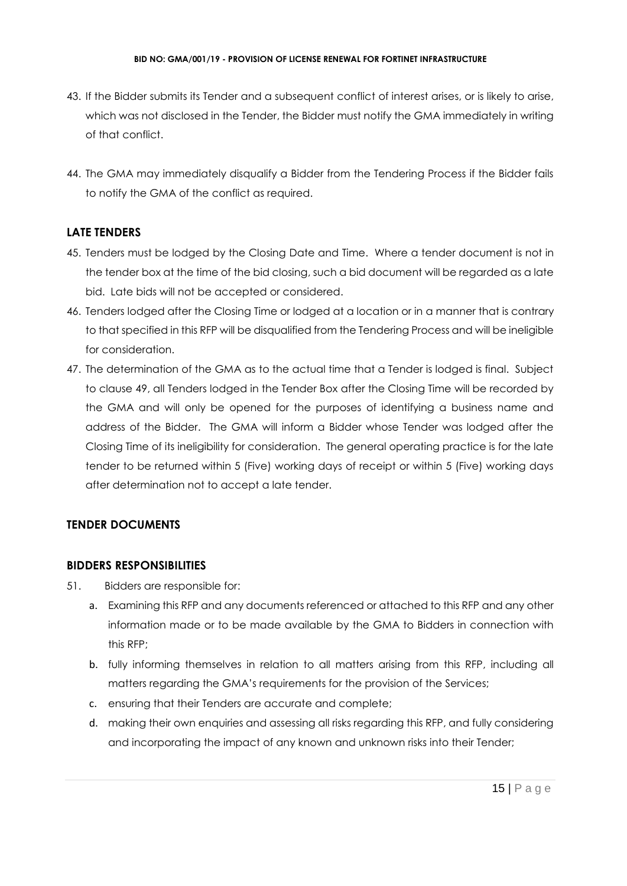- 43. If the Bidder submits its Tender and a subsequent conflict of interest arises, or is likely to arise, which was not disclosed in the Tender, the Bidder must notify the GMA immediately in writing of that conflict.
- 44. The GMA may immediately disqualify a Bidder from the Tendering Process if the Bidder fails to notify the GMA of the conflict as required.

## **LATE TENDERS**

- 45. Tenders must be lodged by the Closing Date and Time. Where a tender document is not in the tender box at the time of the bid closing, such a bid document will be regarded as a late bid. Late bids will not be accepted or considered.
- 46. Tenders lodged after the Closing Time or lodged at a location or in a manner that is contrary to that specified in this RFP will be disqualified from the Tendering Process and will be ineligible for consideration.
- 47. The determination of the GMA as to the actual time that a Tender is lodged is final. Subject to clause 49, all Tenders lodged in the Tender Box after the Closing Time will be recorded by the GMA and will only be opened for the purposes of identifying a business name and address of the Bidder. The GMA will inform a Bidder whose Tender was lodged after the Closing Time of its ineligibility for consideration. The general operating practice is for the late tender to be returned within 5 (Five) working days of receipt or within 5 (Five) working days after determination not to accept a late tender.

## **TENDER DOCUMENTS**

## **BIDDERS RESPONSIBILITIES**

- 51. Bidders are responsible for:
	- a. Examining this RFP and any documents referenced or attached to this RFP and any other information made or to be made available by the GMA to Bidders in connection with this RFP;
	- b. fully informing themselves in relation to all matters arising from this RFP, including all matters regarding the GMA's requirements for the provision of the Services;
	- c. ensuring that their Tenders are accurate and complete;
	- d. making their own enquiries and assessing all risks regarding this RFP, and fully considering and incorporating the impact of any known and unknown risks into their Tender;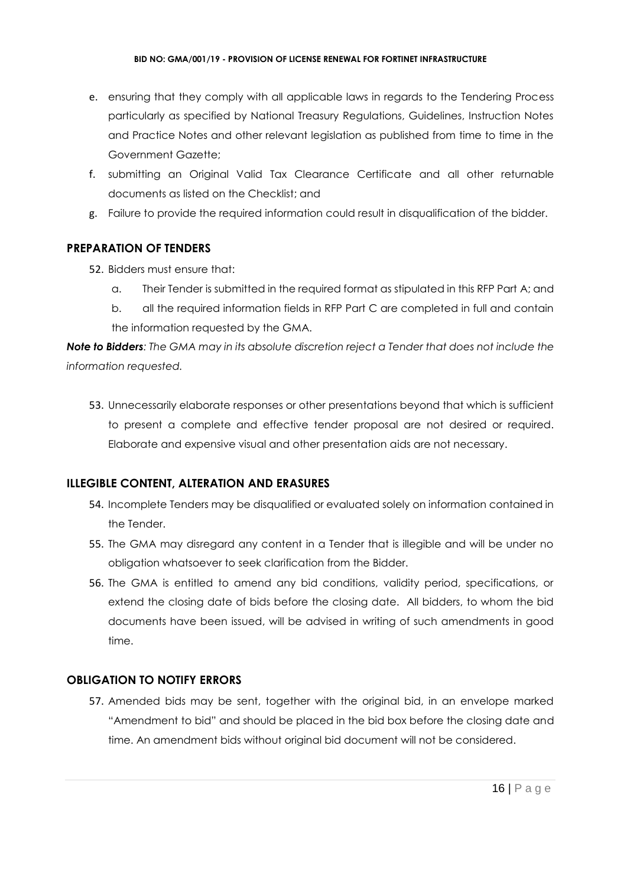- e. ensuring that they comply with all applicable laws in regards to the Tendering Process particularly as specified by National Treasury Regulations, Guidelines, Instruction Notes and Practice Notes and other relevant legislation as published from time to time in the Government Gazette;
- f. submitting an Original Valid Tax Clearance Certificate and all other returnable documents as listed on the Checklist; and
- g. Failure to provide the required information could result in disqualification of the bidder.

## **PREPARATION OF TENDERS**

- 52. Bidders must ensure that:
	- a. Their Tender is submitted in the required format as stipulated in this RFP Part A; and
	- b. all the required information fields in RFP Part C are completed in full and contain the information requested by the GMA.

*Note to Bidders: The GMA may in its absolute discretion reject a Tender that does not include the information requested.*

53. Unnecessarily elaborate responses or other presentations beyond that which is sufficient to present a complete and effective tender proposal are not desired or required. Elaborate and expensive visual and other presentation aids are not necessary.

## **ILLEGIBLE CONTENT, ALTERATION AND ERASURES**

- 54. Incomplete Tenders may be disqualified or evaluated solely on information contained in the Tender.
- 55. The GMA may disregard any content in a Tender that is illegible and will be under no obligation whatsoever to seek clarification from the Bidder.
- 56. The GMA is entitled to amend any bid conditions, validity period, specifications, or extend the closing date of bids before the closing date. All bidders, to whom the bid documents have been issued, will be advised in writing of such amendments in good time.

## **OBLIGATION TO NOTIFY ERRORS**

57. Amended bids may be sent, together with the original bid, in an envelope marked "Amendment to bid" and should be placed in the bid box before the closing date and time. An amendment bids without original bid document will not be considered.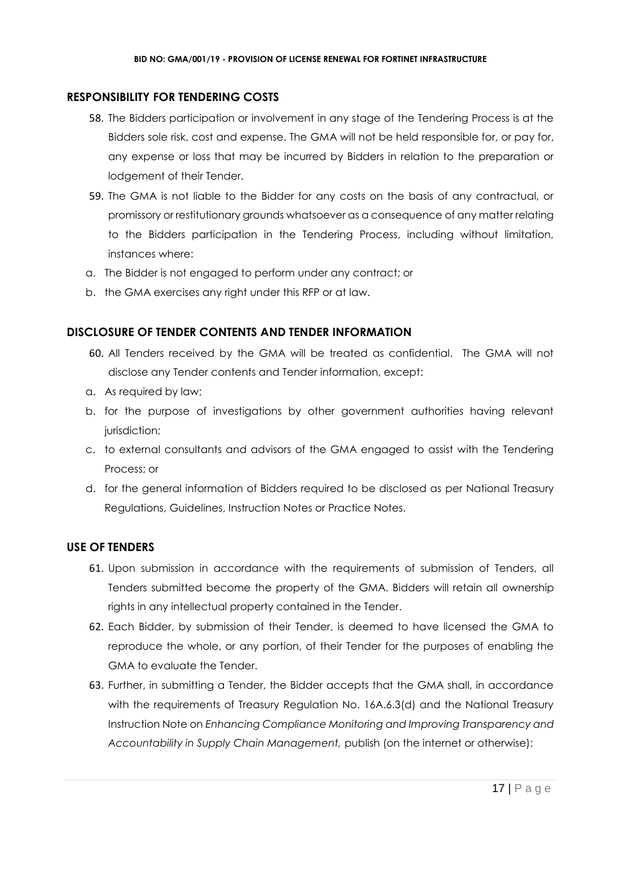## **RESPONSIBILITY FOR TENDERING COSTS**

- 58. The Bidders participation or involvement in any stage of the Tendering Process is at the Bidders sole risk, cost and expense. The GMA will not be held responsible for, or pay for, any expense or loss that may be incurred by Bidders in relation to the preparation or lodgement of their Tender.
- 59. The GMA is not liable to the Bidder for any costs on the basis of any contractual, or promissory or restitutionary grounds whatsoever as a consequence of any matter relating to the Bidders participation in the Tendering Process, including without limitation, instances where:
- a. The Bidder is not engaged to perform under any contract; or
- b. the GMA exercises any right under this RFP or at law.

## **DISCLOSURE OF TENDER CONTENTS AND TENDER INFORMATION**

- 60. All Tenders received by the GMA will be treated as confidential. The GMA will not disclose any Tender contents and Tender information, except:
- a. As required by law;
- b. for the purpose of investigations by other government authorities having relevant jurisdiction;
- c. to external consultants and advisors of the GMA engaged to assist with the Tendering Process; or
- d. for the general information of Bidders required to be disclosed as per National Treasury Regulations, Guidelines, Instruction Notes or Practice Notes.

## **USE OF TENDERS**

- 61. Upon submission in accordance with the requirements of submission of Tenders, all Tenders submitted become the property of the GMA. Bidders will retain all ownership rights in any intellectual property contained in the Tender.
- 62. Each Bidder, by submission of their Tender, is deemed to have licensed the GMA to reproduce the whole, or any portion, of their Tender for the purposes of enabling the GMA to evaluate the Tender.
- 63. Further, in submitting a Tender, the Bidder accepts that the GMA shall, in accordance with the requirements of Treasury Regulation No. 16A.6.3(d) and the National Treasury Instruction Note on *Enhancing Compliance Monitoring and Improving Transparency and Accountability in Supply Chain Management,* publish (on the internet or otherwise):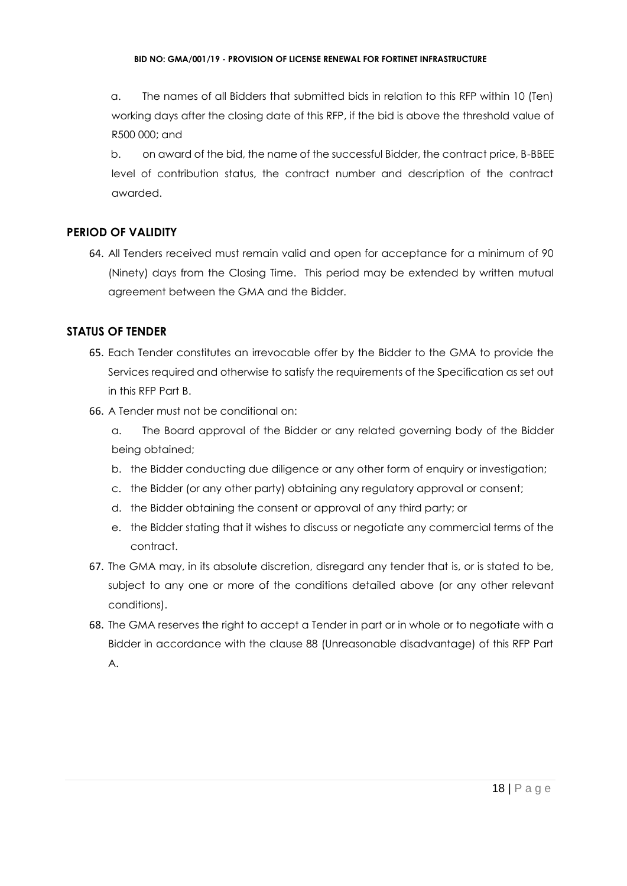a. The names of all Bidders that submitted bids in relation to this RFP within 10 (Ten) working days after the closing date of this RFP, if the bid is above the threshold value of R500 000; and

b. on award of the bid, the name of the successful Bidder, the contract price, B-BBEE level of contribution status, the contract number and description of the contract awarded.

## **PERIOD OF VALIDITY**

64. All Tenders received must remain valid and open for acceptance for a minimum of 90 (Ninety) days from the Closing Time. This period may be extended by written mutual agreement between the GMA and the Bidder.

## **STATUS OF TENDER**

- 65. Each Tender constitutes an irrevocable offer by the Bidder to the GMA to provide the Services required and otherwise to satisfy the requirements of the Specification as set out in this RFP Part B.
- 66. A Tender must not be conditional on:
	- a. The Board approval of the Bidder or any related governing body of the Bidder being obtained;
	- b. the Bidder conducting due diligence or any other form of enquiry or investigation;
	- c. the Bidder (or any other party) obtaining any regulatory approval or consent;
	- d. the Bidder obtaining the consent or approval of any third party; or
	- e. the Bidder stating that it wishes to discuss or negotiate any commercial terms of the contract.
- 67. The GMA may, in its absolute discretion, disregard any tender that is, or is stated to be, subject to any one or more of the conditions detailed above (or any other relevant conditions).
- 68. The GMA reserves the right to accept a Tender in part or in whole or to negotiate with a Bidder in accordance with the clause 88 (Unreasonable disadvantage) of this RFP Part A.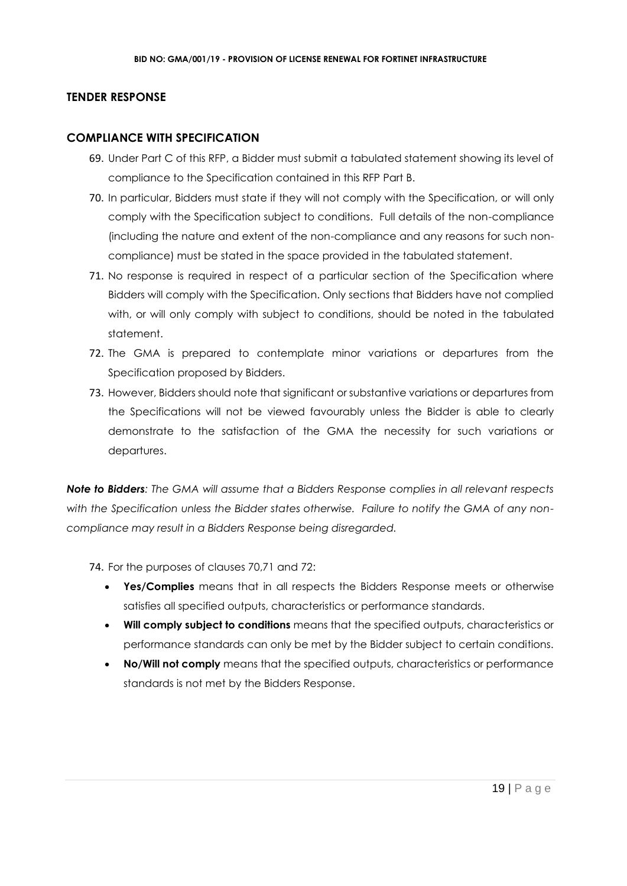#### **TENDER RESPONSE**

#### **COMPLIANCE WITH SPECIFICATION**

- 69. Under Part C of this RFP, a Bidder must submit a tabulated statement showing its level of compliance to the Specification contained in this RFP Part B.
- 70. In particular, Bidders must state if they will not comply with the Specification, or will only comply with the Specification subject to conditions. Full details of the non-compliance (including the nature and extent of the non-compliance and any reasons for such noncompliance) must be stated in the space provided in the tabulated statement.
- 71. No response is required in respect of a particular section of the Specification where Bidders will comply with the Specification. Only sections that Bidders have not complied with, or will only comply with subject to conditions, should be noted in the tabulated statement.
- 72. The GMA is prepared to contemplate minor variations or departures from the Specification proposed by Bidders.
- 73. However, Bidders should note that significant or substantive variations or departures from the Specifications will not be viewed favourably unless the Bidder is able to clearly demonstrate to the satisfaction of the GMA the necessity for such variations or departures.

*Note to Bidders: The GMA will assume that a Bidders Response complies in all relevant respects with the Specification unless the Bidder states otherwise. Failure to notify the GMA of any noncompliance may result in a Bidders Response being disregarded.*

74. For the purposes of clauses 70,71 and 72:

- **Yes/Complies** means that in all respects the Bidders Response meets or otherwise satisfies all specified outputs, characteristics or performance standards.
- **Will comply subject to conditions** means that the specified outputs, characteristics or performance standards can only be met by the Bidder subject to certain conditions.
- **No/Will not comply** means that the specified outputs, characteristics or performance standards is not met by the Bidders Response.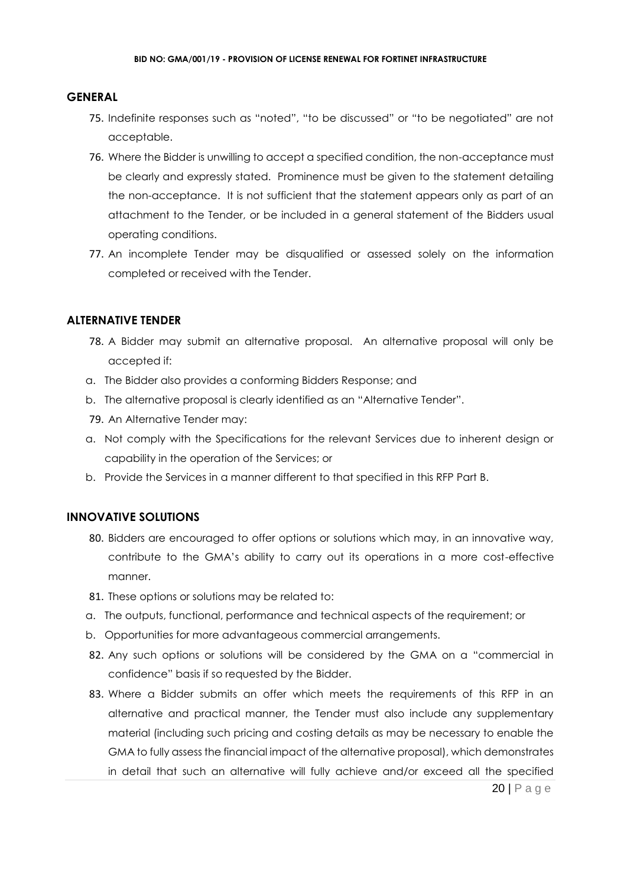#### **GENERAL**

- 75. Indefinite responses such as "noted", "to be discussed" or "to be negotiated" are not acceptable.
- 76. Where the Bidder is unwilling to accept a specified condition, the non-acceptance must be clearly and expressly stated. Prominence must be given to the statement detailing the non-acceptance. It is not sufficient that the statement appears only as part of an attachment to the Tender, or be included in a general statement of the Bidders usual operating conditions.
- 77. An incomplete Tender may be disqualified or assessed solely on the information completed or received with the Tender.

#### **ALTERNATIVE TENDER**

- 78. A Bidder may submit an alternative proposal. An alternative proposal will only be accepted if:
- a. The Bidder also provides a conforming Bidders Response; and
- b. The alternative proposal is clearly identified as an "Alternative Tender".
- 79. An Alternative Tender may:
- a. Not comply with the Specifications for the relevant Services due to inherent design or capability in the operation of the Services; or
- b. Provide the Services in a manner different to that specified in this RFP Part B.

#### **INNOVATIVE SOLUTIONS**

- 80. Bidders are encouraged to offer options or solutions which may, in an innovative way, contribute to the GMA's ability to carry out its operations in a more cost-effective manner.
- 81. These options or solutions may be related to:
- a. The outputs, functional, performance and technical aspects of the requirement; or
- b. Opportunities for more advantageous commercial arrangements.
- 82. Any such options or solutions will be considered by the GMA on a "commercial in confidence" basis if so requested by the Bidder.
- 83. Where a Bidder submits an offer which meets the requirements of this RFP in an alternative and practical manner, the Tender must also include any supplementary material (including such pricing and costing details as may be necessary to enable the GMA to fully assess the financial impact of the alternative proposal), which demonstrates in detail that such an alternative will fully achieve and/or exceed all the specified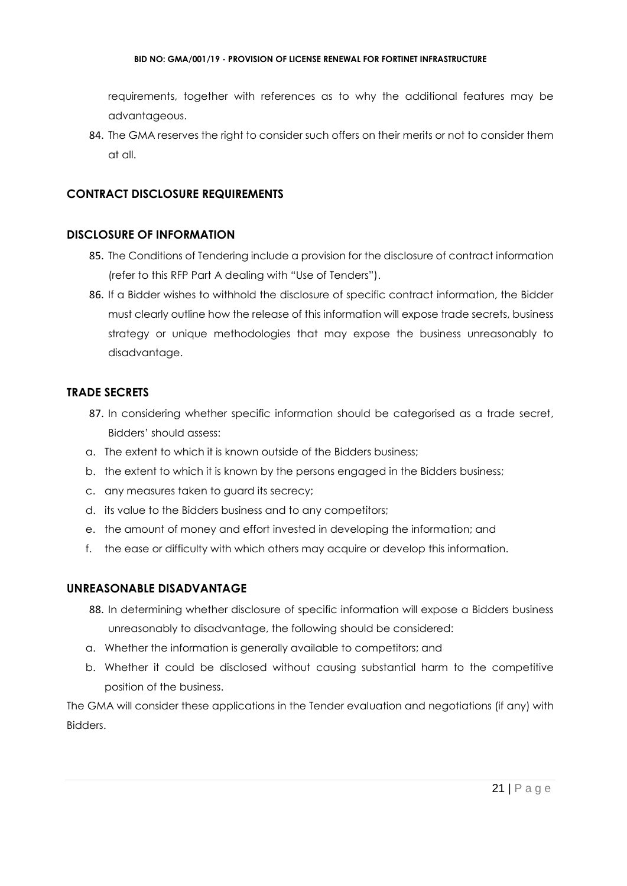#### **BID NO: GMA/001/19 - PROVISION OF LICENSE RENEWAL FOR FORTINET INFRASTRUCTURE**

requirements, together with references as to why the additional features may be advantageous.

84. The GMA reserves the right to consider such offers on their merits or not to consider them at all.

## **CONTRACT DISCLOSURE REQUIREMENTS**

#### **DISCLOSURE OF INFORMATION**

- 85. The Conditions of Tendering include a provision for the disclosure of contract information (refer to this RFP Part A dealing with "Use of Tenders").
- 86. If a Bidder wishes to withhold the disclosure of specific contract information, the Bidder must clearly outline how the release of this information will expose trade secrets, business strategy or unique methodologies that may expose the business unreasonably to disadvantage.

## **TRADE SECRETS**

- 87. In considering whether specific information should be categorised as a trade secret, Bidders' should assess:
- a. The extent to which it is known outside of the Bidders business;
- b. the extent to which it is known by the persons engaged in the Bidders business;
- c. any measures taken to guard its secrecy;
- d. its value to the Bidders business and to any competitors;
- e. the amount of money and effort invested in developing the information; and
- f. the ease or difficulty with which others may acquire or develop this information.

## **UNREASONABLE DISADVANTAGE**

- 88. In determining whether disclosure of specific information will expose a Bidders business unreasonably to disadvantage, the following should be considered:
- a. Whether the information is generally available to competitors; and
- b. Whether it could be disclosed without causing substantial harm to the competitive position of the business.

The GMA will consider these applications in the Tender evaluation and negotiations (if any) with Bidders.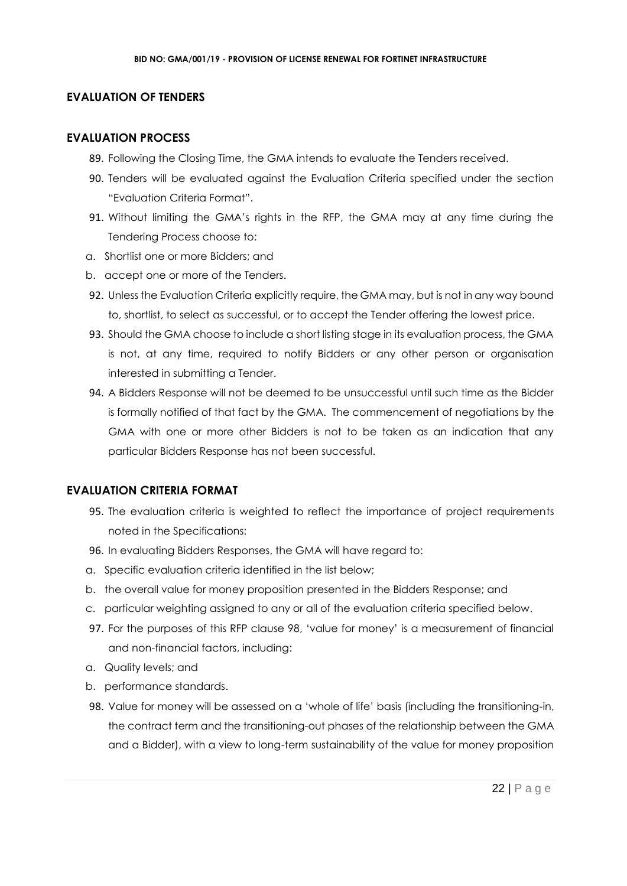#### **EVALUATION OF TENDERS**

#### **EVALUATION PROCESS**

- 89. Following the Closing Time, the GMA intends to evaluate the Tenders received.
- 90. Tenders will be evaluated against the Evaluation Criteria specified under the section "Evaluation Criteria Format".
- 91. Without limiting the GMA's rights in the RFP, the GMA may at any time during the Tendering Process choose to:
- a. Shortlist one or more Bidders; and
- b. accept one or more of the Tenders.
- 92. Unless the Evaluation Criteria explicitly require, the GMA may, but is not in any way bound to, shortlist, to select as successful, or to accept the Tender offering the lowest price.
- 93. Should the GMA choose to include a short listing stage in its evaluation process, the GMA is not, at any time, required to notify Bidders or any other person or organisation interested in submitting a Tender.
- 94. A Bidders Response will not be deemed to be unsuccessful until such time as the Bidder is formally notified of that fact by the GMA. The commencement of negotiations by the GMA with one or more other Bidders is not to be taken as an indication that any particular Bidders Response has not been successful.

#### **EVALUATION CRITERIA FORMAT**

- 95. The evaluation criteria is weighted to reflect the importance of project requirements noted in the Specifications:
- 96. In evaluating Bidders Responses, the GMA will have regard to:
- a. Specific evaluation criteria identified in the list below;
- b. the overall value for money proposition presented in the Bidders Response; and
- c. particular weighting assigned to any or all of the evaluation criteria specified below.
- 97. For the purposes of this RFP clause 98, 'value for money' is a measurement of financial and non-financial factors, including:
- a. Quality levels; and
- b. performance standards.
- 98. Value for money will be assessed on a 'whole of life' basis (including the transitioning-in, the contract term and the transitioning-out phases of the relationship between the GMA and a Bidder), with a view to long-term sustainability of the value for money proposition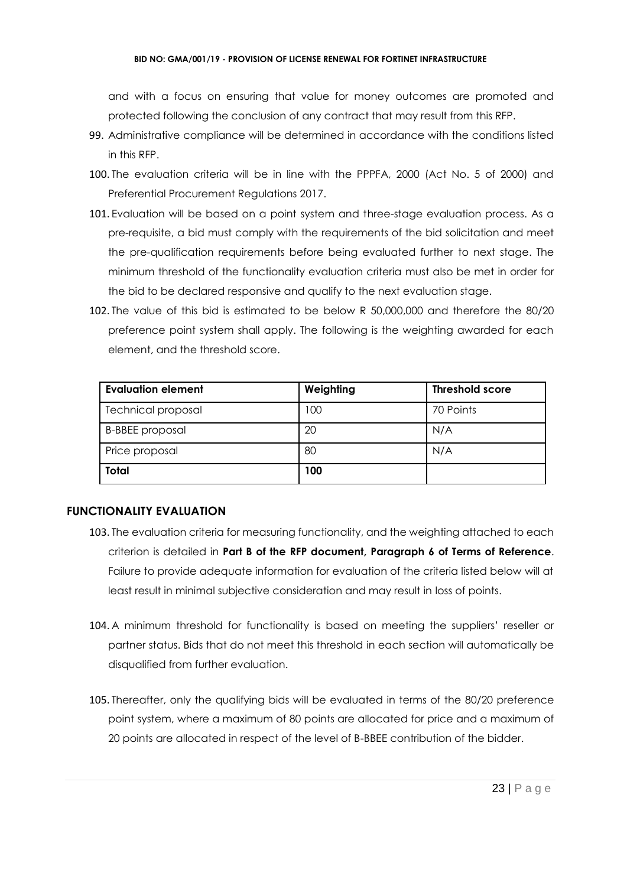#### **BID NO: GMA/001/19 - PROVISION OF LICENSE RENEWAL FOR FORTINET INFRASTRUCTURE**

and with a focus on ensuring that value for money outcomes are promoted and protected following the conclusion of any contract that may result from this RFP.

- 99. Administrative compliance will be determined in accordance with the conditions listed in this RFP.
- 100. The evaluation criteria will be in line with the PPPFA, 2000 (Act No. 5 of 2000) and Preferential Procurement Regulations 2017.
- 101. Evaluation will be based on a point system and three-stage evaluation process. As a pre-requisite, a bid must comply with the requirements of the bid solicitation and meet the pre-qualification requirements before being evaluated further to next stage. The minimum threshold of the functionality evaluation criteria must also be met in order for the bid to be declared responsive and qualify to the next evaluation stage.
- 102. The value of this bid is estimated to be below R 50,000,000 and therefore the 80/20 preference point system shall apply. The following is the weighting awarded for each element, and the threshold score.

| <b>Evaluation element</b> | Weighting | <b>Threshold score</b> |
|---------------------------|-----------|------------------------|
| <b>Technical proposal</b> | 100       | 70 Points              |
| <b>B-BBEE</b> proposal    | 20        | N/A                    |
| Price proposal            | 80        | N/A                    |
| <b>Total</b>              | 100       |                        |

## **FUNCTIONALITY EVALUATION**

- 103. The evaluation criteria for measuring functionality, and the weighting attached to each criterion is detailed in **Part B of the RFP document, Paragraph 6 of Terms of Reference**. Failure to provide adequate information for evaluation of the criteria listed below will at least result in minimal subjective consideration and may result in loss of points.
- 104. A minimum threshold for functionality is based on meeting the suppliers' reseller or partner status. Bids that do not meet this threshold in each section will automatically be disqualified from further evaluation.
- 105. Thereafter, only the qualifying bids will be evaluated in terms of the 80/20 preference point system, where a maximum of 80 points are allocated for price and a maximum of 20 points are allocated in respect of the level of B-BBEE contribution of the bidder.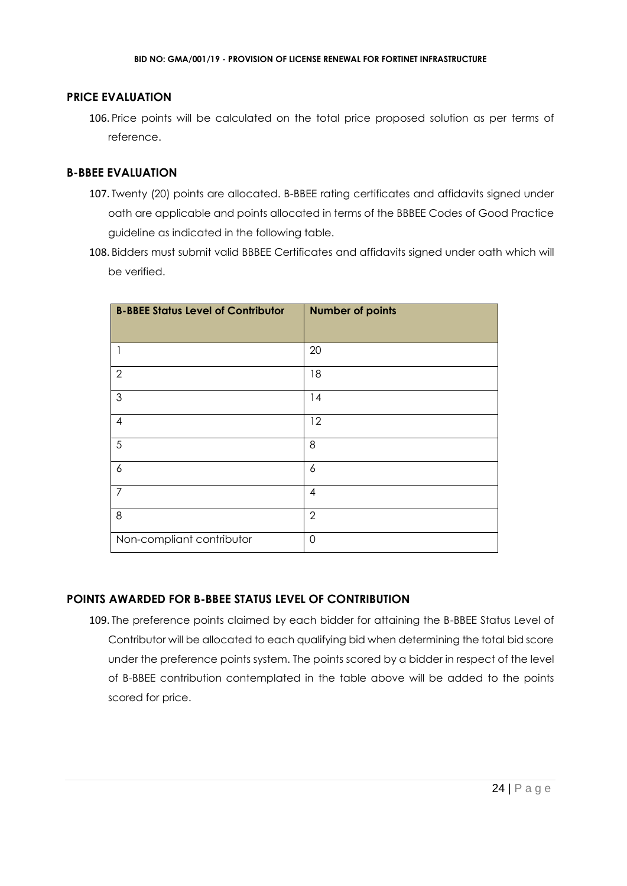## **PRICE EVALUATION**

106. Price points will be calculated on the total price proposed solution as per terms of reference.

#### **B-BBEE EVALUATION**

- 107. Twenty (20) points are allocated. B-BBEE rating certificates and affidavits signed under oath are applicable and points allocated in terms of the BBBEE Codes of Good Practice guideline as indicated in the following table.
- 108. Bidders must submit valid BBBEE Certificates and affidavits signed under oath which will be verified.

| <b>B-BBEE Status Level of Contributor</b> | <b>Number of points</b> |
|-------------------------------------------|-------------------------|
|                                           | 20                      |
| $\overline{2}$                            | 18                      |
| 3                                         | 14                      |
| 4                                         | 12                      |
| 5                                         | 8                       |
| 6                                         | 6                       |
| $\overline{7}$                            | $\overline{4}$          |
| 8                                         | $\overline{2}$          |
| Non-compliant contributor                 | $\Omega$                |

## **POINTS AWARDED FOR B-BBEE STATUS LEVEL OF CONTRIBUTION**

109. The preference points claimed by each bidder for attaining the B-BBEE Status Level of Contributor will be allocated to each qualifying bid when determining the total bid score under the preference points system. The points scored by a bidder in respect of the level of B-BBEE contribution contemplated in the table above will be added to the points scored for price.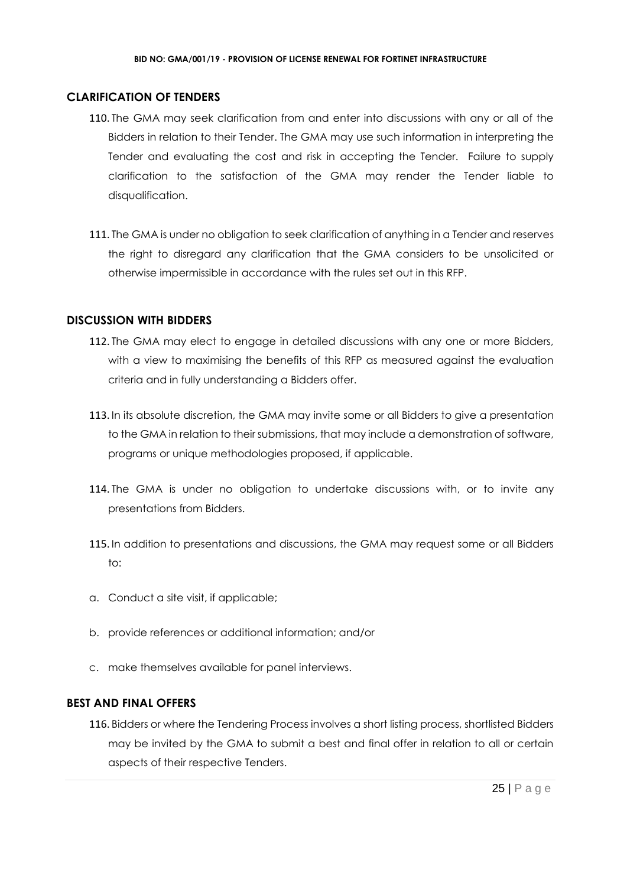#### **CLARIFICATION OF TENDERS**

- 110. The GMA may seek clarification from and enter into discussions with any or all of the Bidders in relation to their Tender. The GMA may use such information in interpreting the Tender and evaluating the cost and risk in accepting the Tender. Failure to supply clarification to the satisfaction of the GMA may render the Tender liable to disqualification.
- 111. The GMA is under no obligation to seek clarification of anything in a Tender and reserves the right to disregard any clarification that the GMA considers to be unsolicited or otherwise impermissible in accordance with the rules set out in this RFP.

#### **DISCUSSION WITH BIDDERS**

- 112. The GMA may elect to engage in detailed discussions with any one or more Bidders, with a view to maximising the benefits of this RFP as measured against the evaluation criteria and in fully understanding a Bidders offer.
- 113. In its absolute discretion, the GMA may invite some or all Bidders to give a presentation to the GMA in relation to their submissions, that may include a demonstration of software, programs or unique methodologies proposed, if applicable.
- 114. The GMA is under no obligation to undertake discussions with, or to invite any presentations from Bidders.
- 115. In addition to presentations and discussions, the GMA may request some or all Bidders to:
- a. Conduct a site visit, if applicable;
- b. provide references or additional information; and/or
- c. make themselves available for panel interviews.

#### **BEST AND FINAL OFFERS**

116. Bidders or where the Tendering Process involves a short listing process, shortlisted Bidders may be invited by the GMA to submit a best and final offer in relation to all or certain aspects of their respective Tenders.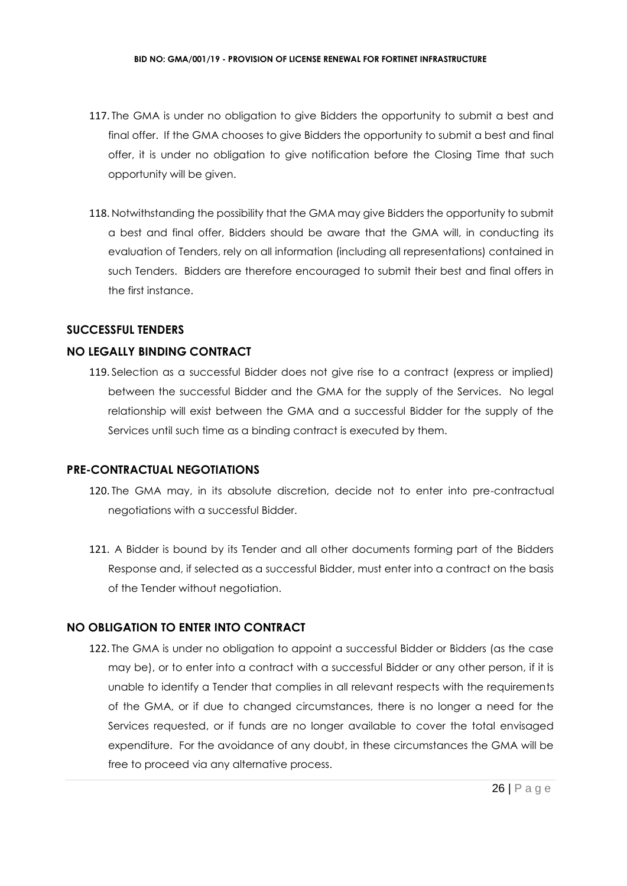- 117. The GMA is under no obligation to give Bidders the opportunity to submit a best and final offer. If the GMA chooses to give Bidders the opportunity to submit a best and final offer, it is under no obligation to give notification before the Closing Time that such opportunity will be given.
- 118. Notwithstanding the possibility that the GMA may give Bidders the opportunity to submit a best and final offer, Bidders should be aware that the GMA will, in conducting its evaluation of Tenders, rely on all information (including all representations) contained in such Tenders. Bidders are therefore encouraged to submit their best and final offers in the first instance.

## **SUCCESSFUL TENDERS**

## **NO LEGALLY BINDING CONTRACT**

119. Selection as a successful Bidder does not give rise to a contract (express or implied) between the successful Bidder and the GMA for the supply of the Services. No legal relationship will exist between the GMA and a successful Bidder for the supply of the Services until such time as a binding contract is executed by them.

#### **PRE-CONTRACTUAL NEGOTIATIONS**

- 120. The GMA may, in its absolute discretion, decide not to enter into pre-contractual negotiations with a successful Bidder.
- 121. A Bidder is bound by its Tender and all other documents forming part of the Bidders Response and, if selected as a successful Bidder, must enter into a contract on the basis of the Tender without negotiation.

## **NO OBLIGATION TO ENTER INTO CONTRACT**

122. The GMA is under no obligation to appoint a successful Bidder or Bidders (as the case may be), or to enter into a contract with a successful Bidder or any other person, if it is unable to identify a Tender that complies in all relevant respects with the requirements of the GMA, or if due to changed circumstances, there is no longer a need for the Services requested, or if funds are no longer available to cover the total envisaged expenditure. For the avoidance of any doubt, in these circumstances the GMA will be free to proceed via any alternative process.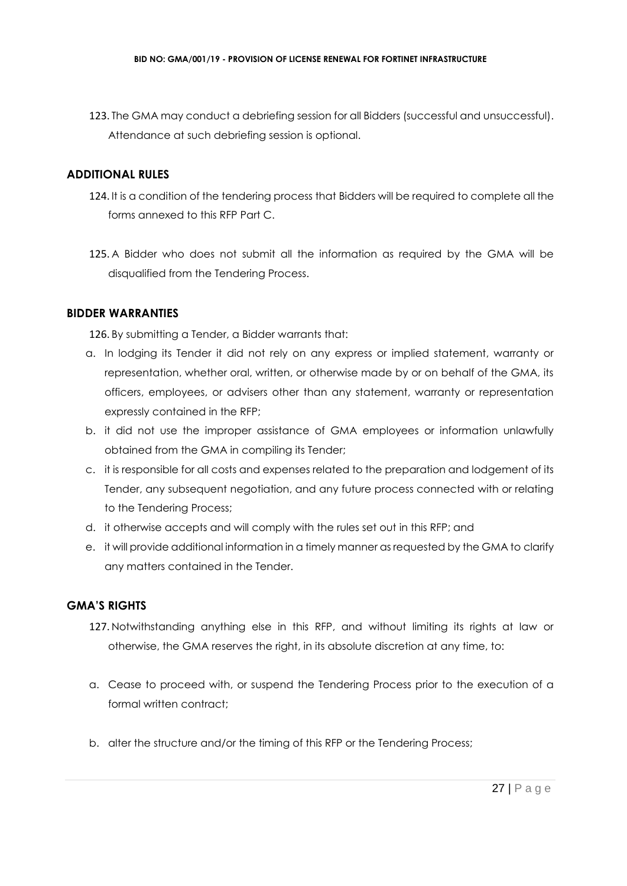123. The GMA may conduct a debriefing session for all Bidders (successful and unsuccessful). Attendance at such debriefing session is optional.

## **ADDITIONAL RULES**

- 124. It is a condition of the tendering process that Bidders will be required to complete all the forms annexed to this RFP Part C.
- 125. A Bidder who does not submit all the information as required by the GMA will be disqualified from the Tendering Process.

#### **BIDDER WARRANTIES**

126. By submitting a Tender, a Bidder warrants that:

- a. In lodging its Tender it did not rely on any express or implied statement, warranty or representation, whether oral, written, or otherwise made by or on behalf of the GMA, its officers, employees, or advisers other than any statement, warranty or representation expressly contained in the RFP;
- b. it did not use the improper assistance of GMA employees or information unlawfully obtained from the GMA in compiling its Tender;
- c. it is responsible for all costs and expenses related to the preparation and lodgement of its Tender, any subsequent negotiation, and any future process connected with or relating to the Tendering Process;
- d. it otherwise accepts and will comply with the rules set out in this RFP; and
- e. it will provide additional information in a timely manner as requested by the GMA to clarify any matters contained in the Tender.

## **GMA'S RIGHTS**

- 127. Notwithstanding anything else in this RFP, and without limiting its rights at law or otherwise, the GMA reserves the right, in its absolute discretion at any time, to:
- a. Cease to proceed with, or suspend the Tendering Process prior to the execution of a formal written contract:
- b. alter the structure and/or the timing of this RFP or the Tendering Process;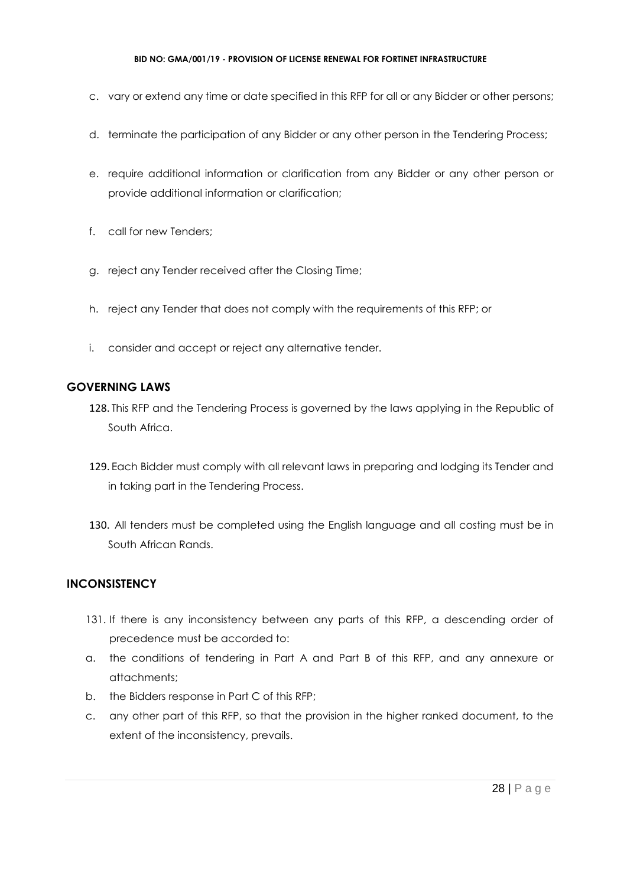- c. vary or extend any time or date specified in this RFP for all or any Bidder or other persons;
- d. terminate the participation of any Bidder or any other person in the Tendering Process;
- e. require additional information or clarification from any Bidder or any other person or provide additional information or clarification;
- f. call for new Tenders;
- g. reject any Tender received after the Closing Time;
- h. reject any Tender that does not comply with the requirements of this RFP; or
- i. consider and accept or reject any alternative tender.

## **GOVERNING LAWS**

- 128. This RFP and the Tendering Process is governed by the laws applying in the Republic of South Africa.
- 129. Each Bidder must comply with all relevant laws in preparing and lodging its Tender and in taking part in the Tendering Process.
- 130. All tenders must be completed using the English language and all costing must be in South African Rands.

## **INCONSISTENCY**

- 131. If there is any inconsistency between any parts of this RFP, a descending order of precedence must be accorded to:
- a. the conditions of tendering in Part A and Part B of this RFP, and any annexure or attachments;
- b. the Bidders response in Part C of this RFP;
- c. any other part of this RFP, so that the provision in the higher ranked document, to the extent of the inconsistency, prevails.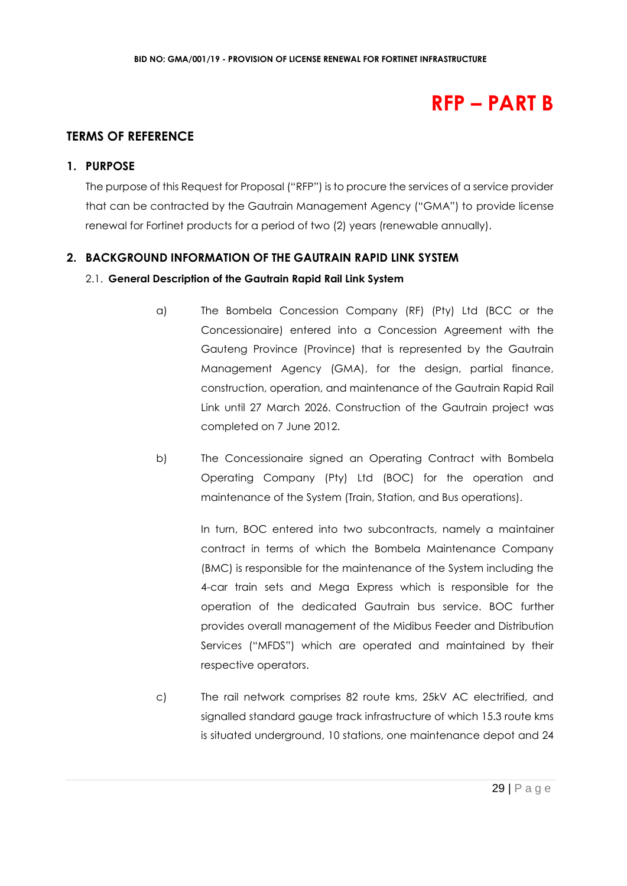## **RFP – PART B**

## **TERMS OF REFERENCE**

#### **1. PURPOSE**

The purpose of this Request for Proposal ("RFP") is to procure the services of a service provider that can be contracted by the Gautrain Management Agency ("GMA") to provide license renewal for Fortinet products for a period of two (2) years (renewable annually).

## **2. BACKGROUND INFORMATION OF THE GAUTRAIN RAPID LINK SYSTEM**

## 2.1. **General Description of the Gautrain Rapid Rail Link System**

- a) The Bombela Concession Company (RF) (Pty) Ltd (BCC or the Concessionaire) entered into a Concession Agreement with the Gauteng Province (Province) that is represented by the Gautrain Management Agency (GMA), for the design, partial finance, construction, operation, and maintenance of the Gautrain Rapid Rail Link until 27 March 2026. Construction of the Gautrain project was completed on 7 June 2012.
- b) The Concessionaire signed an Operating Contract with Bombela Operating Company (Pty) Ltd (BOC) for the operation and maintenance of the System (Train, Station, and Bus operations).

In turn, BOC entered into two subcontracts, namely a maintainer contract in terms of which the Bombela Maintenance Company (BMC) is responsible for the maintenance of the System including the 4-car train sets and Mega Express which is responsible for the operation of the dedicated Gautrain bus service. BOC further provides overall management of the Midibus Feeder and Distribution Services ("MFDS") which are operated and maintained by their respective operators.

c) The rail network comprises 82 route kms, 25kV AC electrified, and signalled standard gauge track infrastructure of which 15.3 route kms is situated underground, 10 stations, one maintenance depot and 24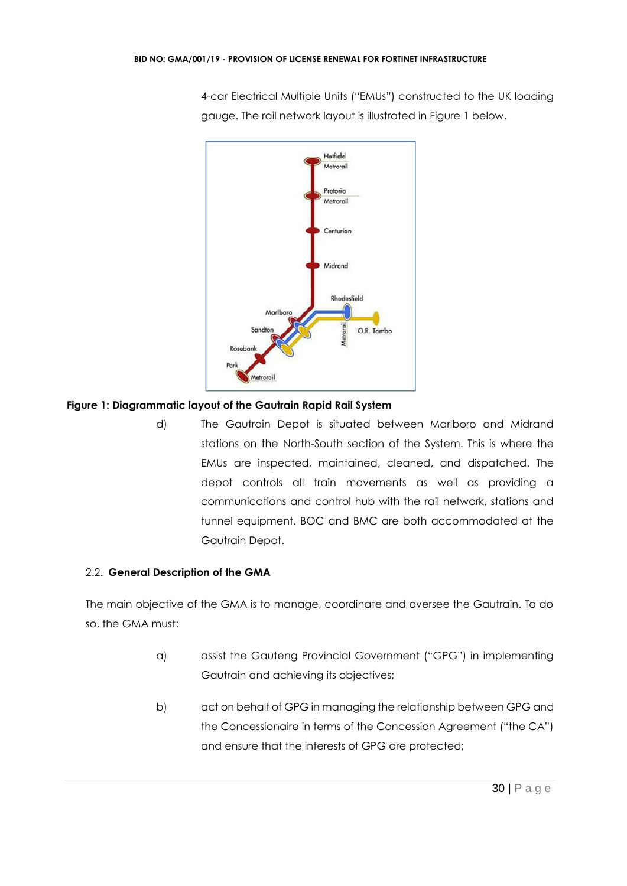4-car Electrical Multiple Units ("EMUs") constructed to the UK loading gauge. The rail network layout is illustrated in Figure 1 below.



## **Figure 1: Diagrammatic layout of the Gautrain Rapid Rail System**

d) The Gautrain Depot is situated between Marlboro and Midrand stations on the North-South section of the System. This is where the EMUs are inspected, maintained, cleaned, and dispatched. The depot controls all train movements as well as providing a communications and control hub with the rail network, stations and tunnel equipment. BOC and BMC are both accommodated at the Gautrain Depot.

## 2.2. **General Description of the GMA**

The main objective of the GMA is to manage, coordinate and oversee the Gautrain. To do so, the GMA must:

- a) assist the Gauteng Provincial Government ("GPG") in implementing Gautrain and achieving its objectives;
- b) act on behalf of GPG in managing the relationship between GPG and the Concessionaire in terms of the Concession Agreement ("the CA") and ensure that the interests of GPG are protected;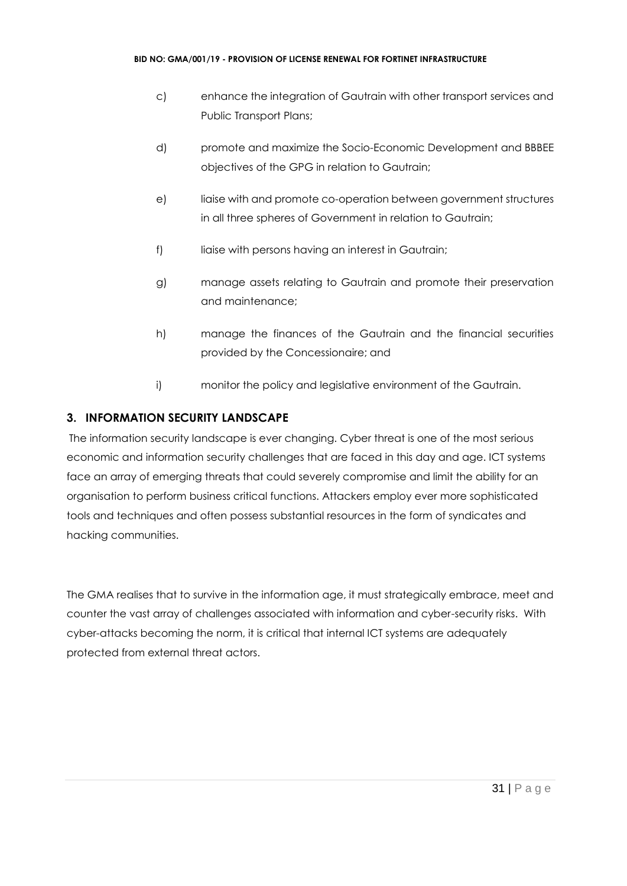- c) enhance the integration of Gautrain with other transport services and Public Transport Plans;
- d) promote and maximize the Socio-Economic Development and BBBEE objectives of the GPG in relation to Gautrain;
- e) liaise with and promote co-operation between government structures in all three spheres of Government in relation to Gautrain;
- f) liaise with persons having an interest in Gautrain;
- g) manage assets relating to Gautrain and promote their preservation and maintenance;
- h) manage the finances of the Gautrain and the financial securities provided by the Concessionaire; and
- i) monitor the policy and legislative environment of the Gautrain.

## **3. INFORMATION SECURITY LANDSCAPE**

The information security landscape is ever changing. Cyber threat is one of the most serious economic and information security challenges that are faced in this day and age. ICT systems face an array of emerging threats that could severely compromise and limit the ability for an organisation to perform business critical functions. Attackers employ ever more sophisticated tools and techniques and often possess substantial resources in the form of syndicates and hacking communities.

The GMA realises that to survive in the information age, it must strategically embrace, meet and counter the vast array of challenges associated with information and cyber-security risks. With cyber-attacks becoming the norm, it is critical that internal ICT systems are adequately protected from external threat actors.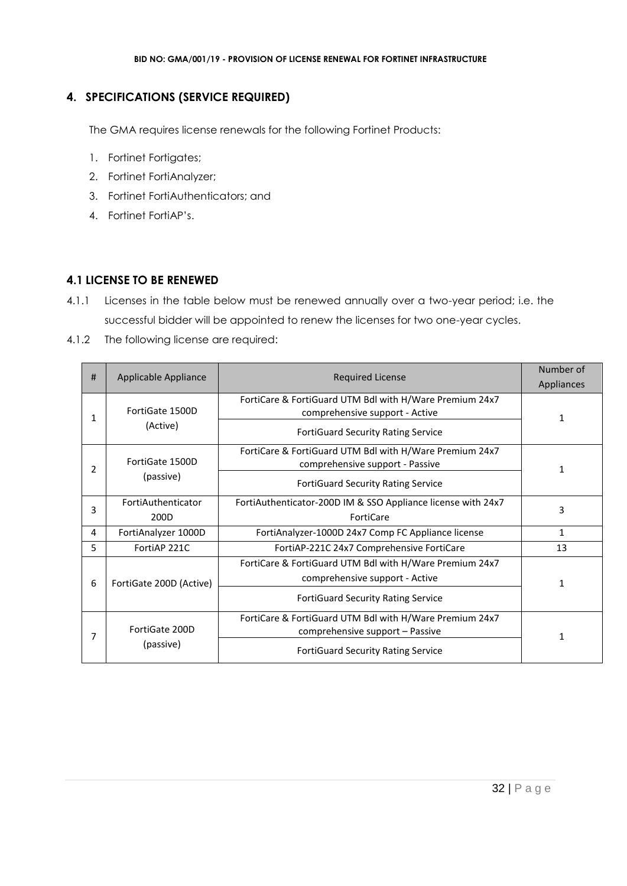## **4. SPECIFICATIONS (SERVICE REQUIRED)**

The GMA requires license renewals for the following Fortinet Products:

- 1. Fortinet Fortigates;
- 2. Fortinet FortiAnalyzer;
- 3. Fortinet FortiAuthenticators; and
- 4. Fortinet FortiAP's.

## **4.1 LICENSE TO BE RENEWED**

- 4.1.1 Licenses in the table below must be renewed annually over a two-year period; i.e. the successful bidder will be appointed to renew the licenses for two one-year cycles.
- 4.1.2 The following license are required:

| #             | Applicable Appliance<br><b>Required License</b> |                                                              | Number of  |
|---------------|-------------------------------------------------|--------------------------------------------------------------|------------|
|               |                                                 |                                                              | Appliances |
| 1             | FortiGate 1500D<br>(Active)                     | FortiCare & FortiGuard UTM Bdl with H/Ware Premium 24x7      |            |
|               |                                                 | comprehensive support - Active                               | 1          |
|               |                                                 | <b>FortiGuard Security Rating Service</b>                    |            |
| $\mathcal{P}$ |                                                 | FortiCare & FortiGuard UTM Bdl with H/Ware Premium 24x7      |            |
|               | FortiGate 1500D                                 | comprehensive support - Passive                              |            |
|               | (passive)                                       | <b>FortiGuard Security Rating Service</b>                    |            |
| 3             | FortiAuthenticator                              | FortiAuthenticator-200D IM & SSO Appliance license with 24x7 | 3          |
|               | 200D                                            | FortiCare                                                    |            |
| 4             | FortiAnalyzer 1000D                             | FortiAnalyzer-1000D 24x7 Comp FC Appliance license           | 1          |
| 5.            | FortiAP 221C                                    | FortiAP-221C 24x7 Comprehensive FortiCare                    | 13         |
|               | FortiGate 200D (Active)                         | FortiCare & FortiGuard UTM Bdl with H/Ware Premium 24x7      |            |
| 6             |                                                 | comprehensive support - Active                               | 1          |
|               |                                                 | <b>FortiGuard Security Rating Service</b>                    |            |
|               | FortiGate 200D<br>(passive)                     | FortiCare & FortiGuard UTM Bdl with H/Ware Premium 24x7      |            |
|               |                                                 | comprehensive support - Passive                              |            |
|               |                                                 | <b>FortiGuard Security Rating Service</b>                    |            |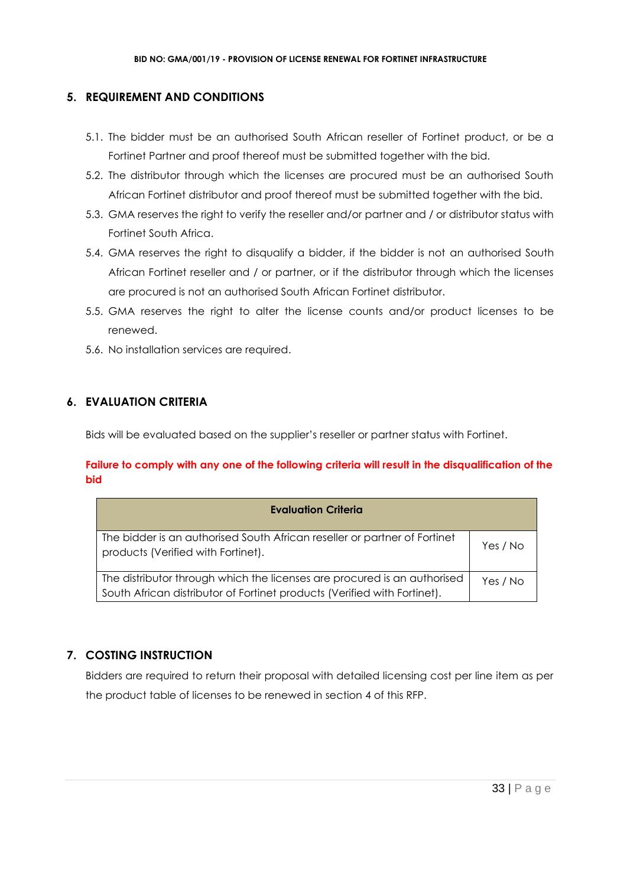## **5. REQUIREMENT AND CONDITIONS**

- 5.1. The bidder must be an authorised South African reseller of Fortinet product, or be a Fortinet Partner and proof thereof must be submitted together with the bid.
- 5.2. The distributor through which the licenses are procured must be an authorised South African Fortinet distributor and proof thereof must be submitted together with the bid.
- 5.3. GMA reserves the right to verify the reseller and/or partner and / or distributor status with Fortinet South Africa.
- 5.4. GMA reserves the right to disqualify a bidder, if the bidder is not an authorised South African Fortinet reseller and / or partner, or if the distributor through which the licenses are procured is not an authorised South African Fortinet distributor.
- 5.5. GMA reserves the right to alter the license counts and/or product licenses to be renewed.
- 5.6. No installation services are required.

## **6. EVALUATION CRITERIA**

Bids will be evaluated based on the supplier's reseller or partner status with Fortinet.

## **Failure to comply with any one of the following criteria will result in the disqualification of the bid**

| <b>Evaluation Criteria</b>                                                                                                                           |          |
|------------------------------------------------------------------------------------------------------------------------------------------------------|----------|
| The bidder is an authorised South African reseller or partner of Fortinet<br>products (Verified with Fortinet).                                      | Yes / No |
| The distributor through which the licenses are procured is an authorised<br>South African distributor of Fortinet products (Verified with Fortinet). | Yes / No |

## **7. COSTING INSTRUCTION**

Bidders are required to return their proposal with detailed licensing cost per line item as per the product table of licenses to be renewed in section 4 of this RFP.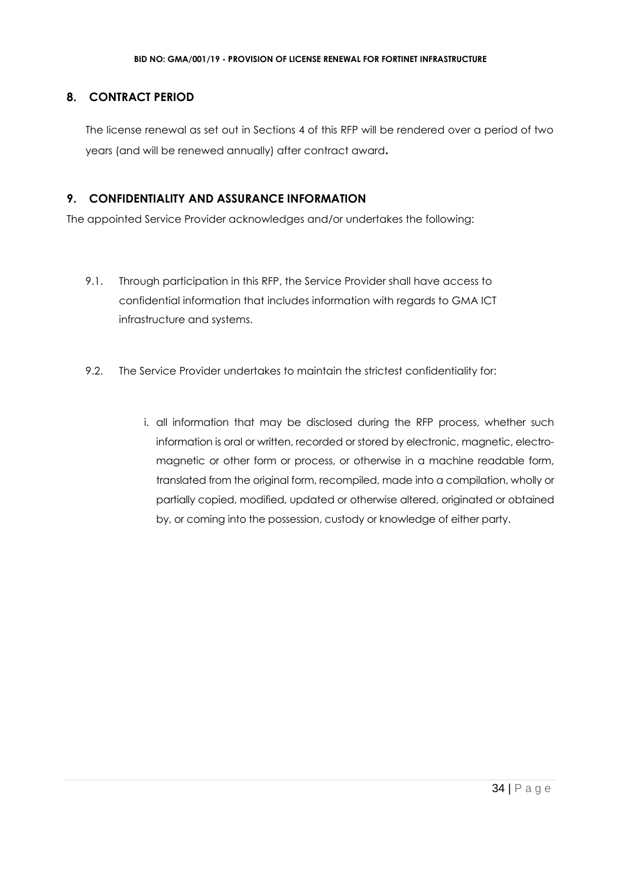## **8. CONTRACT PERIOD**

The license renewal as set out in Sections 4 of this RFP will be rendered over a period of two years (and will be renewed annually) after contract award**.**

## **9. CONFIDENTIALITY AND ASSURANCE INFORMATION**

The appointed Service Provider acknowledges and/or undertakes the following:

- 9.1. Through participation in this RFP, the Service Provider shall have access to confidential information that includes information with regards to GMA ICT infrastructure and systems.
- 9.2. The Service Provider undertakes to maintain the strictest confidentiality for:
	- i. all information that may be disclosed during the RFP process, whether such information is oral or written, recorded or stored by electronic, magnetic, electromagnetic or other form or process, or otherwise in a machine readable form, translated from the original form, recompiled, made into a compilation, wholly or partially copied, modified, updated or otherwise altered, originated or obtained by, or coming into the possession, custody or knowledge of either party.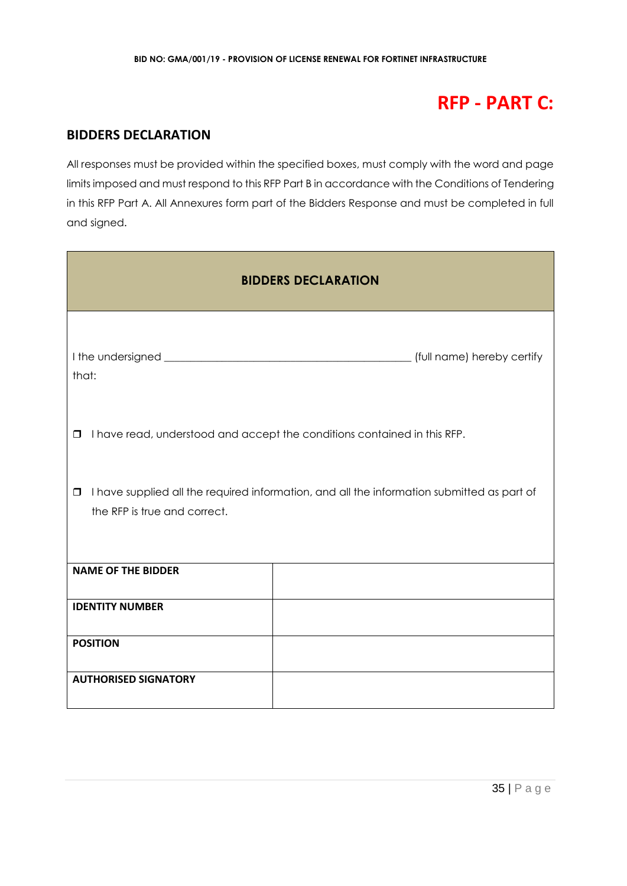## **RFP - PART C:**

## **BIDDERS DECLARATION**

All responses must be provided within the specified boxes, must comply with the word and page limits imposed and must respond to this RFP Part B in accordance with the Conditions of Tendering in this RFP Part A. All Annexures form part of the Bidders Response and must be completed in full and signed.

| <b>BIDDERS DECLARATION</b>                                                                                                           |                            |  |  |
|--------------------------------------------------------------------------------------------------------------------------------------|----------------------------|--|--|
| that:                                                                                                                                | (full name) hereby certify |  |  |
| I have read, understood and accept the conditions contained in this RFP.<br>$\Box$                                                   |                            |  |  |
| I have supplied all the required information, and all the information submitted as part of<br>$\Box$<br>the RFP is true and correct. |                            |  |  |
| <b>NAME OF THE BIDDER</b>                                                                                                            |                            |  |  |
| <b>IDENTITY NUMBER</b>                                                                                                               |                            |  |  |
| <b>POSITION</b>                                                                                                                      |                            |  |  |
| <b>AUTHORISED SIGNATORY</b>                                                                                                          |                            |  |  |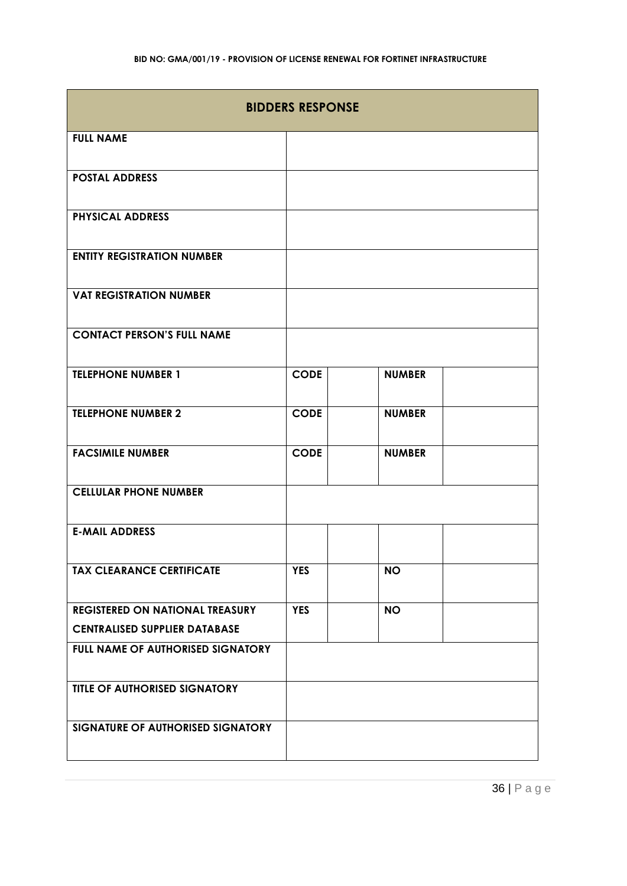| <b>BIDDERS RESPONSE</b>                                                        |             |               |  |
|--------------------------------------------------------------------------------|-------------|---------------|--|
| <b>FULL NAME</b>                                                               |             |               |  |
| <b>POSTAL ADDRESS</b>                                                          |             |               |  |
| <b>PHYSICAL ADDRESS</b>                                                        |             |               |  |
| <b>ENTITY REGISTRATION NUMBER</b>                                              |             |               |  |
| <b>VAT REGISTRATION NUMBER</b>                                                 |             |               |  |
| <b>CONTACT PERSON'S FULL NAME</b>                                              |             |               |  |
| <b>TELEPHONE NUMBER 1</b>                                                      | <b>CODE</b> | <b>NUMBER</b> |  |
| <b>TELEPHONE NUMBER 2</b>                                                      | <b>CODE</b> | <b>NUMBER</b> |  |
| <b>FACSIMILE NUMBER</b>                                                        | <b>CODE</b> | <b>NUMBER</b> |  |
| <b>CELLULAR PHONE NUMBER</b>                                                   |             |               |  |
| <b>E-MAIL ADDRESS</b>                                                          |             |               |  |
| <b>TAX CLEARANCE CERTIFICATE</b>                                               | <b>YES</b>  | <b>NO</b>     |  |
| <b>REGISTERED ON NATIONAL TREASURY</b><br><b>CENTRALISED SUPPLIER DATABASE</b> | <b>YES</b>  | <b>NO</b>     |  |
| FULL NAME OF AUTHORISED SIGNATORY                                              |             |               |  |
| TITLE OF AUTHORISED SIGNATORY                                                  |             |               |  |
| SIGNATURE OF AUTHORISED SIGNATORY                                              |             |               |  |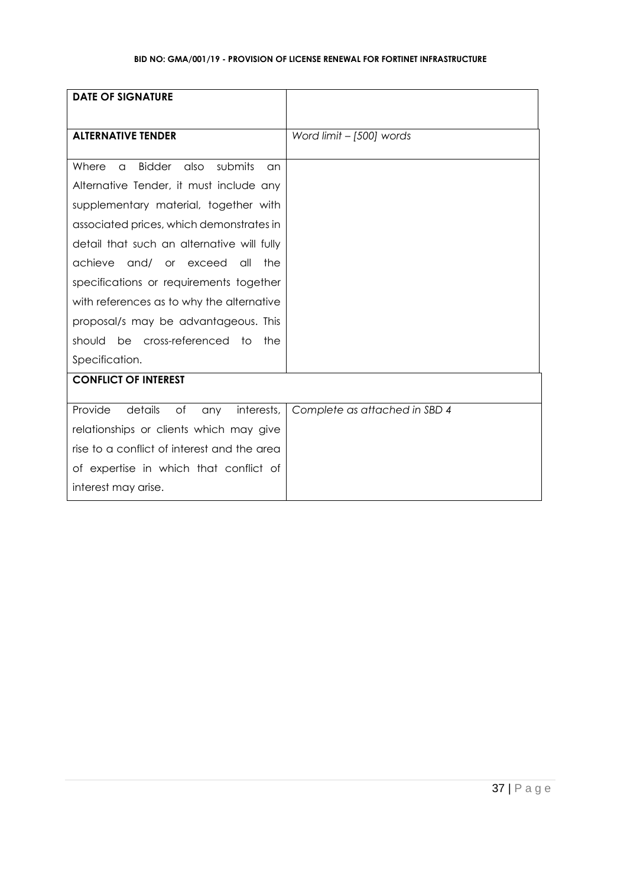| <b>DATE OF SIGNATURE</b>                                    |                               |
|-------------------------------------------------------------|-------------------------------|
|                                                             |                               |
| <b>ALTERNATIVE TENDER</b>                                   | Word limit - [500] words      |
|                                                             |                               |
| <b>Bidder</b><br>submits<br>Where<br>also<br>$\alpha$<br>an |                               |
| Alternative Tender, it must include any                     |                               |
| supplementary material, together with                       |                               |
| associated prices, which demonstrates in                    |                               |
| detail that such an alternative will fully                  |                               |
| achieve<br>and/ or exceed<br>$\alpha$ ll<br>the             |                               |
| specifications or requirements together                     |                               |
| with references as to why the alternative                   |                               |
| proposal/s may be advantageous. This                        |                               |
| should be cross-referenced to<br>the                        |                               |
| Specification.                                              |                               |
| <b>CONFLICT OF INTEREST</b>                                 |                               |
|                                                             |                               |
| Provide<br>details<br>of<br>interests,<br>any               | Complete as attached in SBD 4 |
| relationships or clients which may give                     |                               |
| rise to a conflict of interest and the area                 |                               |
| of expertise in which that conflict of                      |                               |
| interest may arise.                                         |                               |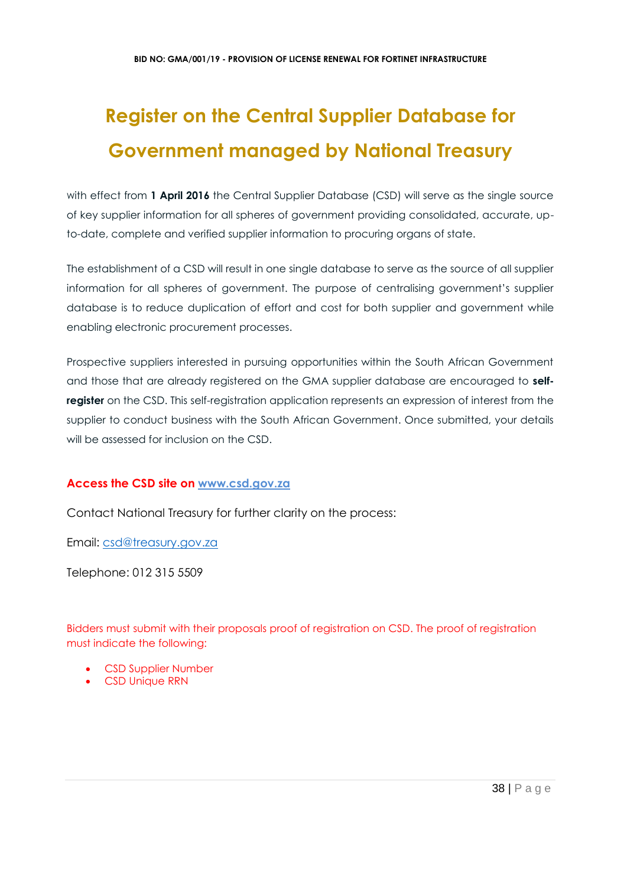# **Register on the Central Supplier Database for Government managed by National Treasury**

with effect from 1 April 2016 the Central Supplier Database (CSD) will serve as the single source of key supplier information for all spheres of government providing consolidated, accurate, upto-date, complete and verified supplier information to procuring organs of state.

The establishment of a CSD will result in one single database to serve as the source of all supplier information for all spheres of government. The purpose of centralising government's supplier database is to reduce duplication of effort and cost for both supplier and government while enabling electronic procurement processes.

Prospective suppliers interested in pursuing opportunities within the South African Government and those that are already registered on the GMA supplier database are encouraged to **selfregister** on the CSD. This self-registration application represents an expression of interest from the supplier to conduct business with the South African Government. Once submitted, your details will be assessed for inclusion on the CSD.

# **Access the CSD site on [www.csd.gov.za](http://www.csd.gov.za/)**

Contact National Treasury for further clarity on the process:

Email: [csd@treasury.gov.za](mailto:csd@treasury.gov.za)

Telephone: 012 315 5509

Bidders must submit with their proposals proof of registration on CSD. The proof of registration must indicate the following:

- CSD Supplier Number
- CSD Unique RRN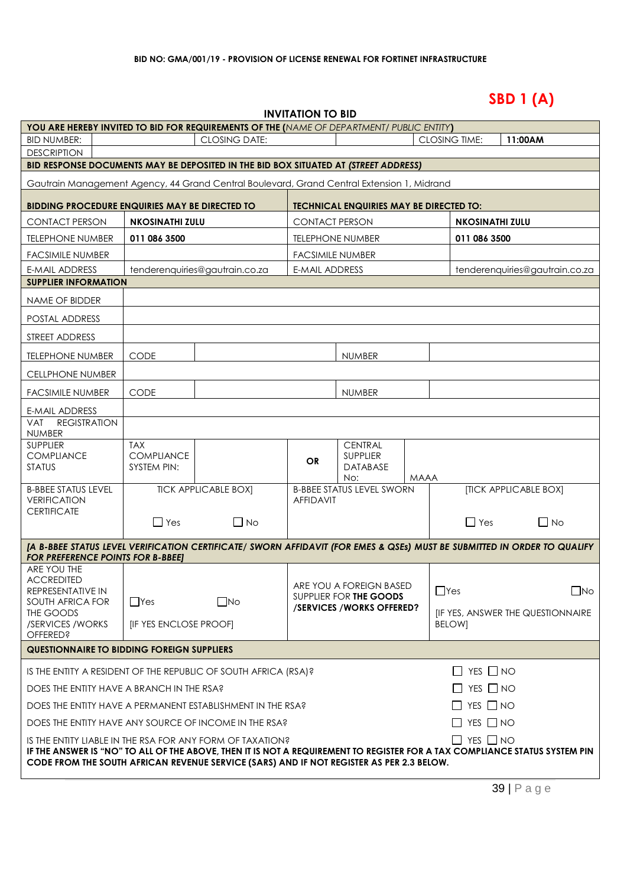# **SBD 1 (A)**

| <b>INVITATION TO BID</b> |
|--------------------------|
|--------------------------|

| YOU ARE HEREBY INVITED TO BID FOR REQUIREMENTS OF THE (NAME OF DEPARTMENT/ PUBLIC ENTITY)                                                                            |                                                                                                                                                                                                                        |                                |                         |                                                    |      |                        |                       |                                   |
|----------------------------------------------------------------------------------------------------------------------------------------------------------------------|------------------------------------------------------------------------------------------------------------------------------------------------------------------------------------------------------------------------|--------------------------------|-------------------------|----------------------------------------------------|------|------------------------|-----------------------|-----------------------------------|
| <b>BID NUMBER:</b>                                                                                                                                                   |                                                                                                                                                                                                                        | <b>CLOSING DATE:</b>           |                         |                                                    |      | <b>CLOSING TIME:</b>   | 11:00AM               |                                   |
| <b>DESCRIPTION</b>                                                                                                                                                   |                                                                                                                                                                                                                        |                                |                         |                                                    |      |                        |                       |                                   |
| BID RESPONSE DOCUMENTS MAY BE DEPOSITED IN THE BID BOX SITUATED AT (STREET ADDRESS)                                                                                  |                                                                                                                                                                                                                        |                                |                         |                                                    |      |                        |                       |                                   |
| Gautrain Management Agency, 44 Grand Central Boulevard, Grand Central Extension 1, Midrand                                                                           |                                                                                                                                                                                                                        |                                |                         |                                                    |      |                        |                       |                                   |
| <b>BIDDING PROCEDURE ENQUIRIES MAY BE DIRECTED TO</b>                                                                                                                |                                                                                                                                                                                                                        |                                |                         | <b>TECHNICAL ENQUIRIES MAY BE DIRECTED TO:</b>     |      |                        |                       |                                   |
| <b>CONTACT PERSON</b>                                                                                                                                                | <b>NKOSINATHI ZULU</b>                                                                                                                                                                                                 |                                | <b>CONTACT PERSON</b>   |                                                    |      | <b>NKOSINATHI ZULU</b> |                       |                                   |
| <b>TELEPHONE NUMBER</b>                                                                                                                                              | 011 086 3500                                                                                                                                                                                                           |                                |                         | <b>TELEPHONE NUMBER</b>                            |      | 011 086 3500           |                       |                                   |
| <b>FACSIMILE NUMBER</b>                                                                                                                                              |                                                                                                                                                                                                                        |                                | <b>FACSIMILE NUMBER</b> |                                                    |      |                        |                       |                                   |
| <b>E-MAIL ADDRESS</b>                                                                                                                                                |                                                                                                                                                                                                                        | tenderenquiries@gautrain.co.za | <b>E-MAIL ADDRESS</b>   |                                                    |      |                        |                       | tenderenquiries@gautrain.co.za    |
| <b>SUPPLIER INFORMATION</b>                                                                                                                                          |                                                                                                                                                                                                                        |                                |                         |                                                    |      |                        |                       |                                   |
| <b>NAME OF BIDDER</b>                                                                                                                                                |                                                                                                                                                                                                                        |                                |                         |                                                    |      |                        |                       |                                   |
| POSTAL ADDRESS                                                                                                                                                       |                                                                                                                                                                                                                        |                                |                         |                                                    |      |                        |                       |                                   |
| STREET ADDRESS                                                                                                                                                       |                                                                                                                                                                                                                        |                                |                         |                                                    |      |                        |                       |                                   |
| <b>TELEPHONE NUMBER</b>                                                                                                                                              | <b>CODE</b>                                                                                                                                                                                                            |                                |                         | <b>NUMBER</b>                                      |      |                        |                       |                                   |
| <b>CELLPHONE NUMBER</b>                                                                                                                                              |                                                                                                                                                                                                                        |                                |                         |                                                    |      |                        |                       |                                   |
| <b>FACSIMILE NUMBER</b>                                                                                                                                              | <b>CODE</b>                                                                                                                                                                                                            |                                |                         | <b>NUMBER</b>                                      |      |                        |                       |                                   |
| E-MAIL ADDRESS                                                                                                                                                       |                                                                                                                                                                                                                        |                                |                         |                                                    |      |                        |                       |                                   |
| VAT<br><b>REGISTRATION</b><br><b>NUMBER</b>                                                                                                                          |                                                                                                                                                                                                                        |                                |                         |                                                    |      |                        |                       |                                   |
| <b>SUPPLIER</b>                                                                                                                                                      | <b>TAX</b>                                                                                                                                                                                                             |                                |                         | <b>CENTRAL</b>                                     |      |                        |                       |                                   |
| <b>COMPLIANCE</b><br><b>STATUS</b>                                                                                                                                   | <b>COMPLIANCE</b><br><b>SYSTEM PIN:</b>                                                                                                                                                                                |                                | <b>OR</b>               | <b>SUPPLIER</b><br><b>DATABASE</b>                 |      |                        |                       |                                   |
|                                                                                                                                                                      |                                                                                                                                                                                                                        |                                |                         | No:                                                | MAAA |                        |                       |                                   |
| <b>B-BBEE STATUS LEVEL</b><br><b>VERIFICATION</b>                                                                                                                    |                                                                                                                                                                                                                        | <b>TICK APPLICABLE BOX]</b>    | <b>AFFIDAVIT</b>        | <b>B-BBEE STATUS LEVEL SWORN</b>                   |      |                        | [TICK APPLICABLE BOX] |                                   |
| <b>CERTIFICATE</b>                                                                                                                                                   | $\Box$ Yes                                                                                                                                                                                                             | $\Box$ No                      |                         |                                                    |      | $\Box$ Yes             |                       | $\Box$ No                         |
|                                                                                                                                                                      |                                                                                                                                                                                                                        |                                |                         |                                                    |      |                        |                       |                                   |
| [A B-BBEE STATUS LEVEL VERIFICATION CERTIFICATE/ SWORN AFFIDAVIT (FOR EMES & QSEs) MUST BE SUBMITTED IN ORDER TO QUALIFY<br><b>FOR PREFERENCE POINTS FOR B-BBEET</b> |                                                                                                                                                                                                                        |                                |                         |                                                    |      |                        |                       |                                   |
| ARE YOU THE                                                                                                                                                          |                                                                                                                                                                                                                        |                                |                         |                                                    |      |                        |                       |                                   |
| <b>ACCREDITED</b><br>REPRESENTATIVE IN                                                                                                                               |                                                                                                                                                                                                                        |                                |                         | ARE YOU A FOREIGN BASED                            |      | $\Box$ Yes             |                       | $\square$ No                      |
| SOUTH AFRICA FOR                                                                                                                                                     | $\Box$ Yes                                                                                                                                                                                                             | $\square$ No                   |                         | SUPPLIER FOR THE GOODS<br>/SERVICES/WORKS OFFERED? |      |                        |                       |                                   |
| THE GOODS<br>/SERVICES / WORKS                                                                                                                                       | <b>IF YES ENCLOSE PROOFI</b>                                                                                                                                                                                           |                                |                         |                                                    |      | <b>BELOWI</b>          |                       | [IF YES, ANSWER THE QUESTIONNAIRE |
| <b>OFFERED?</b>                                                                                                                                                      |                                                                                                                                                                                                                        |                                |                         |                                                    |      |                        |                       |                                   |
| <b>QUESTIONNAIRE TO BIDDING FOREIGN SUPPLIERS</b>                                                                                                                    |                                                                                                                                                                                                                        |                                |                         |                                                    |      |                        |                       |                                   |
| IS THE ENTITY A RESIDENT OF THE REPUBLIC OF SOUTH AFRICA (RSA)?                                                                                                      |                                                                                                                                                                                                                        |                                |                         |                                                    |      | $\Box$ YES $\Box$ NO   |                       |                                   |
| $\Box$ YES $\Box$ NO<br>DOES THE ENTITY HAVE A BRANCH IN THE RSA?                                                                                                    |                                                                                                                                                                                                                        |                                |                         |                                                    |      |                        |                       |                                   |
| DOES THE ENTITY HAVE A PERMANENT ESTABLISHMENT IN THE RSA?                                                                                                           |                                                                                                                                                                                                                        |                                |                         |                                                    |      | $\Box$ YES $\Box$ NO   |                       |                                   |
| DOES THE ENTITY HAVE ANY SOURCE OF INCOME IN THE RSA?                                                                                                                |                                                                                                                                                                                                                        |                                |                         |                                                    |      | $\Box$ YES $\Box$ NO   |                       |                                   |
| IS THE ENTITY LIABLE IN THE RSA FOR ANY FORM OF TAXATION?                                                                                                            |                                                                                                                                                                                                                        |                                |                         |                                                    |      | $\Box$ YES $\Box$ NO   |                       |                                   |
|                                                                                                                                                                      | IF THE ANSWER IS "NO" TO ALL OF THE ABOVE, THEN IT IS NOT A REQUIREMENT TO REGISTER FOR A TAX COMPLIANCE STATUS SYSTEM PIN<br>CODE FROM THE SOUTH AFRICAN REVENUE SERVICE (SARS) AND IF NOT REGISTER AS PER 2.3 BELOW. |                                |                         |                                                    |      |                        |                       |                                   |
|                                                                                                                                                                      |                                                                                                                                                                                                                        |                                |                         |                                                    |      |                        |                       |                                   |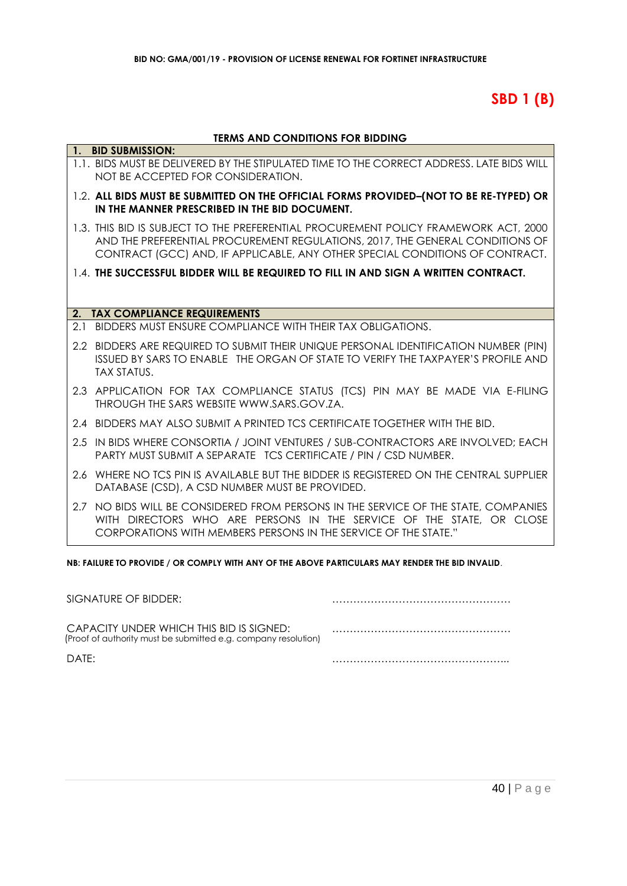# **SBD 1 (B)**

### **TERMS AND CONDITIONS FOR BIDDING**

| 1.  | <b>BID SUBMISSION:</b>                                                                                                                                                                                                                               |
|-----|------------------------------------------------------------------------------------------------------------------------------------------------------------------------------------------------------------------------------------------------------|
|     | 1.1. BIDS MUST BE DELIVERED BY THE STIPULATED TIME TO THE CORRECT ADDRESS. LATE BIDS WILL<br>NOT BE ACCEPTED FOR CONSIDERATION.                                                                                                                      |
|     | 1.2. ALL BIDS MUST BE SUBMITTED ON THE OFFICIAL FORMS PROVIDED-(NOT TO BE RE-TYPED) OR<br>IN THE MANNER PRESCRIBED IN THE BID DOCUMENT.                                                                                                              |
|     | 1.3. THIS BID IS SUBJECT TO THE PREFERENTIAL PROCUREMENT POLICY FRAMEWORK ACT, 2000<br>AND THE PREFERENTIAL PROCUREMENT REGULATIONS, 2017, THE GENERAL CONDITIONS OF<br>CONTRACT (GCC) AND, IF APPLICABLE, ANY OTHER SPECIAL CONDITIONS OF CONTRACT. |
|     | 1.4. THE SUCCESSFUL BIDDER WILL BE REQUIRED TO FILL IN AND SIGN A WRITTEN CONTRACT.                                                                                                                                                                  |
|     |                                                                                                                                                                                                                                                      |
|     | 2. TAX COMPLIANCE REQUIREMENTS                                                                                                                                                                                                                       |
| 2.1 | BIDDERS MUST ENSURE COMPLIANCE WITH THEIR TAX OBLIGATIONS.                                                                                                                                                                                           |
|     | 2.2 BIDDERS ARE REQUIRED TO SUBMIT THEIR UNIQUE PERSONAL IDENTIFICATION NUMBER (PIN)<br>ISSUED BY SARS TO ENABLE THE ORGAN OF STATE TO VERIFY THE TAXPAYER'S PROFILE AND<br><b>TAX STATUS.</b>                                                       |
|     | 2.3 APPLICATION FOR TAX COMPLIANCE STATUS (TCS) PIN MAY BE MADE VIA E-FILING<br>THROUGH THE SARS WEBSITE WWW.SARS.GOV.ZA.                                                                                                                            |
|     | 2.4 BIDDERS MAY ALSO SUBMIT A PRINTED TCS CERTIFICATE TOGETHER WITH THE BID.                                                                                                                                                                         |
|     | 2.5 IN BIDS WHERE CONSORTIA / JOINT VENTURES / SUB-CONTRACTORS ARE INVOLVED; EACH<br><b>PARTY MUST SUBMIT A SEPARATE TCS CERTIFICATE / PIN / CSD NUMBER.</b>                                                                                         |
|     | 2.6 WHERE NO TCS PIN IS AVAILABLE BUT THE BIDDER IS REGISTERED ON THE CENTRAL SUPPLIER<br>DATABASE (CSD), A CSD NUMBER MUST BE PROVIDED.                                                                                                             |
| 2.7 | NO BIDS WILL BE CONSIDERED FROM PERSONS IN THE SERVICE OF THE STATE, COMPANIES<br>WITH DIRECTORS WHO ARE PERSONS IN THE SERVICE OF THE STATE, OR CLOSE<br>CORPORATIONS WITH MEMBERS PERSONS IN THE SERVICE OF THE STATE."                            |

**NB: FAILURE TO PROVIDE / OR COMPLY WITH ANY OF THE ABOVE PARTICULARS MAY RENDER THE BID INVALID**.

| SIGNATURE OF BIDDER:                                                                                       |  |
|------------------------------------------------------------------------------------------------------------|--|
| CAPACITY UNDER WHICH THIS BID IS SIGNED:<br>(Proof of authority must be submitted e.g. company resolution) |  |
| DATF:                                                                                                      |  |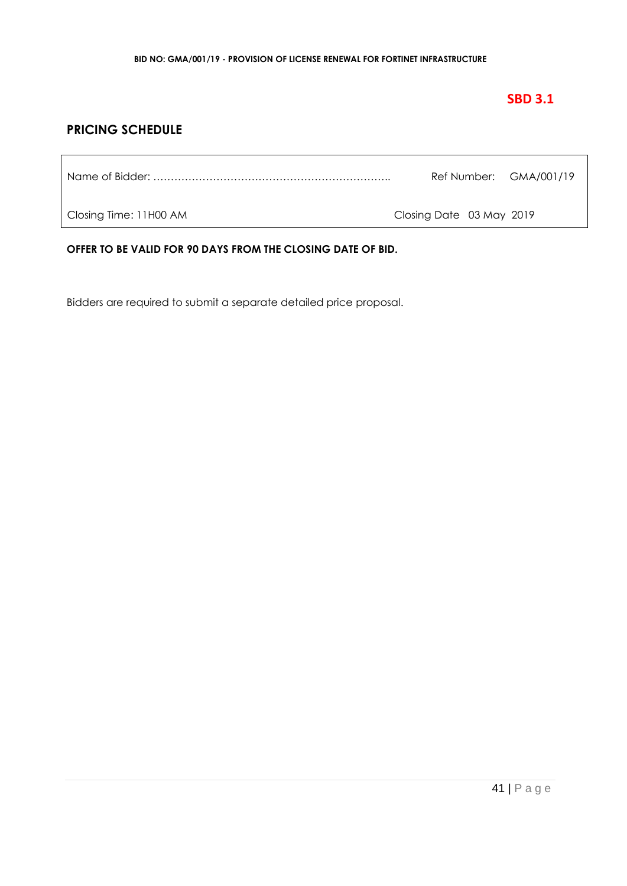# **SBD 3.1**

# **PRICING SCHEDULE**

| Ref Number: GMA/001/19 |  |
|------------------------|--|
|                        |  |

Closing Time: 11H00 AM Closing Date 03 May 2019

**OFFER TO BE VALID FOR 90 DAYS FROM THE CLOSING DATE OF BID.**

Bidders are required to submit a separate detailed price proposal.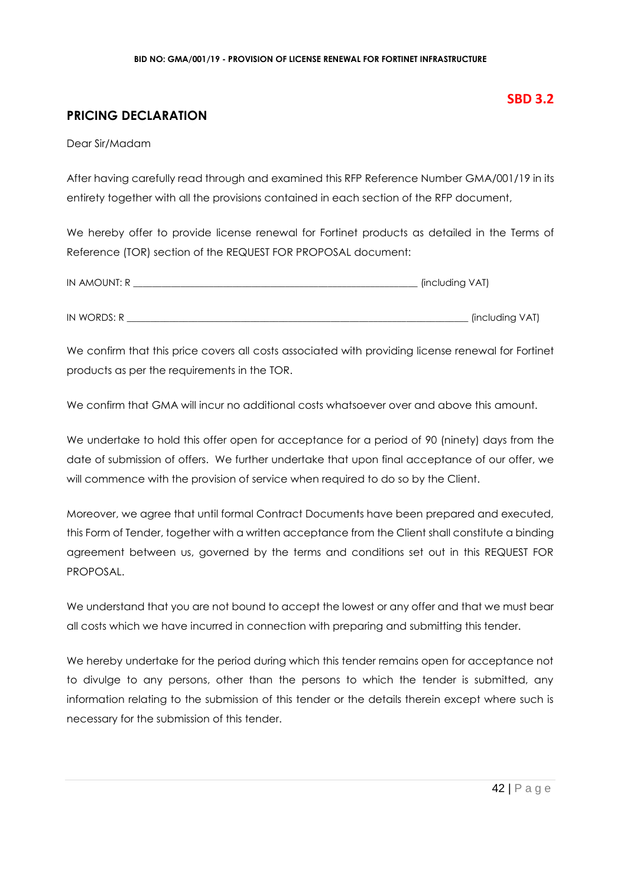# **PRICING DECLARATION**

Dear Sir/Madam

After having carefully read through and examined this RFP Reference Number GMA/001/19 in its entirety together with all the provisions contained in each section of the RFP document,

We hereby offer to provide license renewal for Fortinet products as detailed in the Terms of Reference (TOR) section of the REQUEST FOR PROPOSAL document:

| IN AMOUNT: R | . (including VAT) |
|--------------|-------------------|
|              |                   |
| IN WORDS: R  | (including VAT)   |

We confirm that this price covers all costs associated with providing license renewal for Fortinet products as per the requirements in the TOR.

We confirm that GMA will incur no additional costs whatsoever over and above this amount.

We undertake to hold this offer open for acceptance for a period of 90 (ninety) days from the date of submission of offers. We further undertake that upon final acceptance of our offer, we will commence with the provision of service when required to do so by the Client.

Moreover, we agree that until formal Contract Documents have been prepared and executed, this Form of Tender, together with a written acceptance from the Client shall constitute a binding agreement between us, governed by the terms and conditions set out in this REQUEST FOR PROPOSAL.

We understand that you are not bound to accept the lowest or any offer and that we must bear all costs which we have incurred in connection with preparing and submitting this tender.

We hereby undertake for the period during which this tender remains open for acceptance not to divulge to any persons, other than the persons to which the tender is submitted, any information relating to the submission of this tender or the details therein except where such is necessary for the submission of this tender.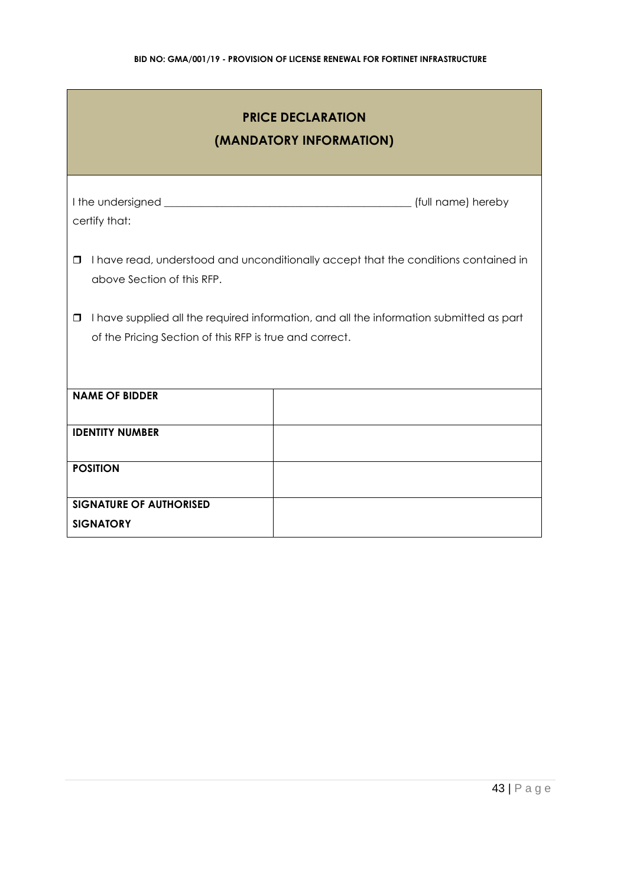| <b>PRICE DECLARATION</b><br>(MANDATORY INFORMATION)                                                                                                          |                                                                                     |  |  |
|--------------------------------------------------------------------------------------------------------------------------------------------------------------|-------------------------------------------------------------------------------------|--|--|
| certify that:                                                                                                                                                |                                                                                     |  |  |
| $\Box$<br>above Section of this RFP.                                                                                                                         | I have read, understood and unconditionally accept that the conditions contained in |  |  |
| I have supplied all the required information, and all the information submitted as part<br>$\Box$<br>of the Pricing Section of this RFP is true and correct. |                                                                                     |  |  |
| <b>NAME OF BIDDER</b>                                                                                                                                        |                                                                                     |  |  |
| <b>IDENTITY NUMBER</b>                                                                                                                                       |                                                                                     |  |  |
| <b>POSITION</b>                                                                                                                                              |                                                                                     |  |  |
| <b>SIGNATURE OF AUTHORISED</b><br><b>SIGNATORY</b>                                                                                                           |                                                                                     |  |  |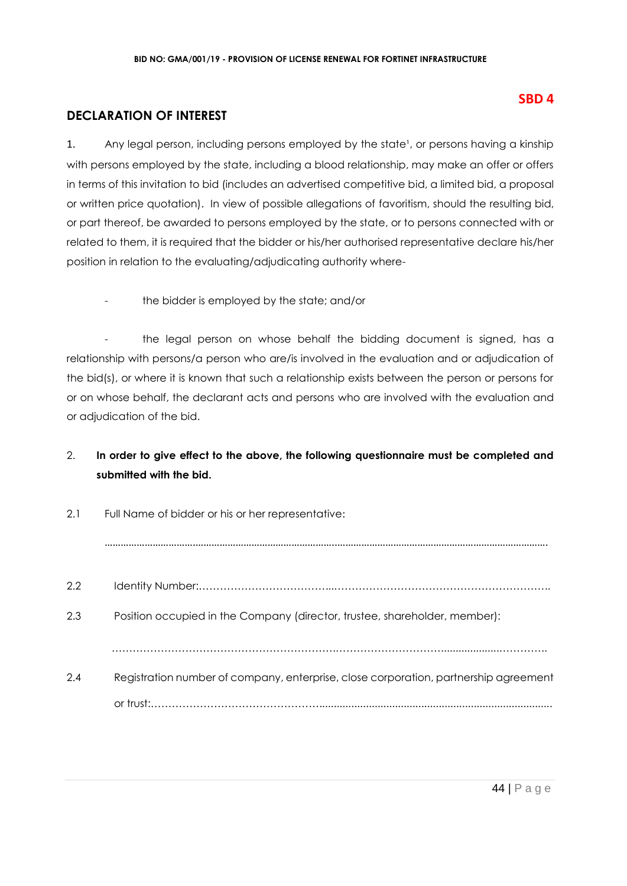# **DECLARATION OF INTEREST**

1. Any legal person, including persons employed by the state<sup>1</sup>, or persons having a kinship with persons employed by the state, including a blood relationship, may make an offer or offers in terms of this invitation to bid (includes an advertised competitive bid, a limited bid, a proposal or written price quotation). In view of possible allegations of favoritism, should the resulting bid, or part thereof, be awarded to persons employed by the state, or to persons connected with or related to them, it is required that the bidder or his/her authorised representative declare his/her position in relation to the evaluating/adjudicating authority where-

the bidder is employed by the state; and/or

- the legal person on whose behalf the bidding document is signed, has a relationship with persons/a person who are/is involved in the evaluation and or adjudication of the bid(s), or where it is known that such a relationship exists between the person or persons for or on whose behalf, the declarant acts and persons who are involved with the evaluation and or adjudication of the bid.

# 2. **In order to give effect to the above, the following questionnaire must be completed and submitted with the bid.**

| 2.1<br>Full Name of bidder or his or her representative: |                                                                                      |
|----------------------------------------------------------|--------------------------------------------------------------------------------------|
|                                                          |                                                                                      |
| 2.2                                                      |                                                                                      |
| 2.3                                                      | Position occupied in the Company (director, trustee, shareholder, member):           |
|                                                          |                                                                                      |
| 2.4                                                      | Registration number of company, enterprise, close corporation, partnership agreement |
|                                                          |                                                                                      |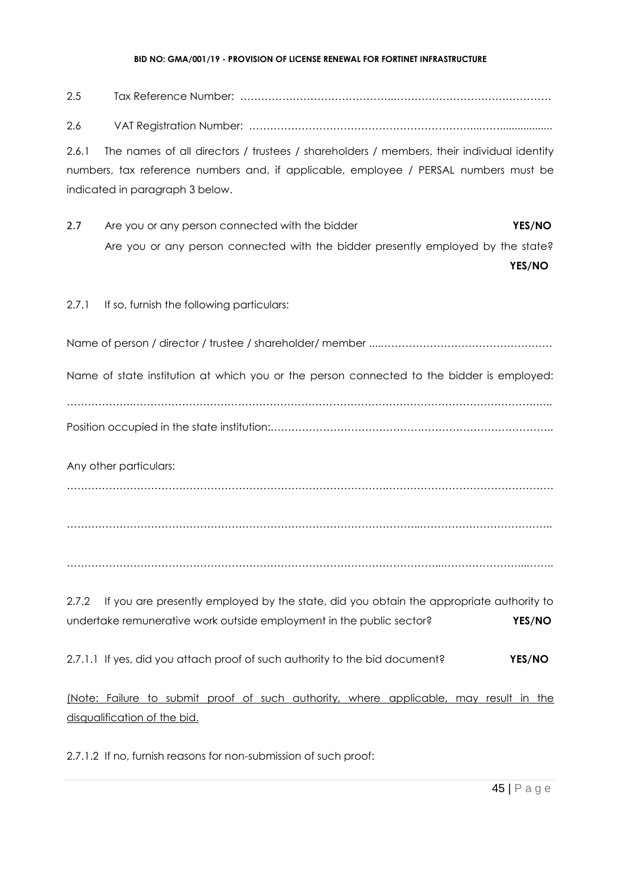2.5 Tax Reference Number: ……………………………………..……………………………………… 2.6 VAT Registration Number: ………………………………………………………...…….................. 2.6.1 The names of all directors / trustees / shareholders / members, their individual identity numbers, tax reference numbers and, if applicable, employee / PERSAL numbers must be indicated in paragraph 3 below. 2.7 Are you or any person connected with the bidder **YES/NO** Are you or any person connected with the bidder presently employed by the state? **YES/NO** 2.7.1 If so, furnish the following particulars: Name of person / director / trustee / shareholder/ member ....…………………………………………. Name of state institution at which you or the person connected to the bidder is employed: ……………….…………………………………………………………………………………………………….….. Position occupied in the state institution:…………………………………….……………………………….. Any other particulars: ……………………………………………………………………………….………………………………………… ………………………………………………………………………………………..……………………………….. ……………………………………………………………………………………………...…………………...…….. 2.7.2 If you are presently employed by the state, did you obtain the appropriate authority to undertake remunerative work outside employment in the public sector? **YES/NO** 2.7.1.1 If yes, did you attach proof of such authority to the bid document? **YES/NO** (Note: Failure to submit proof of such authority, where applicable, may result in the disqualification of the bid.

2.7.1.2 If no, furnish reasons for non-submission of such proof: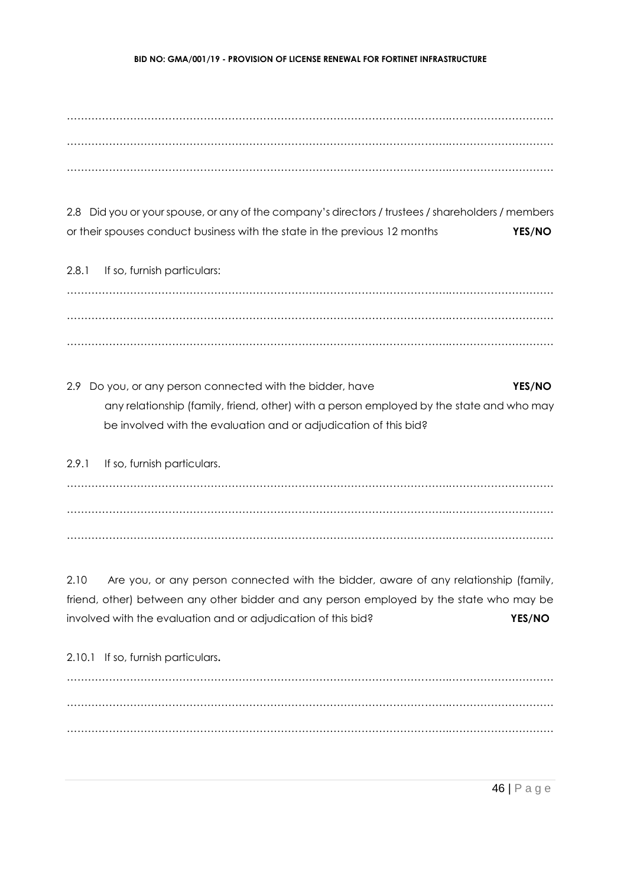……………………………………………………………………………………………….………………………… ……………………………………………………………………………………………….………………………… ……………………………………………………………………………………………….…………………………

2.8 Did you or your spouse, or any of the company's directors / trustees / shareholders / members or their spouses conduct business with the state in the previous 12 months **YES/NO**

2.8.1 If so, furnish particulars: ……………………………………………………………………………………………….………………………… ……………………………………………………………………………………………….………………………… ……………………………………………………………………………………………….…………………………

2.9 Do you, or any person connected with the bidder, have **YES/NO** any relationship (family, friend, other) with a person employed by the state and who may be involved with the evaluation and or adjudication of this bid?

2.9.1 If so, furnish particulars. ……………………………………………………………………………………………….………………………… ……………………………………………………………………………………………….………………………… ……………………………………………………………………………………………….…………………………

2.10 Are you, or any person connected with the bidder, aware of any relationship (family, friend, other) between any other bidder and any person employed by the state who may be involved with the evaluation and or adjudication of this bid? **YES/NO**

2.10.1 If so, furnish particulars**.** ……………………………………………………………………………………………….………………………… ……………………………………………………………………………………………….………………………… ……………………………………………………………………………………………….…………………………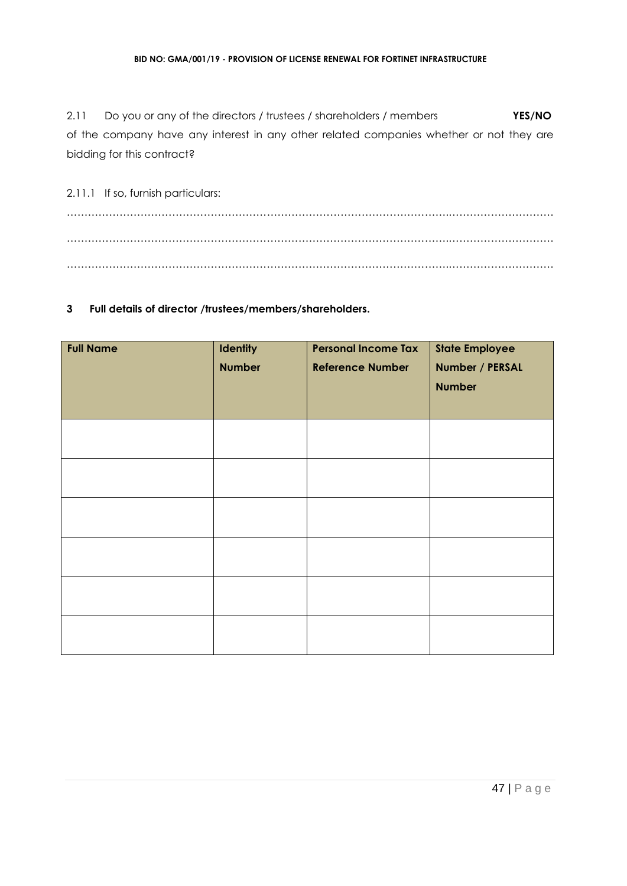2.11 Do you or any of the directors / trustees / shareholders / members **YES/NO** of the company have any interest in any other related companies whether or not they are bidding for this contract?

2.11.1 If so, furnish particulars: ……………………………………………………………………………………………….………………………… ……………………………………………………………………………………………….………………………… ……………………………………………………………………………………………….…………………………

### **3 Full details of director /trustees/members/shareholders.**

| <b>Full Name</b> | <b>Identity</b><br><b>Number</b> | <b>Personal Income Tax</b><br><b>Reference Number</b> | <b>State Employee</b><br>Number / PERSAL<br><b>Number</b> |
|------------------|----------------------------------|-------------------------------------------------------|-----------------------------------------------------------|
|                  |                                  |                                                       |                                                           |
|                  |                                  |                                                       |                                                           |
|                  |                                  |                                                       |                                                           |
|                  |                                  |                                                       |                                                           |
|                  |                                  |                                                       |                                                           |
|                  |                                  |                                                       |                                                           |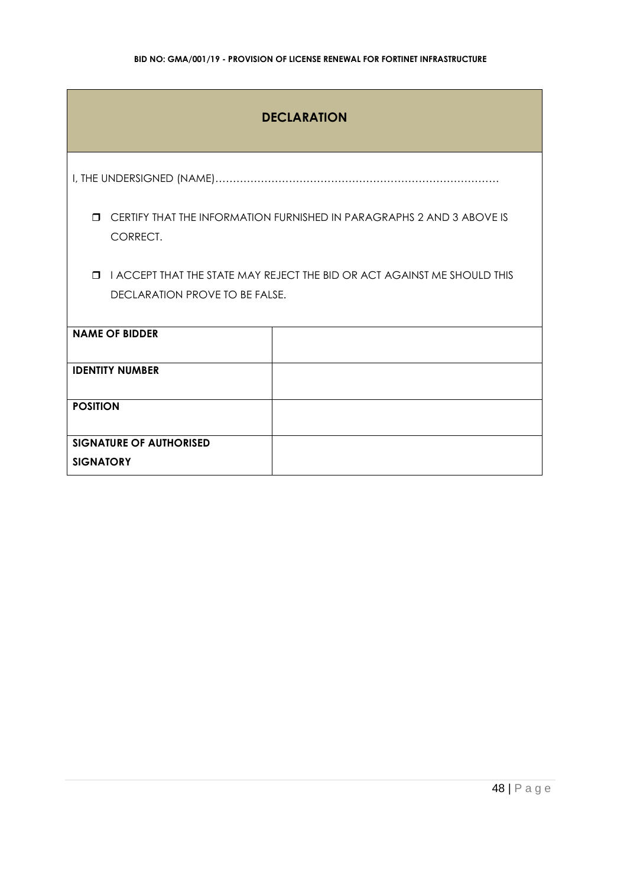| <b>DECLARATION</b>                                                                          |                                                                          |  |  |  |  |
|---------------------------------------------------------------------------------------------|--------------------------------------------------------------------------|--|--|--|--|
|                                                                                             |                                                                          |  |  |  |  |
| CERTIFY THAT THE INFORMATION FURNISHED IN PARAGRAPHS 2 AND 3 ABOVE IS<br>$\Box$<br>CORRECT. |                                                                          |  |  |  |  |
| $\Box$                                                                                      | I ACCEPT THAT THE STATE MAY REJECT THE BID OR ACT AGAINST ME SHOULD THIS |  |  |  |  |
| <b>DECLARATION PROVE TO BE FALSE.</b>                                                       |                                                                          |  |  |  |  |
| <b>NAME OF BIDDER</b>                                                                       |                                                                          |  |  |  |  |
| <b>IDENTITY NUMBER</b>                                                                      |                                                                          |  |  |  |  |
| <b>POSITION</b>                                                                             |                                                                          |  |  |  |  |
| <b>SIGNATURE OF AUTHORISED</b>                                                              |                                                                          |  |  |  |  |
| <b>SIGNATORY</b>                                                                            |                                                                          |  |  |  |  |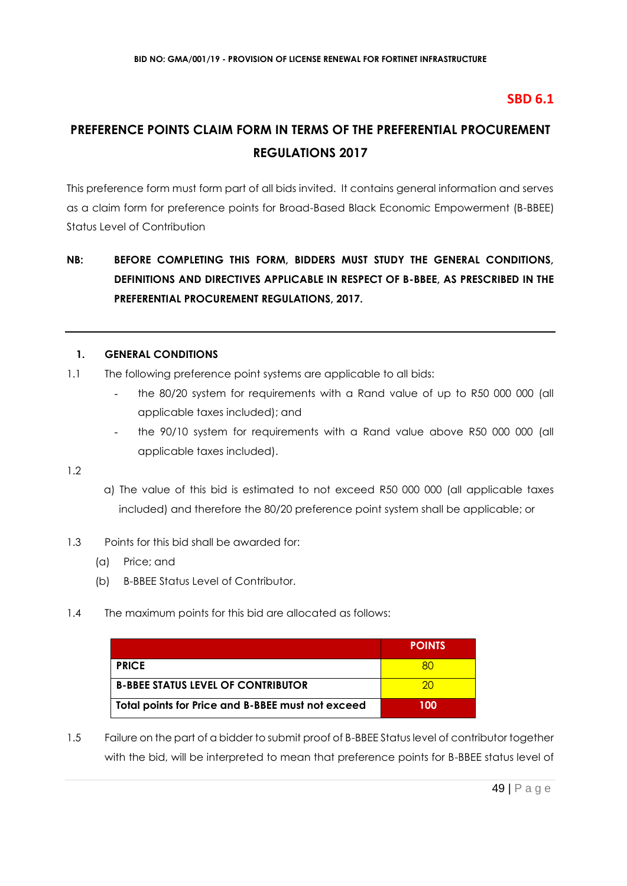# **SBD 6.1**

# **PREFERENCE POINTS CLAIM FORM IN TERMS OF THE PREFERENTIAL PROCUREMENT REGULATIONS 2017**

This preference form must form part of all bids invited. It contains general information and serves as a claim form for preference points for Broad-Based Black Economic Empowerment (B-BBEE) Status Level of Contribution

# **NB: BEFORE COMPLETING THIS FORM, BIDDERS MUST STUDY THE GENERAL CONDITIONS, DEFINITIONS AND DIRECTIVES APPLICABLE IN RESPECT OF B-BBEE, AS PRESCRIBED IN THE PREFERENTIAL PROCUREMENT REGULATIONS, 2017.**

### **1. GENERAL CONDITIONS**

- 1.1 The following preference point systems are applicable to all bids:
	- the 80/20 system for requirements with a Rand value of up to R50 000 000 (all applicable taxes included); and
	- the 90/10 system for requirements with a Rand value above R50 000 000 (all applicable taxes included).

1.2

- a) The value of this bid is estimated to not exceed R50 000 000 (all applicable taxes included) and therefore the 80/20 preference point system shall be applicable; or
- 1.3 Points for this bid shall be awarded for:
	- (a) Price; and
	- (b) B-BBEE Status Level of Contributor.
- 1.4 The maximum points for this bid are allocated as follows:

|                                                   | <b>POINTS</b> |
|---------------------------------------------------|---------------|
| <b>PRICE</b>                                      |               |
| <b>B-BBEE STATUS LEVEL OF CONTRIBUTOR</b>         | 20            |
| Total points for Price and B-BBEE must not exceed | 100           |

1.5 Failure on the part of a bidder to submit proof of B-BBEE Status level of contributor together with the bid, will be interpreted to mean that preference points for B-BBEE status level of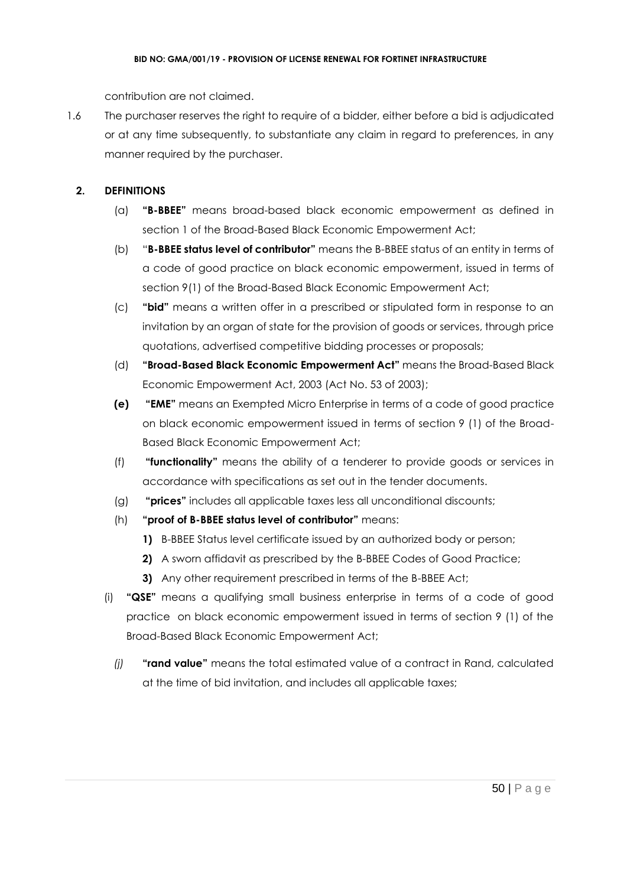contribution are not claimed.

1.6 The purchaser reserves the right to require of a bidder, either before a bid is adjudicated or at any time subsequently, to substantiate any claim in regard to preferences, in any manner required by the purchaser.

# **2. DEFINITIONS**

- (a) **"B-BBEE"** means broad-based black economic empowerment as defined in section 1 of the Broad-Based Black Economic Empowerment Act;
- (b) "**B-BBEE status level of contributor"** means the B-BBEE status of an entity in terms of a code of good practice on black economic empowerment, issued in terms of section 9(1) of the Broad-Based Black Economic Empowerment Act;
- (c) **"bid"** means a written offer in a prescribed or stipulated form in response to an invitation by an organ of state for the provision of goods or services, through price quotations, advertised competitive bidding processes or proposals;
- (d) **"Broad-Based Black Economic Empowerment Act"** means the Broad-Based Black Economic Empowerment Act, 2003 (Act No. 53 of 2003);
- **(e) "EME"** means an Exempted Micro Enterprise in terms of a code of good practice on black economic empowerment issued in terms of section 9 (1) of the Broad-Based Black Economic Empowerment Act;
- (f) **"functionality"** means the ability of a tenderer to provide goods or services in accordance with specifications as set out in the tender documents.
- (g) **"prices"** includes all applicable taxes less all unconditional discounts;
- (h) **"proof of B-BBEE status level of contributor"** means:
	- **1)** B-BBEE Status level certificate issued by an authorized body or person;
	- **2)** A sworn affidavit as prescribed by the B-BBEE Codes of Good Practice;
	- **3)** Any other requirement prescribed in terms of the B-BBEE Act;
- (i) **"QSE"** means a qualifying small business enterprise in terms of a code of good practice on black economic empowerment issued in terms of section 9 (1) of the Broad-Based Black Economic Empowerment Act;
	- *(j)* **"rand value"** means the total estimated value of a contract in Rand, calculated at the time of bid invitation, and includes all applicable taxes;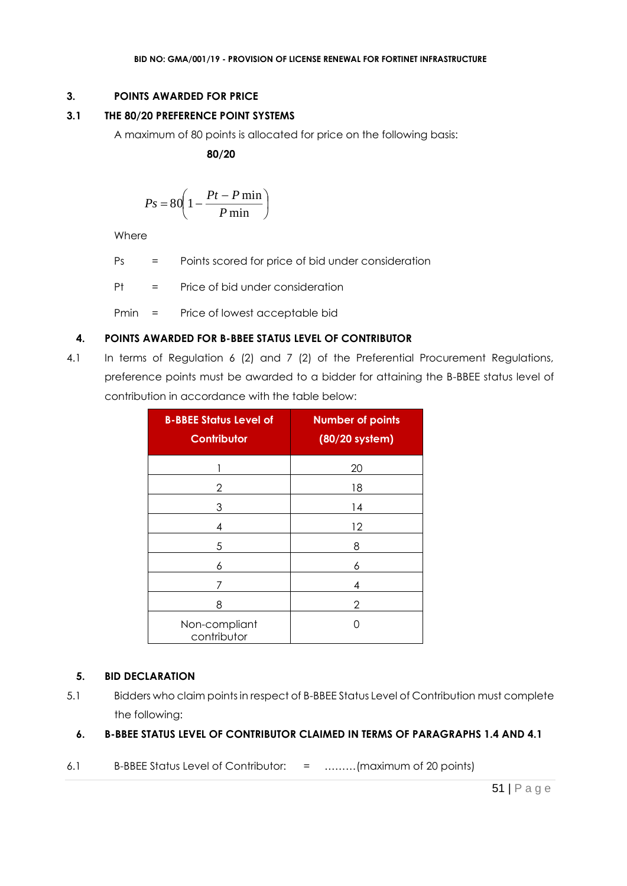# **3. POINTS AWARDED FOR PRICE**

# **3.1 THE 80/20 PREFERENCE POINT SYSTEMS**

A maximum of 80 points is allocated for price on the following basis:

 **80/20**

$$
Ps = 80 \left( 1 - \frac{Pt - P \min}{P \min} \right)
$$

Where

Ps = Points scored for price of bid under consideration

Pt = Price of bid under consideration

Pmin = Price of lowest acceptable bid

# **4. POINTS AWARDED FOR B-BBEE STATUS LEVEL OF CONTRIBUTOR**

4.1 In terms of Regulation 6 (2) and 7 (2) of the Preferential Procurement Regulations, preference points must be awarded to a bidder for attaining the B-BBEE status level of contribution in accordance with the table below:

| <b>B-BBEE Status Level of</b><br><b>Contributor</b> | <b>Number of points</b><br>(80/20 system) |
|-----------------------------------------------------|-------------------------------------------|
|                                                     | 20                                        |
| 2                                                   | 18                                        |
| 3                                                   | 14                                        |
| 4                                                   | 12                                        |
| 5                                                   | 8                                         |
| 6                                                   | 6                                         |
|                                                     | 4                                         |
| 8                                                   | 2                                         |
| Non-compliant<br>contributor                        |                                           |

### **5. BID DECLARATION**

5.1 Bidders who claim points in respect of B-BBEE Status Level of Contribution must complete the following:

# **6. B-BBEE STATUS LEVEL OF CONTRIBUTOR CLAIMED IN TERMS OF PARAGRAPHS 1.4 AND 4.1**

6.1 B-BBEE Status Level of Contributor: = ………(maximum of 20 points)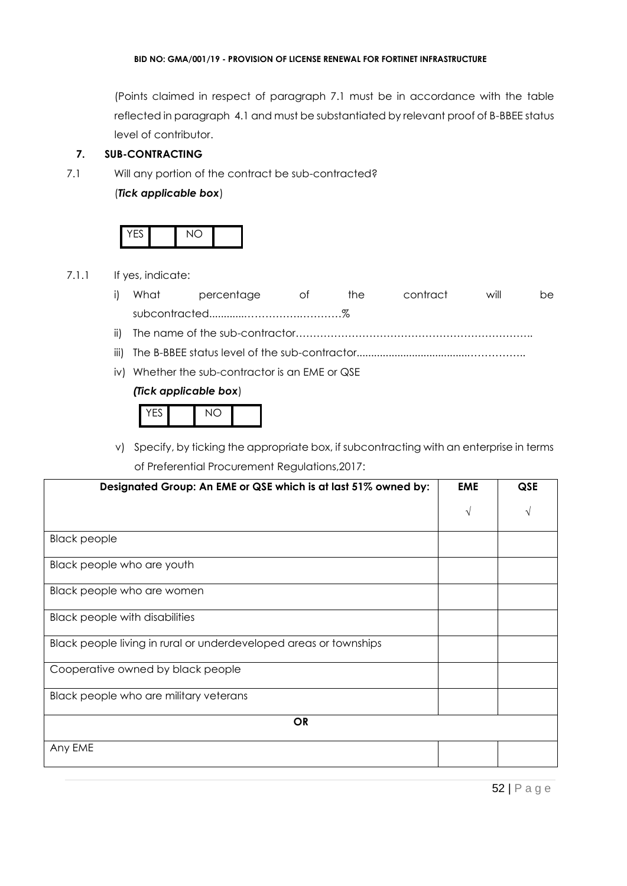(Points claimed in respect of paragraph 7.1 must be in accordance with the table reflected in paragraph 4.1 and must be substantiated by relevant proof of B-BBEE status level of contributor.

### **7. SUB-CONTRACTING**

7.1 Will any portion of the contract be sub-contracted?

### (*Tick applicable box*)



7.1.1 If yes, indicate:

|  | i) What percentage | and the officer of the set | the | contract | will | be. |
|--|--------------------|----------------------------|-----|----------|------|-----|
|  |                    |                            |     |          |      |     |
|  |                    |                            |     |          |      |     |

- iii) The B-BBEE status level of the sub-contractor......................................……………..
- iv) Whether the sub-contractor is an EME or QSE

### *(Tick applicable box*)

| $\overline{\phantom{0}}$ | $\sim$ |  |
|--------------------------|--------|--|
|--------------------------|--------|--|

v) Specify, by ticking the appropriate box, if subcontracting with an enterprise in terms of Preferential Procurement Regulations,2017:

| Designated Group: An EME or QSE which is at last 51% owned by:    | <b>EME</b> | QSE        |
|-------------------------------------------------------------------|------------|------------|
|                                                                   | V          | $\sqrt{ }$ |
| <b>Black people</b>                                               |            |            |
| Black people who are youth                                        |            |            |
| Black people who are women                                        |            |            |
| <b>Black people with disabilities</b>                             |            |            |
| Black people living in rural or underdeveloped areas or townships |            |            |
| Cooperative owned by black people                                 |            |            |
| Black people who are military veterans                            |            |            |
| <b>OR</b>                                                         |            |            |
| Any EME                                                           |            |            |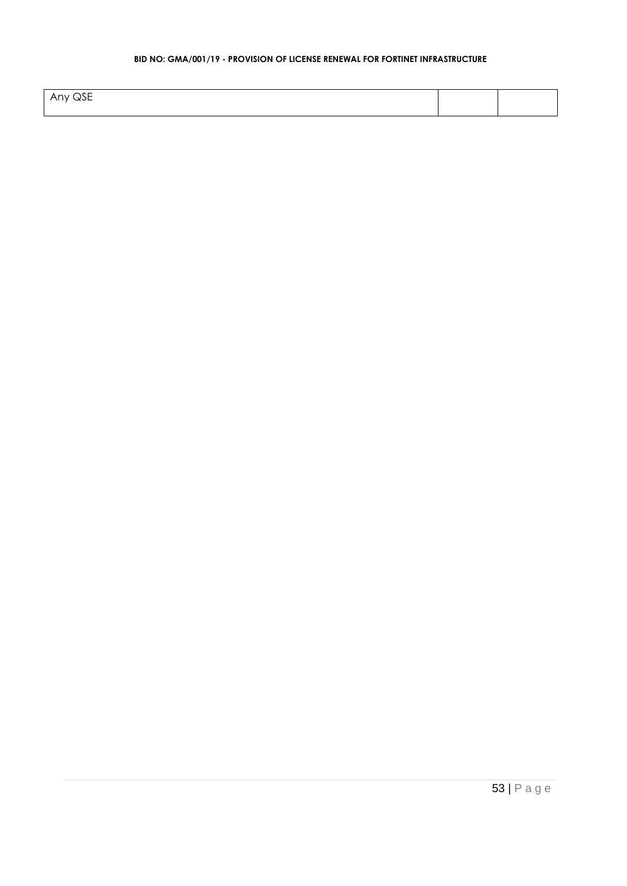| $\cdots$ $\cap$ $\Gamma$<br>' WJE<br>$\sim$<br>$\mathbf{v}$<br>NU. |  |
|--------------------------------------------------------------------|--|
|                                                                    |  |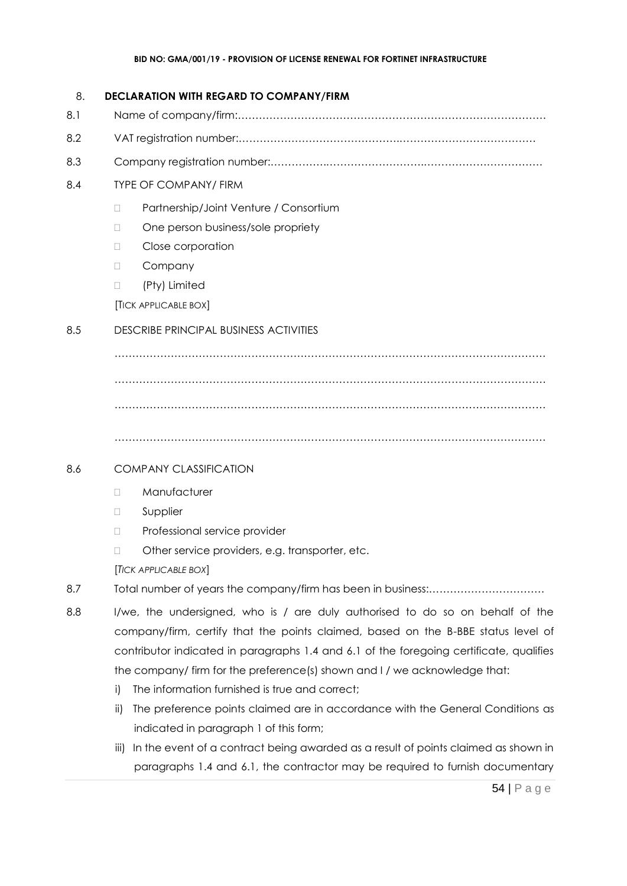### 8. **DECLARATION WITH REGARD TO COMPANY/FIRM**

- 8.1 Name of company/firm:…………………………………………………………………………….
- 8.2 VAT registration number:……………………………………….…………………………………
- 8.3 Company registration number:…………….……………………….…………………………….

# 8.4 TYPE OF COMPANY/ FIRM

- □ Partnership/Joint Venture / Consortium
- □ One person business/sole propriety
- D Close corporation
- D Company
- (Pty) Limited

[TICK APPLICABLE BOX]

# 8.5 DESCRIBE PRINCIPAL BUSINESS ACTIVITIES

…………………………………………………………………………………………………………… …………………………………………………………………………………………………………… ……………………………………………………………………………………………………………

……………………………………………………………………………………………………………

# 8.6 COMPANY CLASSIFICATION

- D Manufacturer
- **D** Supplier
- D Professional service provider
- □ Other service providers, e.g. transporter, etc.

[*TICK APPLICABLE BOX*]

- 8.7 Total number of years the company/firm has been in business:……………………………
- 8.8 I/we, the undersigned, who is / are duly authorised to do so on behalf of the company/firm, certify that the points claimed, based on the B-BBE status level of contributor indicated in paragraphs 1.4 and 6.1 of the foregoing certificate, qualifies the company/ firm for the preference(s) shown and I / we acknowledge that:
	- i) The information furnished is true and correct;
	- ii) The preference points claimed are in accordance with the General Conditions as indicated in paragraph 1 of this form;
	- iii) In the event of a contract being awarded as a result of points claimed as shown in paragraphs 1.4 and 6.1, the contractor may be required to furnish documentary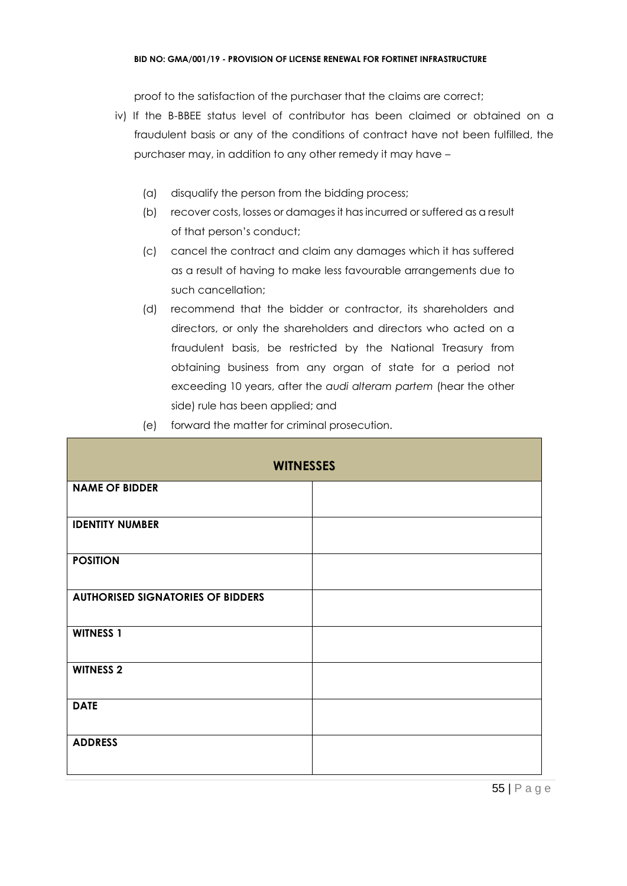proof to the satisfaction of the purchaser that the claims are correct;

- iv) If the B-BBEE status level of contributor has been claimed or obtained on a fraudulent basis or any of the conditions of contract have not been fulfilled, the purchaser may, in addition to any other remedy it may have –
	- (a) disqualify the person from the bidding process;
	- (b) recover costs, losses or damages it has incurred or suffered as a result of that person's conduct;
	- (c) cancel the contract and claim any damages which it has suffered as a result of having to make less favourable arrangements due to such cancellation;
	- (d) recommend that the bidder or contractor, its shareholders and directors, or only the shareholders and directors who acted on a fraudulent basis, be restricted by the National Treasury from obtaining business from any organ of state for a period not exceeding 10 years, after the *audi alteram partem* (hear the other side) rule has been applied; and

| (e) |  |  |  | forward the matter for criminal prosecution. |
|-----|--|--|--|----------------------------------------------|
|-----|--|--|--|----------------------------------------------|

| <b>WITNESSES</b>                         |  |  |  |  |
|------------------------------------------|--|--|--|--|
| <b>NAME OF BIDDER</b>                    |  |  |  |  |
| <b>IDENTITY NUMBER</b>                   |  |  |  |  |
| <b>POSITION</b>                          |  |  |  |  |
| <b>AUTHORISED SIGNATORIES OF BIDDERS</b> |  |  |  |  |
| <b>WITNESS 1</b>                         |  |  |  |  |
| <b>WITNESS 2</b>                         |  |  |  |  |
| <b>DATE</b>                              |  |  |  |  |
| <b>ADDRESS</b>                           |  |  |  |  |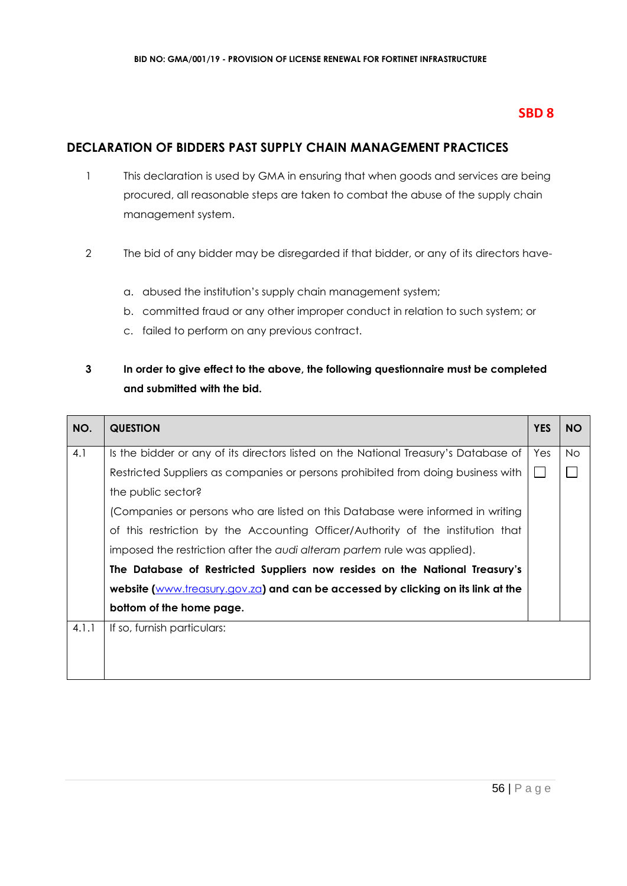# **SBD 8**

# **DECLARATION OF BIDDERS PAST SUPPLY CHAIN MANAGEMENT PRACTICES**

- 1 This declaration is used by GMA in ensuring that when goods and services are being procured, all reasonable steps are taken to combat the abuse of the supply chain management system.
- 2 The bid of any bidder may be disregarded if that bidder, or any of its directors have
	- a. abused the institution's supply chain management system;
	- b. committed fraud or any other improper conduct in relation to such system; or
	- c. failed to perform on any previous contract.

# **3 In order to give effect to the above, the following questionnaire must be completed and submitted with the bid.**

| NO.   | <b>QUESTION</b>                                                                     | <b>YES</b> | <b>NO</b> |
|-------|-------------------------------------------------------------------------------------|------------|-----------|
| 4.1   | Is the bidder or any of its directors listed on the National Treasury's Database of | Yes        | <b>No</b> |
|       | Restricted Suppliers as companies or persons prohibited from doing business with    |            |           |
|       | the public sector?                                                                  |            |           |
|       | (Companies or persons who are listed on this Database were informed in writing      |            |           |
|       | of this restriction by the Accounting Officer/Authority of the institution that     |            |           |
|       | imposed the restriction after the audi alteram partem rule was applied).            |            |           |
|       | The Database of Restricted Suppliers now resides on the National Treasury's         |            |           |
|       | website (www.treasury.gov.za) and can be accessed by clicking on its link at the    |            |           |
|       | bottom of the home page.                                                            |            |           |
| 4.1.1 | If so, furnish particulars:                                                         |            |           |
|       |                                                                                     |            |           |
|       |                                                                                     |            |           |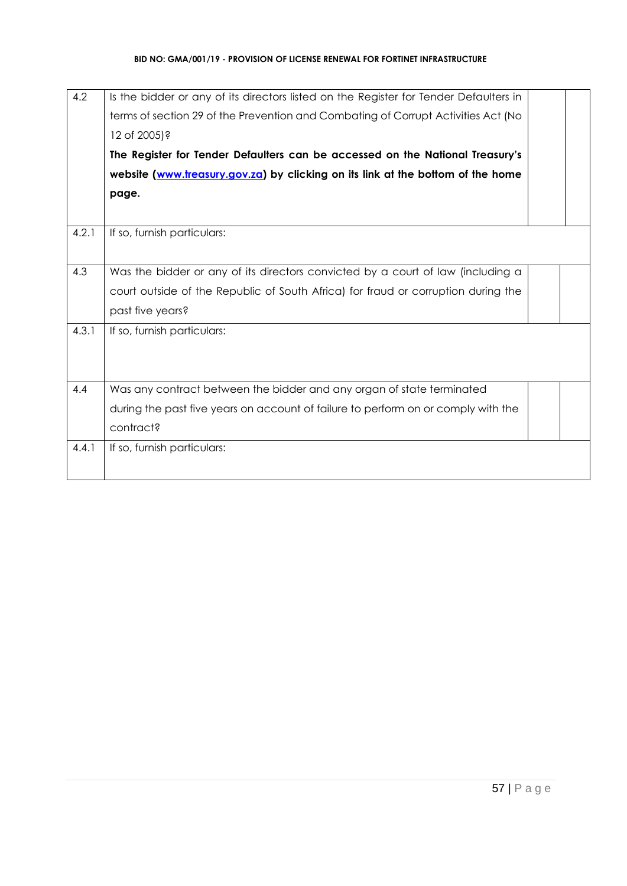| 4.2   | Is the bidder or any of its directors listed on the Register for Tender Defaulters in |  |
|-------|---------------------------------------------------------------------------------------|--|
|       | terms of section 29 of the Prevention and Combating of Corrupt Activities Act (No     |  |
|       | 12 of 2005)?                                                                          |  |
|       | The Register for Tender Defaulters can be accessed on the National Treasury's         |  |
|       | website (www.treasury.gov.za) by clicking on its link at the bottom of the home       |  |
|       | page.                                                                                 |  |
|       |                                                                                       |  |
| 4.2.1 | If so, furnish particulars:                                                           |  |
|       |                                                                                       |  |
| 4.3   | Was the bidder or any of its directors convicted by a court of law (including a       |  |
|       | court outside of the Republic of South Africa) for fraud or corruption during the     |  |
|       | past five years?                                                                      |  |
| 4.3.1 | If so, furnish particulars:                                                           |  |
|       |                                                                                       |  |
|       |                                                                                       |  |
| 4.4   | Was any contract between the bidder and any organ of state terminated                 |  |
|       | during the past five years on account of failure to perform on or comply with the     |  |
|       | contract?                                                                             |  |
| 4.4.1 | If so, furnish particulars:                                                           |  |
|       |                                                                                       |  |
|       |                                                                                       |  |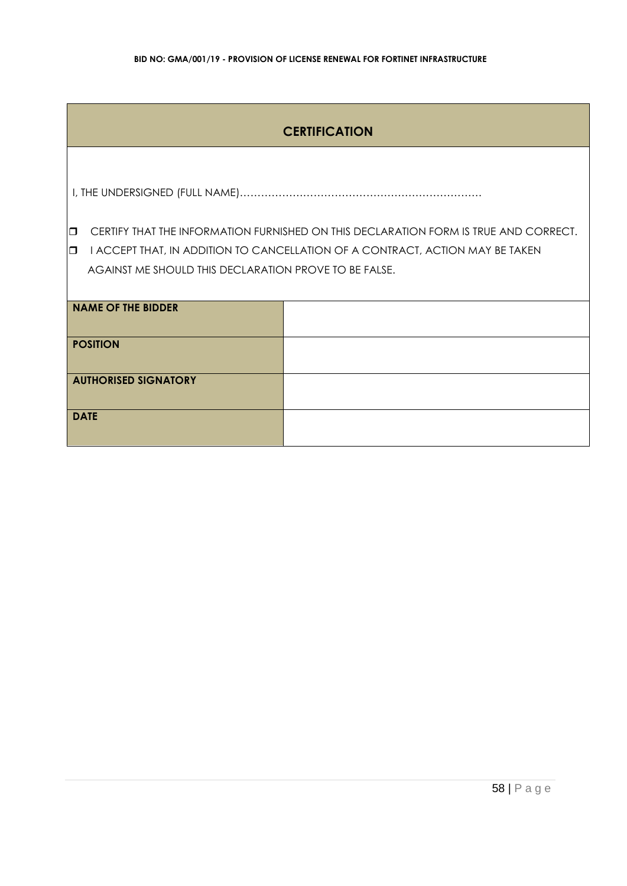# **CERTIFICATION**

I, THE UNDERSIGNED (FULL NAME)……………………………………………………………

**CERTIFY THAT THE INFORMATION FURNISHED ON THIS DECLARATION FORM IS TRUE AND CORRECT.** 

**I** I ACCEPT THAT, IN ADDITION TO CANCELLATION OF A CONTRACT, ACTION MAY BE TAKEN AGAINST ME SHOULD THIS DECLARATION PROVE TO BE FALSE.

| <b>NAME OF THE BIDDER</b>   |  |
|-----------------------------|--|
| <b>POSITION</b>             |  |
| <b>AUTHORISED SIGNATORY</b> |  |
| <b>DATE</b>                 |  |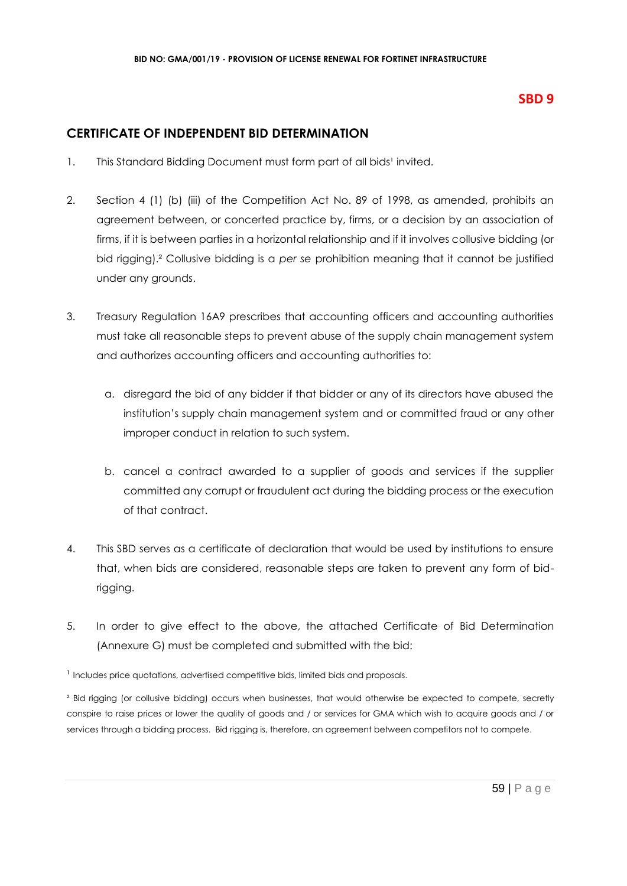# **SBD 9**

# **CERTIFICATE OF INDEPENDENT BID DETERMINATION**

- 1. This Standard Bidding Document must form part of all bids<sup>1</sup> invited.
- 2. Section 4 (1) (b) (iii) of the Competition Act No. 89 of 1998, as amended, prohibits an agreement between, or concerted practice by, firms, or a decision by an association of firms, if it is between parties in a horizontal relationship and if it involves collusive bidding (or bid rigging).² Collusive bidding is a *per se* prohibition meaning that it cannot be justified under any grounds.
- 3. Treasury Regulation 16A9 prescribes that accounting officers and accounting authorities must take all reasonable steps to prevent abuse of the supply chain management system and authorizes accounting officers and accounting authorities to:
	- a. disregard the bid of any bidder if that bidder or any of its directors have abused the institution's supply chain management system and or committed fraud or any other improper conduct in relation to such system.
	- b. cancel a contract awarded to a supplier of goods and services if the supplier committed any corrupt or fraudulent act during the bidding process or the execution of that contract.
- 4. This SBD serves as a certificate of declaration that would be used by institutions to ensure that, when bids are considered, reasonable steps are taken to prevent any form of bidrigging.
- 5. In order to give effect to the above, the attached Certificate of Bid Determination (Annexure G) must be completed and submitted with the bid:

<sup>1</sup> Includes price quotations, advertised competitive bids, limited bids and proposals.

<sup>2</sup> Bid rigging (or collusive bidding) occurs when businesses, that would otherwise be expected to compete, secretly conspire to raise prices or lower the quality of goods and / or services for GMA which wish to acquire goods and / or services through a bidding process. Bid rigging is, therefore, an agreement between competitors not to compete.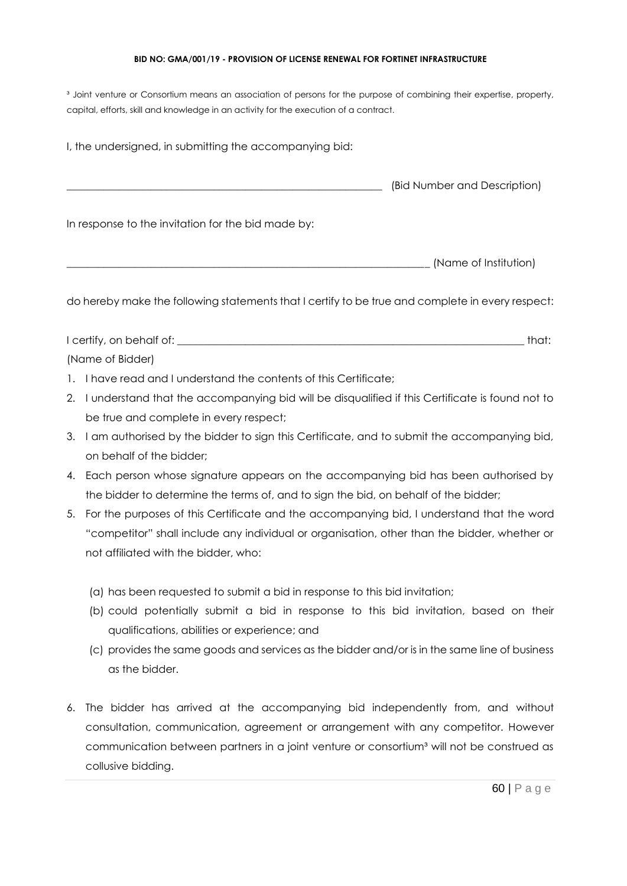<sup>3</sup> Joint venture or Consortium means an association of persons for the purpose of combining their expertise, property, capital, efforts, skill and knowledge in an activity for the execution of a contract.

I, the undersigned, in submitting the accompanying bid: \_\_\_\_\_\_\_\_\_\_\_\_\_\_\_\_\_\_\_\_\_\_\_\_\_\_\_\_\_\_\_\_\_\_\_\_\_\_\_\_\_\_\_\_\_\_\_\_\_\_\_\_\_\_\_\_\_\_\_\_ (Bid Number and Description) In response to the invitation for the bid made by: \_\_\_\_\_\_\_\_\_\_\_\_\_\_\_\_\_\_\_\_\_\_\_\_\_\_\_\_\_\_\_\_\_\_\_\_\_\_\_\_\_\_\_\_\_\_\_\_\_\_\_\_\_\_\_\_\_\_\_\_\_\_\_\_\_\_\_\_\_ (Name of Institution)

do hereby make the following statements that I certify to be true and complete in every respect:

I certify, on behalf of: the state of the state of the state of the state of the state of the state of the state of the state of the state of the state of the state of the state of the state of the state of the state of th (Name of Bidder)

- 1. I have read and I understand the contents of this Certificate;
- 2. I understand that the accompanying bid will be disqualified if this Certificate is found not to be true and complete in every respect;
- 3. I am authorised by the bidder to sign this Certificate, and to submit the accompanying bid, on behalf of the bidder;
- 4. Each person whose signature appears on the accompanying bid has been authorised by the bidder to determine the terms of, and to sign the bid, on behalf of the bidder;
- 5. For the purposes of this Certificate and the accompanying bid, I understand that the word "competitor" shall include any individual or organisation, other than the bidder, whether or not affiliated with the bidder, who:
	- (a) has been requested to submit a bid in response to this bid invitation;
	- (b) could potentially submit a bid in response to this bid invitation, based on their qualifications, abilities or experience; and
	- (c) provides the same goods and services as the bidder and/or is in the same line of business as the bidder.
- 6. The bidder has arrived at the accompanying bid independently from, and without consultation, communication, agreement or arrangement with any competitor. However communication between partners in a joint venture or consortium<sup>3</sup> will not be construed as collusive bidding.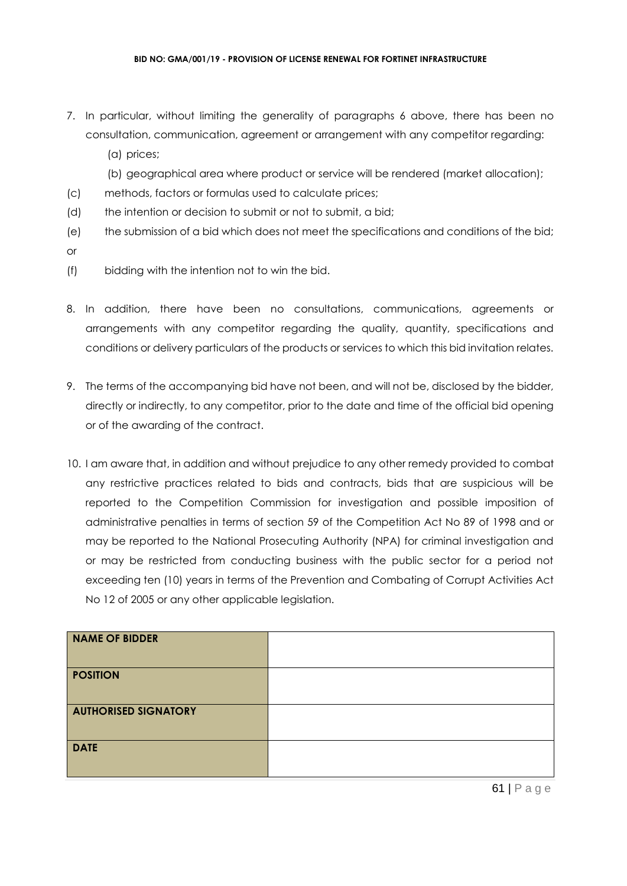- 7. In particular, without limiting the generality of paragraphs 6 above, there has been no consultation, communication, agreement or arrangement with any competitor regarding:
	- (a) prices;
	- (b) geographical area where product or service will be rendered (market allocation);
- (c) methods, factors or formulas used to calculate prices;
- (d) the intention or decision to submit or not to submit, a bid;
- (e) the submission of a bid which does not meet the specifications and conditions of the bid; or
- (f) bidding with the intention not to win the bid.
- 8. In addition, there have been no consultations, communications, agreements or arrangements with any competitor regarding the quality, quantity, specifications and conditions or delivery particulars of the products or services to which this bid invitation relates.
- 9. The terms of the accompanying bid have not been, and will not be, disclosed by the bidder, directly or indirectly, to any competitor, prior to the date and time of the official bid opening or of the awarding of the contract.
- 10. I am aware that, in addition and without prejudice to any other remedy provided to combat any restrictive practices related to bids and contracts, bids that are suspicious will be reported to the Competition Commission for investigation and possible imposition of administrative penalties in terms of section 59 of the Competition Act No 89 of 1998 and or may be reported to the National Prosecuting Authority (NPA) for criminal investigation and or may be restricted from conducting business with the public sector for a period not exceeding ten (10) years in terms of the Prevention and Combating of Corrupt Activities Act No 12 of 2005 or any other applicable legislation.

| <b>NAME OF BIDDER</b>       |  |
|-----------------------------|--|
| <b>POSITION</b>             |  |
| <b>AUTHORISED SIGNATORY</b> |  |
| <b>DATE</b>                 |  |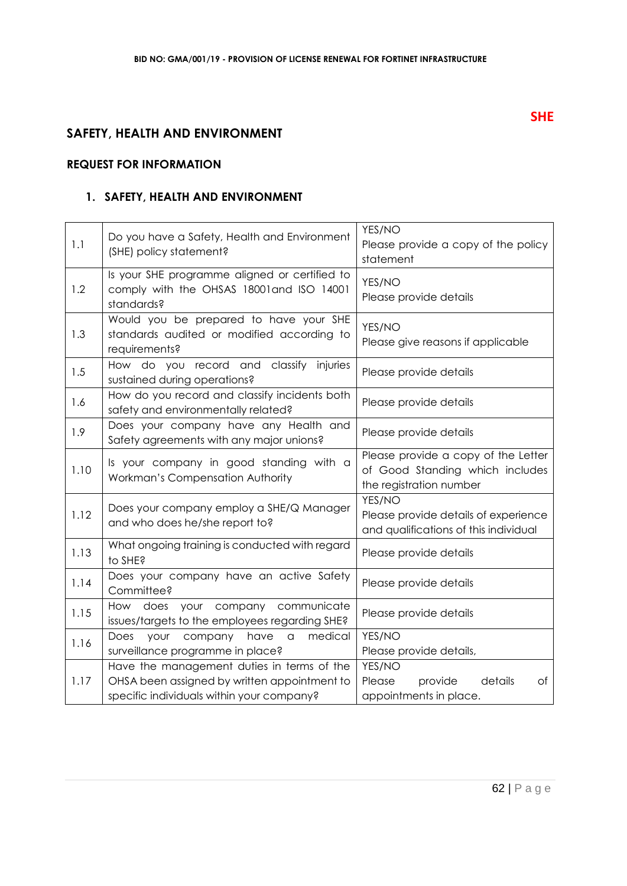# **SAFETY, HEALTH AND ENVIRONMENT**

# **REQUEST FOR INFORMATION**

# **1. SAFETY, HEALTH AND ENVIRONMENT**

| 1.1  | Do you have a Safety, Health and Environment<br>(SHE) policy statement?                                                                 | YES/NO<br>Please provide a copy of the policy<br>statement                                        |
|------|-----------------------------------------------------------------------------------------------------------------------------------------|---------------------------------------------------------------------------------------------------|
| 1.2  | Is your SHE programme aligned or certified to<br>comply with the OHSAS 18001 and ISO 14001<br>standards?                                | YES/NO<br>Please provide details                                                                  |
| 1.3  | Would you be prepared to have your SHE<br>standards audited or modified according to<br>requirements?                                   | YES/NO<br>Please give reasons if applicable                                                       |
| 1.5  | How do you record and classify injuries<br>sustained during operations?                                                                 | Please provide details                                                                            |
| 1.6  | How do you record and classify incidents both<br>safety and environmentally related?                                                    | Please provide details                                                                            |
| 1.9  | Does your company have any Health and<br>Safety agreements with any major unions?                                                       | Please provide details                                                                            |
| 1.10 | Is your company in good standing with a<br>Workman's Compensation Authority                                                             | Please provide a copy of the Letter<br>of Good Standing which includes<br>the registration number |
| 1.12 | Does your company employ a SHE/Q Manager<br>and who does he/she report to?                                                              | YES/NO<br>Please provide details of experience<br>and qualifications of this individual           |
| 1.13 | What ongoing training is conducted with regard<br>to SHE?                                                                               | Please provide details                                                                            |
| 1.14 | Does your company have an active Safety<br>Committee?                                                                                   | Please provide details                                                                            |
| 1.15 | How does your company communicate<br>issues/targets to the employees regarding SHE?                                                     | Please provide details                                                                            |
| 1.16 | medical<br>Does<br>company<br>have<br>your<br>a<br>surveillance programme in place?                                                     | YES/NO<br>Please provide details,                                                                 |
| 1.17 | Have the management duties in terms of the<br>OHSA been assigned by written appointment to<br>specific individuals within your company? | YES/NO<br>details<br>Please<br>provide<br>Оf<br>appointments in place.                            |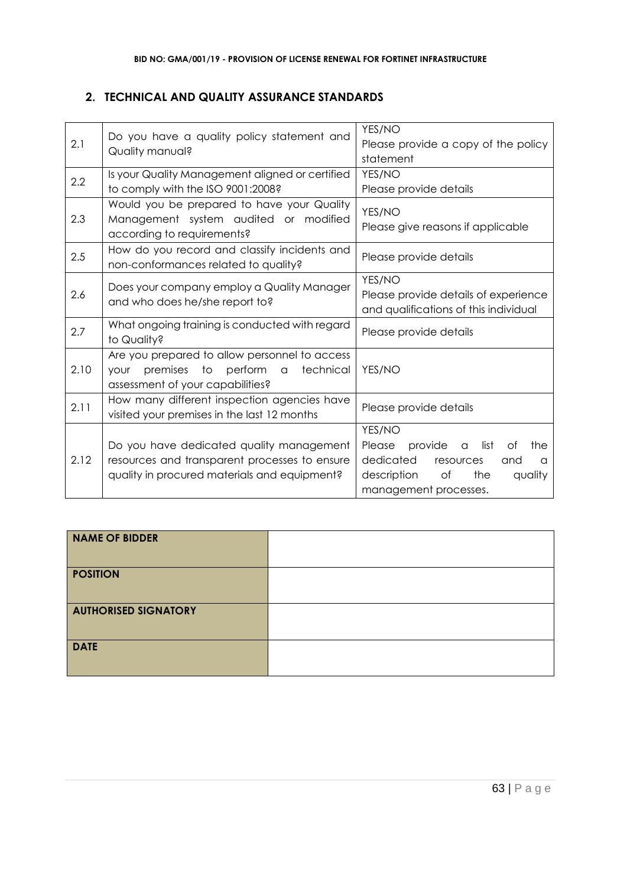# **2. TECHNICAL AND QUALITY ASSURANCE STANDARDS**

| 2.1  | Do you have a quality policy statement and<br>Quality manual?                                                                                | YES/NO<br>Please provide a copy of the policy<br>statement                                                                                                  |
|------|----------------------------------------------------------------------------------------------------------------------------------------------|-------------------------------------------------------------------------------------------------------------------------------------------------------------|
| 2.2  | Is your Quality Management aligned or certified<br>to comply with the ISO 9001:2008?                                                         | YES/NO<br>Please provide details                                                                                                                            |
| 2.3  | Would you be prepared to have your Quality<br>Management system audited or modified<br>according to requirements?                            | YES/NO<br>Please give reasons if applicable                                                                                                                 |
| 2.5  | How do you record and classify incidents and<br>non-conformances related to quality?                                                         | Please provide details                                                                                                                                      |
| 2.6  | Does your company employ a Quality Manager<br>and who does he/she report to?                                                                 | YES/NO<br>Please provide details of experience<br>and qualifications of this individual                                                                     |
| 2.7  | What ongoing training is conducted with regard<br>to Quality?                                                                                | Please provide details                                                                                                                                      |
| 2.10 | Are you prepared to allow personnel to access<br>perform<br>premises to<br>technical<br>$\alpha$<br>vour<br>assessment of your capabilities? | YES/NO                                                                                                                                                      |
| 2.11 | How many different inspection agencies have<br>visited your premises in the last 12 months                                                   | Please provide details                                                                                                                                      |
| 2.12 | Do you have dedicated quality management<br>resources and transparent processes to ensure<br>quality in procured materials and equipment?    | YES/NO<br>provide<br>list<br>Please<br>of<br>the<br>a<br>dedicated<br>resources<br>and<br>a<br>description<br>of<br>the<br>quality<br>management processes. |

| <b>NAME OF BIDDER</b>       |  |
|-----------------------------|--|
| <b>POSITION</b>             |  |
| <b>AUTHORISED SIGNATORY</b> |  |
| <b>DATE</b>                 |  |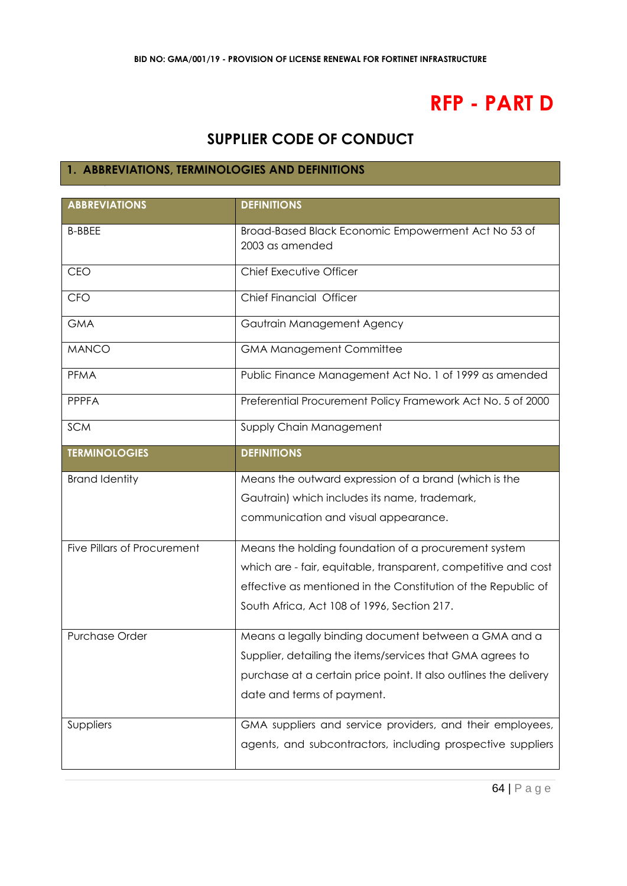# **RFP - PART D**

# **SUPPLIER CODE OF CONDUCT**

# **1. ABBREVIATIONS, TERMINOLOGIES AND DEFINITIONS**

| <b>ABBREVIATIONS</b>        | <b>DEFINITIONS</b>                                                     |
|-----------------------------|------------------------------------------------------------------------|
| <b>B-BBEE</b>               | Broad-Based Black Economic Empowerment Act No 53 of<br>2003 as amended |
| <b>CEO</b>                  | Chief Executive Officer                                                |
| <b>CFO</b>                  | Chief Financial Officer                                                |
| <b>GMA</b>                  | Gautrain Management Agency                                             |
| <b>MANCO</b>                | <b>GMA Management Committee</b>                                        |
| PFMA                        | Public Finance Management Act No. 1 of 1999 as amended                 |
| <b>PPPFA</b>                | Preferential Procurement Policy Framework Act No. 5 of 2000            |
| <b>SCM</b>                  | Supply Chain Management                                                |
| <b>TERMINOLOGIES</b>        | <b>DEFINITIONS</b>                                                     |
| <b>Brand Identity</b>       | Means the outward expression of a brand (which is the                  |
|                             | Gautrain) which includes its name, trademark,                          |
|                             | communication and visual appearance.                                   |
| Five Pillars of Procurement | Means the holding foundation of a procurement system                   |
|                             | which are - fair, equitable, transparent, competitive and cost         |
|                             | effective as mentioned in the Constitution of the Republic of          |
|                             | South Africa, Act 108 of 1996, Section 217.                            |
| <b>Purchase Order</b>       | Means a legally binding document between a GMA and a                   |
|                             | Supplier, detailing the items/services that GMA agrees to              |
|                             | purchase at a certain price point. It also outlines the delivery       |
|                             | date and terms of payment.                                             |
| Suppliers                   | GMA suppliers and service providers, and their employees,              |
|                             | agents, and subcontractors, including prospective suppliers            |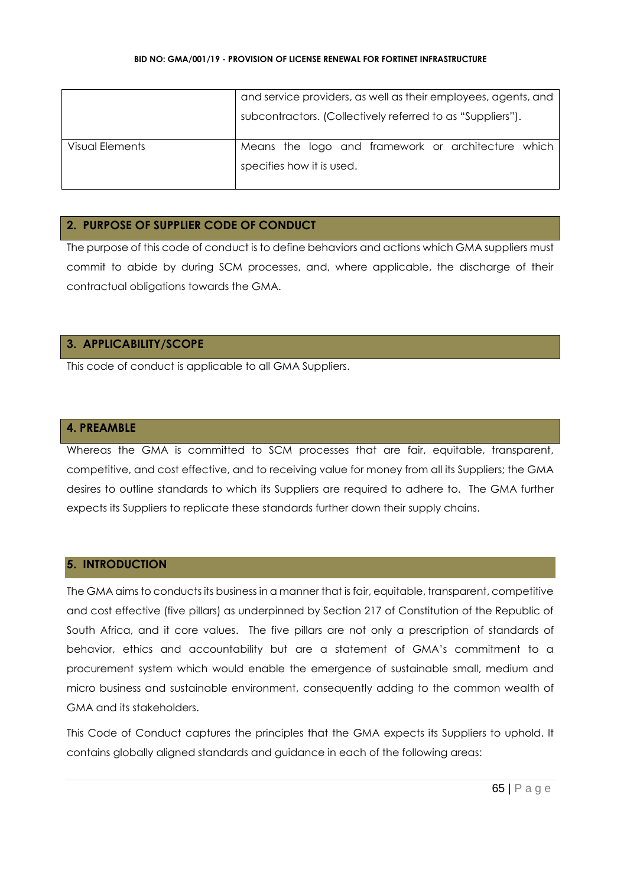|                 | and service providers, as well as their employees, agents, and<br>subcontractors. (Collectively referred to as "Suppliers"). |
|-----------------|------------------------------------------------------------------------------------------------------------------------------|
| Visual Elements | Means the logo and framework or architecture which<br>specifies how it is used.                                              |

# **2. PURPOSE OF SUPPLIER CODE OF CONDUCT**

The purpose of this code of conduct is to define behaviors and actions which GMA suppliers must commit to abide by during SCM processes, and, where applicable, the discharge of their contractual obligations towards the GMA.

# **3. APPLICABILITY/SCOPE**

This code of conduct is applicable to all GMA Suppliers.

### **4. PREAMBLE**

Whereas the GMA is committed to SCM processes that are fair, equitable, transparent, competitive, and cost effective, and to receiving value for money from all its Suppliers; the GMA desires to outline standards to which its Suppliers are required to adhere to. The GMA further expects its Suppliers to replicate these standards further down their supply chains.

# **5. INTRODUCTION**

The GMA aims to conducts its business in a manner that is fair, equitable, transparent, competitive and cost effective (five pillars) as underpinned by Section 217 of Constitution of the Republic of South Africa, and it core values. The five pillars are not only a prescription of standards of behavior, ethics and accountability but are a statement of GMA's commitment to a procurement system which would enable the emergence of sustainable small, medium and micro business and sustainable environment, consequently adding to the common wealth of GMA and its stakeholders.

This Code of Conduct captures the principles that the GMA expects its Suppliers to uphold. It contains globally aligned standards and guidance in each of the following areas: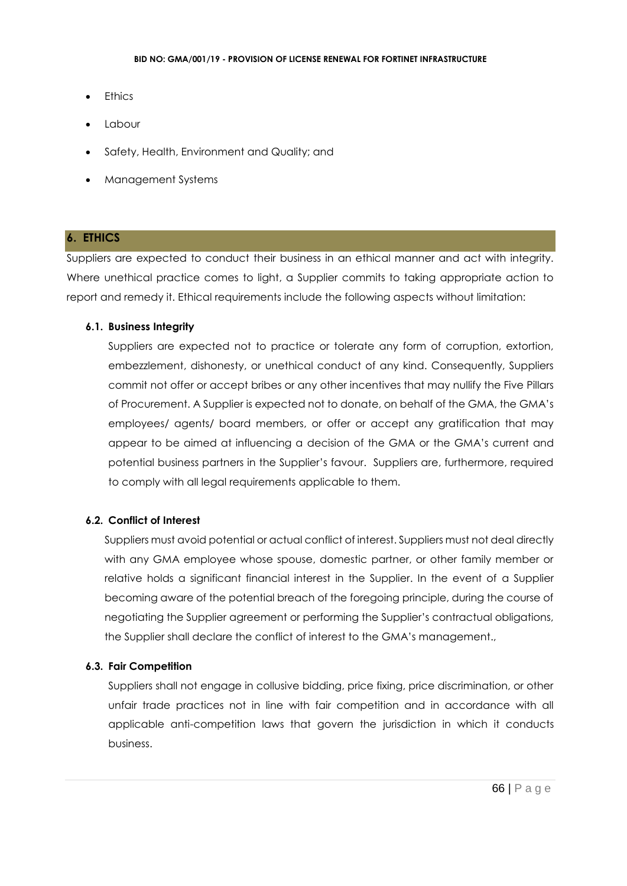- **Ethics**
- **Labour**
- Safety, Health, Environment and Quality; and
- Management Systems

# **6. ETHICS**

Suppliers are expected to conduct their business in an ethical manner and act with integrity. Where unethical practice comes to light, a Supplier commits to taking appropriate action to report and remedy it. Ethical requirements include the following aspects without limitation:

### **6.1. Business Integrity**

Suppliers are expected not to practice or tolerate any form of corruption, extortion, embezzlement, dishonesty, or unethical conduct of any kind. Consequently, Suppliers commit not offer or accept bribes or any other incentives that may nullify the Five Pillars of Procurement. A Supplier is expected not to donate, on behalf of the GMA, the GMA's employees/ agents/ board members, or offer or accept any gratification that may appear to be aimed at influencing a decision of the GMA or the GMA's current and potential business partners in the Supplier's favour. Suppliers are, furthermore, required to comply with all legal requirements applicable to them.

# **6.2. Conflict of Interest**

Suppliers must avoid potential or actual conflict of interest. Suppliers must not deal directly with any GMA employee whose spouse, domestic partner, or other family member or relative holds a significant financial interest in the Supplier. In the event of a Supplier becoming aware of the potential breach of the foregoing principle, during the course of negotiating the Supplier agreement or performing the Supplier's contractual obligations, the Supplier shall declare the conflict of interest to the GMA's management.,

# **6.3. Fair Competition**

Suppliers shall not engage in collusive bidding, price fixing, price discrimination, or other unfair trade practices not in line with fair competition and in accordance with all applicable anti-competition laws that govern the jurisdiction in which it conducts business.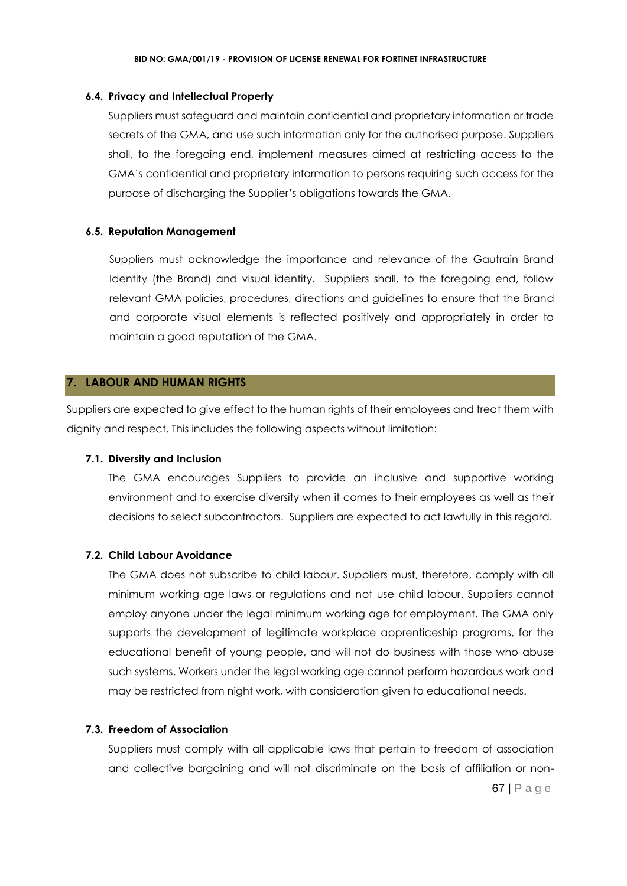### **6.4. Privacy and Intellectual Property**

Suppliers must safeguard and maintain confidential and proprietary information or trade secrets of the GMA, and use such information only for the authorised purpose. Suppliers shall, to the foregoing end, implement measures aimed at restricting access to the GMA's confidential and proprietary information to persons requiring such access for the purpose of discharging the Supplier's obligations towards the GMA.

### **6.5. Reputation Management**

Suppliers must acknowledge the importance and relevance of the Gautrain Brand Identity (the Brand) and visual identity. Suppliers shall, to the foregoing end, follow relevant GMA policies, procedures, directions and guidelines to ensure that the Brand and corporate visual elements is reflected positively and appropriately in order to maintain a good reputation of the GMA.

### **7. LABOUR AND HUMAN RIGHTS**

Suppliers are expected to give effect to the human rights of their employees and treat them with dignity and respect. This includes the following aspects without limitation:

### **7.1. Diversity and Inclusion**

The GMA encourages Suppliers to provide an inclusive and supportive working environment and to exercise diversity when it comes to their employees as well as their decisions to select subcontractors. Suppliers are expected to act lawfully in this regard.

### **7.2. Child Labour Avoidance**

The GMA does not subscribe to child labour. Suppliers must, therefore, comply with all minimum working age laws or regulations and not use child labour. Suppliers cannot employ anyone under the legal minimum working age for employment. The GMA only supports the development of legitimate workplace apprenticeship programs, for the educational benefit of young people, and will not do business with those who abuse such systems. Workers under the legal working age cannot perform hazardous work and may be restricted from night work, with consideration given to educational needs.

### **7.3. Freedom of Association**

Suppliers must comply with all applicable laws that pertain to freedom of association and collective bargaining and will not discriminate on the basis of affiliation or non-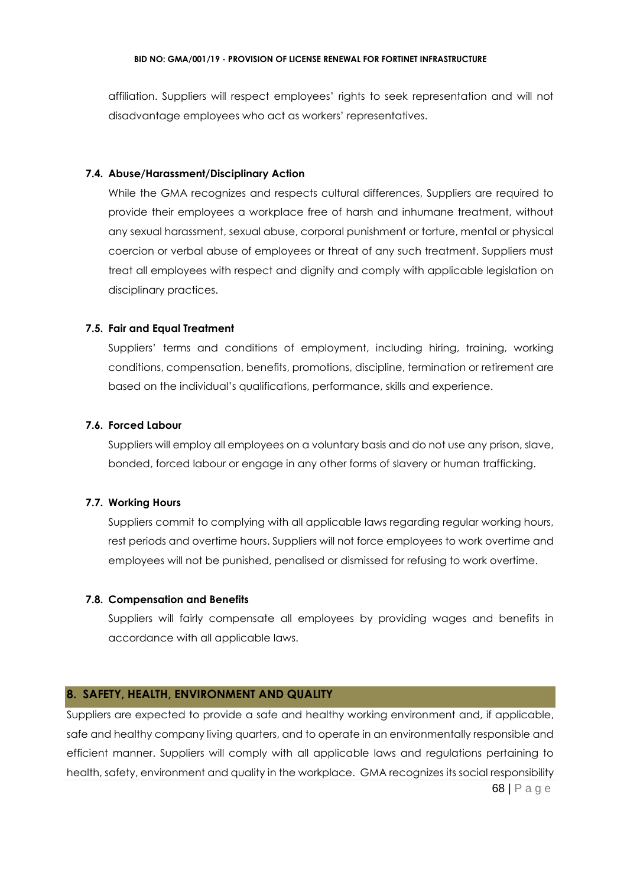affiliation. Suppliers will respect employees' rights to seek representation and will not disadvantage employees who act as workers' representatives.

### **7.4. Abuse/Harassment/Disciplinary Action**

While the GMA recognizes and respects cultural differences, Suppliers are required to provide their employees a workplace free of harsh and inhumane treatment, without any sexual harassment, sexual abuse, corporal punishment or torture, mental or physical coercion or verbal abuse of employees or threat of any such treatment. Suppliers must treat all employees with respect and dignity and comply with applicable legislation on disciplinary practices.

### **7.5. Fair and Equal Treatment**

Suppliers' terms and conditions of employment, including hiring, training, working conditions, compensation, benefits, promotions, discipline, termination or retirement are based on the individual's qualifications, performance, skills and experience.

### **7.6. Forced Labour**

Suppliers will employ all employees on a voluntary basis and do not use any prison, slave, bonded, forced labour or engage in any other forms of slavery or human trafficking.

### **7.7. Working Hours**

Suppliers commit to complying with all applicable laws regarding regular working hours, rest periods and overtime hours. Suppliers will not force employees to work overtime and employees will not be punished, penalised or dismissed for refusing to work overtime.

### **7.8. Compensation and Benefits**

Suppliers will fairly compensate all employees by providing wages and benefits in accordance with all applicable laws.

### **8. SAFETY, HEALTH, ENVIRONMENT AND QUALITY**

68 | P a g e Suppliers are expected to provide a safe and healthy working environment and, if applicable, safe and healthy company living quarters, and to operate in an environmentally responsible and efficient manner. Suppliers will comply with all applicable laws and regulations pertaining to health, safety, environment and quality in the workplace. GMA recognizes its social responsibility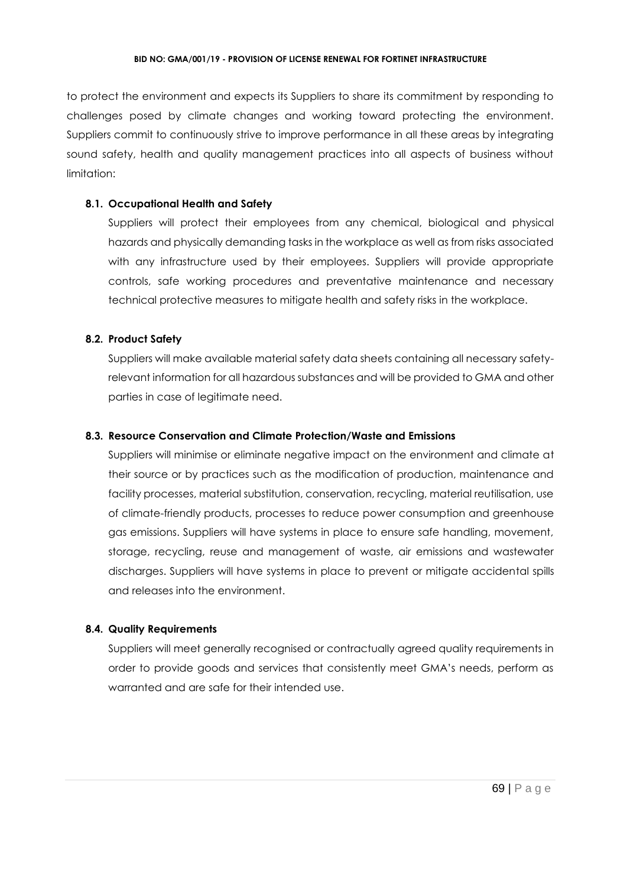to protect the environment and expects its Suppliers to share its commitment by responding to challenges posed by climate changes and working toward protecting the environment. Suppliers commit to continuously strive to improve performance in all these areas by integrating sound safety, health and quality management practices into all aspects of business without limitation:

### **8.1. Occupational Health and Safety**

Suppliers will protect their employees from any chemical, biological and physical hazards and physically demanding tasks in the workplace as well as from risks associated with any infrastructure used by their employees. Suppliers will provide appropriate controls, safe working procedures and preventative maintenance and necessary technical protective measures to mitigate health and safety risks in the workplace.

# **8.2. Product Safety**

Suppliers will make available material safety data sheets containing all necessary safetyrelevant information for all hazardous substances and will be provided to GMA and other parties in case of legitimate need.

### **8.3. Resource Conservation and Climate Protection/Waste and Emissions**

Suppliers will minimise or eliminate negative impact on the environment and climate at their source or by practices such as the modification of production, maintenance and facility processes, material substitution, conservation, recycling, material reutilisation, use of climate-friendly products, processes to reduce power consumption and greenhouse gas emissions. Suppliers will have systems in place to ensure safe handling, movement, storage, recycling, reuse and management of waste, air emissions and wastewater discharges. Suppliers will have systems in place to prevent or mitigate accidental spills and releases into the environment.

### **8.4. Quality Requirements**

Suppliers will meet generally recognised or contractually agreed quality requirements in order to provide goods and services that consistently meet GMA's needs, perform as warranted and are safe for their intended use.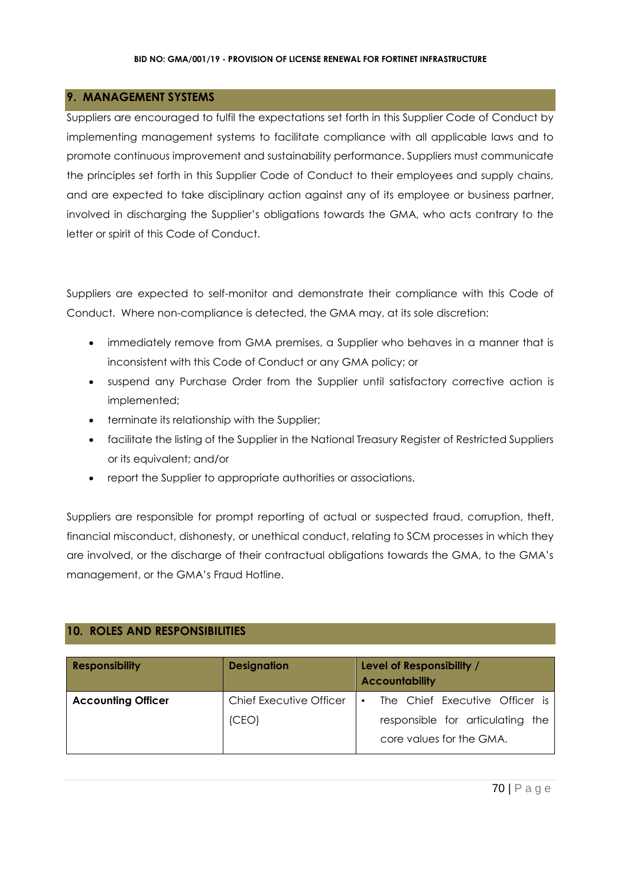# **9. MANAGEMENT SYSTEMS**

Suppliers are encouraged to fulfil the expectations set forth in this Supplier Code of Conduct by implementing management systems to facilitate compliance with all applicable laws and to promote continuous improvement and sustainability performance. Suppliers must communicate the principles set forth in this Supplier Code of Conduct to their employees and supply chains, and are expected to take disciplinary action against any of its employee or business partner, involved in discharging the Supplier's obligations towards the GMA, who acts contrary to the letter or spirit of this Code of Conduct.

Suppliers are expected to self-monitor and demonstrate their compliance with this Code of Conduct. Where non-compliance is detected, the GMA may, at its sole discretion:

- immediately remove from GMA premises, a Supplier who behaves in a manner that is inconsistent with this Code of Conduct or any GMA policy; or
- suspend any Purchase Order from the Supplier until satisfactory corrective action is implemented;
- terminate its relationship with the Supplier;
- facilitate the listing of the Supplier in the National Treasury Register of Restricted Suppliers or its equivalent; and/or
- report the Supplier to appropriate authorities or associations.

Suppliers are responsible for prompt reporting of actual or suspected fraud, corruption, theft, financial misconduct, dishonesty, or unethical conduct, relating to SCM processes in which they are involved, or the discharge of their contractual obligations towards the GMA, to the GMA's management, or the GMA's Fraud Hotline.

# **10. ROLES AND RESPONSIBILITIES**

| <b>Responsibility</b>     | <b>Designation</b>             | Level of Responsibility /<br><b>Accountability</b>           |
|---------------------------|--------------------------------|--------------------------------------------------------------|
| <b>Accounting Officer</b> | <b>Chief Executive Officer</b> | The Chief Executive Officer is<br>$\bullet$                  |
|                           | (CEO)                          | responsible for articulating the<br>core values for the GMA. |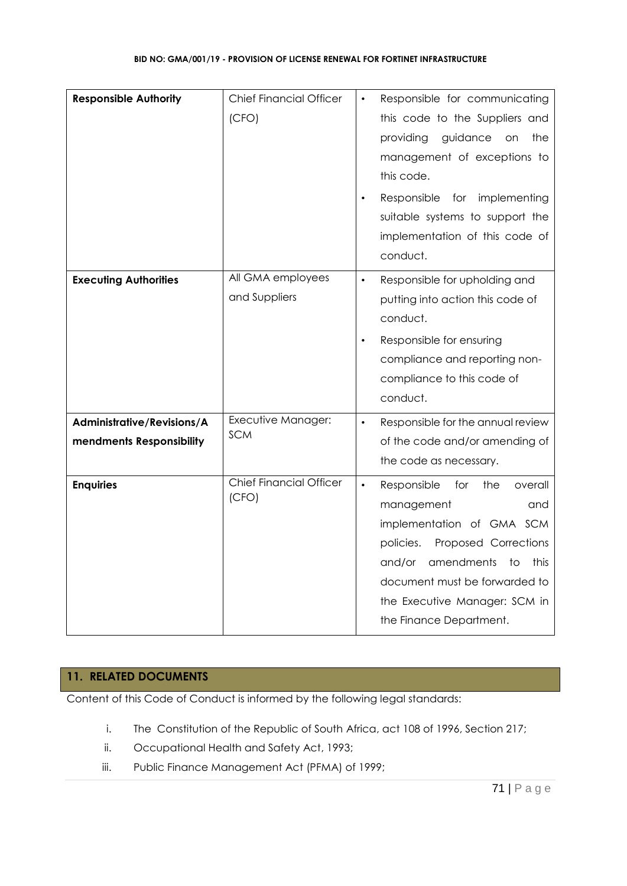| <b>Responsible Authority</b>                           | <b>Chief Financial Officer</b><br>(CFO) | Responsible for communicating<br>this code to the Suppliers and<br>guidance<br>the<br>providing<br>on<br>management of exceptions to<br>this code.<br>Responsible<br>implementing<br>for<br>suitable systems to support the<br>implementation of this code of<br>conduct.               |
|--------------------------------------------------------|-----------------------------------------|-----------------------------------------------------------------------------------------------------------------------------------------------------------------------------------------------------------------------------------------------------------------------------------------|
| <b>Executing Authorities</b>                           | All GMA employees<br>and Suppliers      | Responsible for upholding and<br>$\bullet$<br>putting into action this code of<br>conduct.<br>Responsible for ensuring<br>compliance and reporting non-<br>compliance to this code of<br>conduct.                                                                                       |
| Administrative/Revisions/A<br>mendments Responsibility | Executive Manager:<br><b>SCM</b>        | Responsible for the annual review<br>of the code and/or amending of<br>the code as necessary.                                                                                                                                                                                           |
| <b>Enquiries</b>                                       | <b>Chief Financial Officer</b><br>(CFO) | Responsible<br>for<br>$\bullet$<br>the<br>overall<br>management<br>and<br>implementation of GMA SCM<br>Proposed Corrections<br>policies.<br>and/or<br>amendments<br>$\overline{1}$<br>this<br>document must be forwarded to<br>the Executive Manager: SCM in<br>the Finance Department. |

# **11. RELATED DOCUMENTS**

Content of this Code of Conduct is informed by the following legal standards:

- i. The Constitution of the Republic of South Africa, act 108 of 1996, Section 217;
- ii. Occupational Health and Safety Act, 1993;
- iii. Public Finance Management Act (PFMA) of 1999;